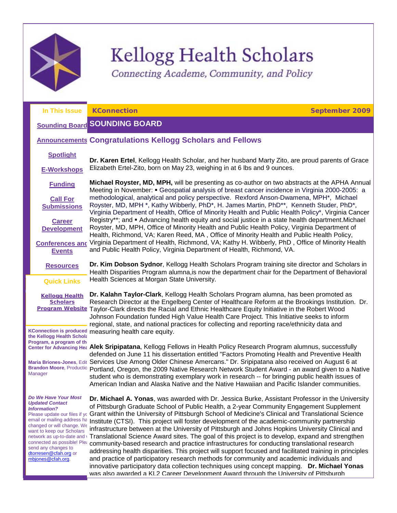

# Kellogg Health Scholars

<span id="page-0-1"></span><span id="page-0-0"></span>Connecting Academe, Community, and Policy

| In This Issue                                                                                                                                                                                                                                                                                      | <b>KConnection</b><br><b>September 2009</b>                                                                                                                                                                                                                                                                                                                                                                                                                                                                                                                                                                                                                                                                                                                                                                                                                                                                                                                                                                                                                                                                                           |  |  |  |  |  |  |
|----------------------------------------------------------------------------------------------------------------------------------------------------------------------------------------------------------------------------------------------------------------------------------------------------|---------------------------------------------------------------------------------------------------------------------------------------------------------------------------------------------------------------------------------------------------------------------------------------------------------------------------------------------------------------------------------------------------------------------------------------------------------------------------------------------------------------------------------------------------------------------------------------------------------------------------------------------------------------------------------------------------------------------------------------------------------------------------------------------------------------------------------------------------------------------------------------------------------------------------------------------------------------------------------------------------------------------------------------------------------------------------------------------------------------------------------------|--|--|--|--|--|--|
|                                                                                                                                                                                                                                                                                                    | <b>Sounding Board SOUNDING BOARD</b>                                                                                                                                                                                                                                                                                                                                                                                                                                                                                                                                                                                                                                                                                                                                                                                                                                                                                                                                                                                                                                                                                                  |  |  |  |  |  |  |
|                                                                                                                                                                                                                                                                                                    | <b>Announcements Congratulations Kellogg Scholars and Fellows</b>                                                                                                                                                                                                                                                                                                                                                                                                                                                                                                                                                                                                                                                                                                                                                                                                                                                                                                                                                                                                                                                                     |  |  |  |  |  |  |
| <b>Spotlight</b><br><b>E-Workshops</b>                                                                                                                                                                                                                                                             | Dr. Karen Ertel, Kellogg Health Scholar, and her husband Marty Zito, are proud parents of Grace<br>Elizabeth Ertel-Zito, born on May 23, weighing in at 6 lbs and 9 ounces.                                                                                                                                                                                                                                                                                                                                                                                                                                                                                                                                                                                                                                                                                                                                                                                                                                                                                                                                                           |  |  |  |  |  |  |
| <b>Funding</b>                                                                                                                                                                                                                                                                                     | Michael Royster, MD, MPH, will be presenting as co-author on two abstracts at the APHA Annual<br>Meeting in November: • Geospatial analysis of breast cancer incidence in Virginia 2000-2005: a<br>methodological, analytical and policy perspective. Rexford Anson-Dwamena, MPH*, Michael<br>Royster, MD, MPH *, Kathy Wibberly, PhD*, H. James Martin, PhD**, Kenneth Studer, PhD*,<br>Virginia Department of Health, Office of Minority Health and Public Health Policy*, Virginia Cancer<br>Registry**; and • Advancing health equity and social justice in a state health department. Michael<br>Royster, MD, MPH, Office of Minority Health and Public Health Policy, Virginia Department of<br>Health, Richmond, VA; Karen Reed, MA, Office of Minority Health and Public Health Policy,                                                                                                                                                                                                                                                                                                                                       |  |  |  |  |  |  |
| <b>Call For</b><br><b>Submissions</b>                                                                                                                                                                                                                                                              |                                                                                                                                                                                                                                                                                                                                                                                                                                                                                                                                                                                                                                                                                                                                                                                                                                                                                                                                                                                                                                                                                                                                       |  |  |  |  |  |  |
| <b>Career</b><br><b>Development</b>                                                                                                                                                                                                                                                                |                                                                                                                                                                                                                                                                                                                                                                                                                                                                                                                                                                                                                                                                                                                                                                                                                                                                                                                                                                                                                                                                                                                                       |  |  |  |  |  |  |
| <b>Events</b>                                                                                                                                                                                                                                                                                      | Conferences and Virginia Department of Health, Richmond, VA; Kathy H. Wibberly, PhD, Office of Minority Health<br>and Public Health Policy, Virginia Department of Health, Richmond, VA.                                                                                                                                                                                                                                                                                                                                                                                                                                                                                                                                                                                                                                                                                                                                                                                                                                                                                                                                              |  |  |  |  |  |  |
| <b>Resources</b>                                                                                                                                                                                                                                                                                   | Dr. Kim Dobson Sydnor, Kellogg Health Scholars Program training site director and Scholars in<br>Health Disparities Program alumna, is now the department chair for the Department of Behavioral                                                                                                                                                                                                                                                                                                                                                                                                                                                                                                                                                                                                                                                                                                                                                                                                                                                                                                                                      |  |  |  |  |  |  |
| <b>Quick Links</b>                                                                                                                                                                                                                                                                                 | Health Sciences at Morgan State University.                                                                                                                                                                                                                                                                                                                                                                                                                                                                                                                                                                                                                                                                                                                                                                                                                                                                                                                                                                                                                                                                                           |  |  |  |  |  |  |
| <b>Kellogg Health</b><br><b>Scholars</b>                                                                                                                                                                                                                                                           | Dr. Kalahn Taylor-Clark, Kellogg Health Scholars Program alumna, has been promoted as<br>Research Director at the Engelberg Center of Healthcare Reform at the Brookings Institution. Dr.<br>Program Website Taylor-Clark directs the Racial and Ethnic Healthcare Equity Initiative in the Robert Wood<br>Johnson Foundation funded High Value Health Care Project. This Initiative seeks to inform<br>regional, state, and national practices for collecting and reporting race/ethnicity data and                                                                                                                                                                                                                                                                                                                                                                                                                                                                                                                                                                                                                                  |  |  |  |  |  |  |
| the Kellogg Health Schola                                                                                                                                                                                                                                                                          | KConnection is produced measuring health care equity.                                                                                                                                                                                                                                                                                                                                                                                                                                                                                                                                                                                                                                                                                                                                                                                                                                                                                                                                                                                                                                                                                 |  |  |  |  |  |  |
| Program, a program of the<br>Manager                                                                                                                                                                                                                                                               | Center for Advancing Hea Alek Sripipatana, Kellogg Fellows in Health Policy Research Program alumnus, successfully<br>defended on June 11 his dissertation entitled "Factors Promoting Health and Preventive Health<br>Maria Briones-Jones, Edit Services Use Among Older Chinese Amercans." Dr. Sripipatana also received on August 6 at<br>Brandon Moore, Productio Portland, Oregon, the 2009 Native Research Network Student Award - an award given to a Native<br>student who is demonstrating exemplary work in research -- for bringing public health issues of<br>American Indian and Alaska Native and the Native Hawaiian and Pacific Islander communities.                                                                                                                                                                                                                                                                                                                                                                                                                                                                 |  |  |  |  |  |  |
| Do We Have Your Most<br><b>Updated Contact</b><br><b>Information?</b><br>email or mailing address ha<br>changed or will change. We<br>want to keep our Scholars<br>network as up-to-date and \<br>connected as possible! Plea<br>send any changes to<br>dtorresen@cfah.org or<br>mbjones@cfah.org. | Dr. Michael A. Yonas, was awarded with Dr. Jessica Burke, Assistant Professor in the University<br>of Pittsburgh Graduate School of Public Health, a 2-year Community Engagement Supplement<br>Please update our files if yc Grant within the University of Pittsburgh School of Medicine's Clinical and Translational Science<br>Institute (CTSI). This project will foster development of the academic-community partnership<br>infrastructure between at the University of Pittsburgh and Johns Hopkins University Clinical and<br>Translational Science Award sites. The goal of this project is to develop, expand and strengthen<br>community-based research and practice infrastructures for conducting translational research<br>addressing health disparities. This project will support focused and facilitated training in principles<br>and practice of participatory research methods for community and academic individuals and<br>innovative participatory data collection techniques using concept mapping. Dr. Michael Yonas<br>was also awarded a KL2 Career Development Award through the University of Pittsburgh |  |  |  |  |  |  |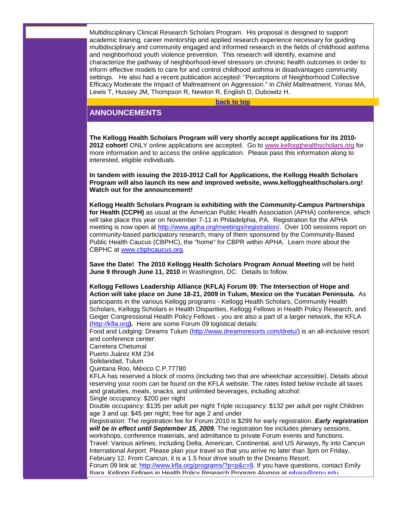Multidisciplinary Clinical Research Scholars Program. His proposal is designed to support academic training, career mentorship and applied research experience necessary for guiding multidisciplinary and community engaged and informed research in the fields of childhood asthma and neighborhood youth violence prevention. This research will identify, examine and characterize the pathway of neighborhood-level stressors on chronic health outcomes in order to inform effective models to care for and control childhood asthma in disadvantages community settings. He also had a recent publication accepted: "Perceptions of Neighborhood Collective Efficacy Moderate the Impact of Maltreatment on Aggression." in *Child Maltreatment,* Yonas MA, Lewis T, Hussey JM, Thompson R, Newton R, English D, Dubowitz H.

**[back to top](#page-0-1)**

# <span id="page-1-0"></span>**ANNOUNCEMENTS**

**The Kellogg Health Scholars Program will very shortly accept applications for its 2010- 2012 cohort!** ONLY online applications are accepted. Go to [www.kellogghealthscholars.org](http://rs6.net/tn.jsp?et=1102701864389&s=1&e=001VaffixYFjpLRXHjy8MvAmmfjQ2gMw6qrSzChgyN-0urnyEcATqDMF_feVQa-SSE-DV4DHyI_OaRMJZ8eRyJ6tiPTxNchqXIr_pGgcnM8NzMcsA1kIWTceLjS8Wy1iRJA) for more information and to access the online application. Please pass this information along to interested, eligible individuals.

**In tandem with issuing the 2010-2012 Call for Applications, the Kellogg Health Scholars Program will also launch its new and improved website, [www.kellogghealthscholars.org!](http://rs6.net/tn.jsp?et=1102701864389&s=1&e=001VaffixYFjpLRXHjy8MvAmmfjQ2gMw6qrSzChgyN-0urnyEcATqDMF_feVQa-SSE-DV4DHyI_OaRMJZ8eRyJ6tiPTxNchqXIr_pGgcnM8NzMcsA1kIWTceLjS8Wy1iRJA) Watch out for the announcement!**

**Kellogg Health Scholars Program is exhibiting with the Community-Campus Partnerships for Health (CCPH)** as usual at the American Public Health Association (APHA) conference, which will take place this year on November 7-11 in Philadelphia, PA. Registration for the APHA meeting is now open at [http://www.apha.org/meetings/registration/.](http://rs6.net/tn.jsp?et=1102701864389&s=1&e=001VaffixYFjpKC3DYbmT8IuOt1OWf2QSMf77S2jR0ttt8RbnmLIorf6LEA0ZDL42fLdhe8CiCy9O3FsK1JZGnjXhQgdC0Dj8bWJ-2-DKhevsUXCJVZbtcoeo7UQnw_HnDA18PObi6SQSk=) Over 100 sessions report on community-based participatory research, many of them sponsored by the Community-Based Public Health Caucus (CBPHC), the "home" for CBPR within APHA. Learn more about the CBPHC at [www.cbphcaucus.org.](http://rs6.net/tn.jsp?et=1102701864389&s=1&e=001VaffixYFjpK-AkzvSRpKLxoPOSqtmq3dweAQbqo4IJ9U6fPJIB5cGcw1VlKMMl6IoK37gXXu_A5e4-S3HJ6vBu6ZOyAG3kRvb6ePoQdsdxmkmxJnvs9JyA==)

**Save the Date! The 2010 Kellogg Health Scholars Program Annual Meeting** will be held **June 9 through June 11, 2010** in Washington, DC. Details to follow.

**Kellogg Fellows Leadership Alliance (KFLA) Forum 09: The Intersection of Hope and Action will take place on June 18-21, 2009 in Tulum, Mexico on the Yucatan Peninsula.** As participants in the various Kellogg programs - Kellogg Health Scholars, Community Health Scholars, Kellogg Scholars in Health Disparities, Kellogg Fellows in Health Policy Research, and Geiger Congressional Health Policy Fellows - you are also a part of a larger network, the KFLA [\(http://kfla.org](http://rs6.net/tn.jsp?et=1102701864389&s=1&e=001VaffixYFjpIks3rAEkqtS-i1TwOAwbWKCRz68QKFVj1MEVDqvSoNI5efFVmtDLIS-h_jdwgLvcBYPuW8JEMheJ-R0bUTxY3U)**).** Here are some Forum 09 logistical details:

Food and Lodging: Dreams Tulum [\(http://www.dreamsresorts.com/dretu/\)](http://rs6.net/tn.jsp?et=1102701864389&s=1&e=001VaffixYFjpKunOcgyz-sBCl2AOfzFzrx3e_mgR2GuxYtFvKMFGZQQhdyvlx-rbQ9TAqkE8xANlpk8KqTdfk23UBneraX8CmAeidMknoLbj6yKOFocShydn4qldn5lpFU) is an all-inclusive resort and conference center:

Carretera Chetumal

Puerto Juárez KM 234

Solidaridad, Tulum

Quintana Roo, México C.P.77780

KFLA has reserved a block of rooms (including two that are wheelchair accessible). Details about reserving your room can be found on the KFLA website. The rates listed below include all taxes and gratuities, meals, snacks, and unlimited beverages, including alcohol:

Single occupancy: \$200 per night

Double occupancy: \$135 per adult per night Triple occupancy: \$132 per adult per night Children age 3 and up: \$45 per night; free for age 2 and under

Registration: The registration fee for Forum 2010 is \$299 for early registration. *Early registration will be in effect until September 15, 2009.* The registration fee includes plenary sessions, workshops, conference materials, and admittance to private Forum events and functions.

Travel: Various airlines, including Delta, American, Continental, and US Airways, fly into Cancun International Airport. Please plan your travel so that you arrive no later than 3pm on Friday, February 12. From Cancun, it is a 1.5 hour drive south to the Dreams Resort.

Forum 09 link at: [http://www.kfla.org/programs/?p=p&c=8.](http://rs6.net/tn.jsp?et=1102701864389&s=1&e=001VaffixYFjpLjV4Ck8AchsFIC0kIrCIuZdNaiJMPgx44emMxd7BtBTqHuKk4QaUCYPl3Gg7MvBVQu9WQxmQAsLiqLTwpRubbolhtzkbKm85E2L5-HvafKOduY-5Q-Z6e7XpxV3mAgL3c=) If you have questions, contact Emily Ihara, Kellogg Fellows in Health Policy Research Program Alumna at [eihara@gmu.edu.](mailto:eihara@gmu.edu)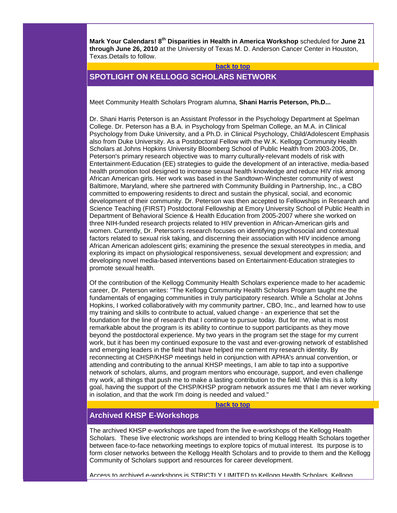**Mark Your Calendars! 8th Disparities in Health in America Workshop** scheduled for **June 21 through June 26, 2010** at the University of Texas M. D. Anderson Cancer Center in Houston, Texas.Details to follow.

#### **[back to top](#page-0-1)**

# <span id="page-2-0"></span>**SPOTLIGHT ON KELLOGG SCHOLARS NETWORK**

Meet Community Health Scholars Program alumna, **Shani Harris Peterson, Ph.D...**

Dr. Shani Harris Peterson is an Assistant Professor in the Psychology Department at Spelman College. Dr. Peterson has a B.A. in Psychology from Spelman College, an M.A. in Clinical Psychology from Duke University, and a Ph.D. in Clinical Psychology, Child/Adolescent Emphasis also from Duke University. As a Postdoctoral Fellow with the W.K. Kellogg Community Health Scholars at Johns Hopkins University Bloomberg School of Public Health from 2003-2005, Dr. Peterson's primary research objective was to marry culturally-relevant models of risk with Entertainment-Education (EE) strategies to guide the development of an interactive, media-based health promotion tool designed to increase sexual health knowledge and reduce HIV risk among African American girls. Her work was based in the Sandtown-Winchester community of west Baltimore, Maryland, where she partnered with Community Building in Partnership, Inc., a CBO committed to empowering residents to direct and sustain the physical, social, and economic development of their community. Dr. Peterson was then accepted to Fellowships in Research and Science Teaching (FIRST) Postdoctoral Fellowship at Emory University School of Public Health in Department of Behavioral Science & Health Education from 2005-2007 where she worked on three NIH-funded research projects related to HIV prevention in African-American girls and women. Currently, Dr. Peterson's research focuses on identifying psychosocial and contextual factors related to sexual risk taking, and discerning their association with HIV incidence among African American adolescent girls; examining the presence the sexual stereotypes in media, and exploring its impact on physiological responsiveness, sexual development and expression; and developing novel media-based interventions based on Entertainment-Education strategies to promote sexual health.

Of the contribution of the Kellogg Community Health Scholars experience made to her academic career, Dr. Peterson writes: "The Kellogg Community Health Scholars Program taught me the fundamentals of engaging communities in truly participatory research. While a Scholar at Johns Hopkins, I worked collaboratively with my community partner, CBO, Inc., and learned how to use my training and skills to contribute to actual, valued change - an experience that set the foundation for the line of research that I continue to pursue today. But for me, what is most remarkable about the program is its ability to continue to support participants as they move beyond the postdoctoral experience. My two years in the program set the stage for my current work, but it has been my continued exposure to the vast and ever-growing network of established and emerging leaders in the field that have helped me cement my research identity. By reconnecting at CHSP/KHSP meetings held in conjunction with APHA's annual convention, or attending and contributing to the annual KHSP meetings, I am able to tap into a supportive network of scholars, alums, and program mentors who encourage, support, and even challenge my work, all things that push me to make a lasting contribution to the field. While this is a lofty goal, having the support of the CHSP/KHSP program network assures me that I am never working in isolation, and that the work I'm doing is needed and valued."

**[back to top](#page-0-1)**

# <span id="page-2-1"></span>**Archived KHSP E-Workshops**

The archived KHSP e-workshops are taped from the live e-workshops of the Kellogg Health Scholars. These live electronic workshops are intended to bring Kellogg Health Scholars together between face-to-face networking meetings to explore topics of mutual interest. Its purpose is to form closer networks between the Kellogg Health Scholars and to provide to them and the Kellogg Community of Scholars support and resources for career development.

Access to archived e-workshops is STRICTLY LIMITED to Kellogg Health Scholars, Kellogg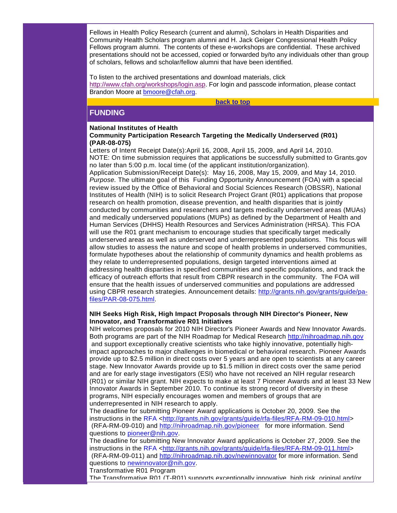Fellows in Health Policy Research (current and alumni), Scholars in Health Disparities and Community Health Scholars program alumni and H. Jack Geiger Congressional Health Policy Fellows program alumni. The contents of these e-workshops are confidential. These archived presentations should not be accessed, copied or forwarded by/to any individuals other than group of scholars, fellows and scholar/fellow alumni that have been identified.

To listen to the archived presentations and download materials, click [http://www.cfah.org/workshops/login.asp.](http://rs6.net/tn.jsp?et=1102701864389&s=1&e=001VaffixYFjpIdA-UdiDkQOH1SvUNlIjYTqjKiNfssjPZlEKeczmjBtbjlG1UUZC3EPzdhYuH9XOaBvPzZhF7a16175wFl0UVHbkMcOrtnT6DOt3f908pNkYwR5mcc8VrU6M50niL3Quk=) For login and passcode information, please contact Brandon Moore at [bmoore@cfah.org.](mailto:bmoore@cfah.org)

**[back to top](#page-0-1)**

# <span id="page-3-0"></span>**FUNDING**

#### **National Institutes of Health Community Participation Research Targeting the Medically Underserved (R01) (PAR-08-075)**

Letters of Intent Receipt Date(s):April 16, 2008, April 15, 2009, and April 14, 2010. NOTE: On time submission requires that applications be successfully submitted to Grants.gov no later than 5:00 p.m. local time (of the applicant institution/organization). Application Submission/Receipt Date(s): May 16, 2008, May 15, 2009, and May 14, 2010. *Purpose.* The ultimate goal of this Funding Opportunity Announcement (FOA) with a special review issued by the Office of Behavioral and Social Sciences Research (OBSSR), National Institutes of Health (NIH) is to solicit Research Project Grant (R01) applications that propose research on health promotion, disease prevention, and health disparities that is jointly conducted by communities and researchers and targets medically underserved areas (MUAs) and medically underserved populations (MUPs) as defined by the Department of Health and Human Services (DHHS) Health Resources and Services Administration (HRSA). This FOA will use the R01 grant mechanism to encourage studies that specifically target medically underserved areas as well as underserved and underrepresented populations. This focus will allow studies to assess the nature and scope of health problems in underserved communities, formulate hypotheses about the relationship of community dynamics and health problems as they relate to underrepresented populations, design targeted interventions aimed at addressing health disparities in specified communities and specific populations, and track the efficacy of outreach efforts that result from CBPR research in the community. The FOA will ensure that the health issues of underserved communities and populations are addressed using CBPR research strategies. Announcement details: [http://grants.nih.gov/grants/guide/pa](http://rs6.net/tn.jsp?et=1102701864389&s=1&e=001VaffixYFjpIKoEH9eeJHmppFr88u14CWNl-avTqe03kQ3zGLx5gSfMBjKWNLDGeaYTpHZ8FwveFbXnfLPjsdZ6WWdrlGEwaO71lbZrXfx7yAasIclbFBb4UiQddYBdj-ruUghjC_1ok0A4EJkwuGaRUZH1Fxxot8d1USKhZStRE=)[files/PAR-08-075.html.](http://rs6.net/tn.jsp?et=1102701864389&s=1&e=001VaffixYFjpIKoEH9eeJHmppFr88u14CWNl-avTqe03kQ3zGLx5gSfMBjKWNLDGeaYTpHZ8FwveFbXnfLPjsdZ6WWdrlGEwaO71lbZrXfx7yAasIclbFBb4UiQddYBdj-ruUghjC_1ok0A4EJkwuGaRUZH1Fxxot8d1USKhZStRE=)

#### **NIH Seeks High Risk, High Impact Proposals through NIH Director's Pioneer, New Innovator, and Transformative R01 Initiatives**

NIH welcomes proposals for 2010 NIH Director's Pioneer Awards and New Innovator Awards. Both programs are part of the NIH Roadmap for Medical Research [http://nihroadmap.nih.gov](http://rs6.net/tn.jsp?et=1102701864389&s=1&e=001VaffixYFjpIgqd510bBMLQCyVfTiV--BLJfWBXixNz_dwf0UAa-TFIKmoMrG5OYIa54AKdW1cT5Qty5Zm8L8W6YZ4cyUsjEIi7vrtt4Vbx0IuLxDVGjZ0w==) and support exceptionally creative scientists who take highly innovative, potentially highimpact approaches to major challenges in biomedical or behavioral research. Pioneer Awards provide up to \$2.5 million in direct costs over 5 years and are open to scientists at any career stage. New Innovator Awards provide up to \$1.5 million in direct costs over the same period and are for early stage investigators (ESI) who have not received an NIH regular research (R01) or similar NIH grant. NIH expects to make at least 7 Pioneer Awards and at least 33 New Innovator Awards in September 2010. To continue its strong record of diversity in these programs, NIH especially encourages women and members of groups that are underrepresented in NIH research to apply.

The deadline for submitting Pioneer Award applications is October 20, 2009. See the instructions in the RFA [<http://grants.nih.gov/grants/guide/rfa-files/RFA-RM-09-010.html>](http://rs6.net/tn.jsp?et=1102701864389&s=1&e=001VaffixYFjpKNIx6-Tzc7M2dld1D1IGQDkr_iJrA5IfasBgcpDfGBwsmXdWS9YTGiEy4t9pR1mgQN8TPWsnWY2seJohVEkFQppMtWZhPIqu-_zjQ5sDtLM69LYi7nQRygIhcKM767yhFC6UARqBoktX8XlXKfW79f_moihge0jEY=) (RFA-RM-09-010) and [http://nihroadmap.nih.gov/pioneer](http://rs6.net/tn.jsp?et=1102701864389&s=1&e=001VaffixYFjpIx7WAtp2ZobYBFUoA9VEBMZ414aPkOrtOQQdDD7HfLV5U8zBvSx4Er1EmwsFpnn3tdGlQ0vWf68sf4x-XVQTHHatD7uDFqpBlTOBlJ00snjGcwG0GFo_LL) for more information. Send

questions to [pioneer@nih.gov.](mailto:pioneer@nih.gov)

The deadline for submitting New Innovator Award applications is October 27, 2009. See the instructions in the RFA [<http://grants.nih.gov/grants/guide/rfa-files/RFA-RM-09-011.html>](http://rs6.net/tn.jsp?et=1102701864389&s=1&e=001VaffixYFjpIlwbfKmaCBf4WxbsBeefh1ciUbBl26spdTlleNQFBDAG0oC70IqbcGcxYdKQieb0OWOXDc6Mis1y-d7FcQusjePuBO4b8HOd1nfdyTVrP96HmjPHLyNxKYRRP2IOY_AaLiEkbGH3uewvvHUJ4al-yoVOjtgFUCm6s=) (RFA-RM-09-011) and [http://nihroadmap.nih.gov/newinnovator](http://rs6.net/tn.jsp?et=1102701864389&s=1&e=001VaffixYFjpL3c10bu_7O3u5AQ6v2ZpqY-f_VsbF4DqgVugtgckuUpTAQTLLB5uaapOcAauKaYlfJGCdZJCFoCyjoscFnCLZ8-WZm-a1anThyYKZDePcFc5TckVKhKUxL) for more information. Send questions to [newinnovator@nih.gov.](mailto:newinnovator@nih.gov)

Transformative R01 Program

The Transformative R01 (T-R01) supports exceptionally innovative, high risk, original and/or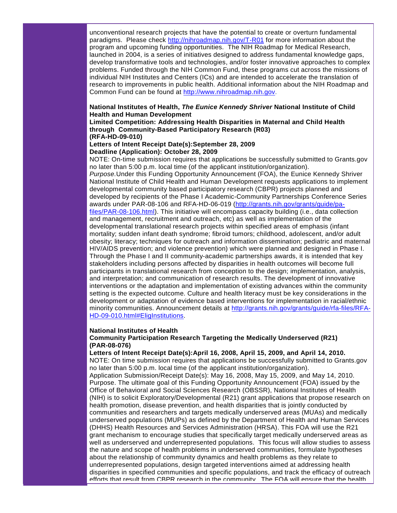unconventional research projects that have the potential to create or overturn fundamental paradigms. Please check [http://nihroadmap.nih.gov/T-R01](http://rs6.net/tn.jsp?et=1102701864389&s=1&e=001VaffixYFjpLJEME_tyEvRP0grjQYCM8ObTaVLmCgevAv2ByT5HfxWBTfLp7gGkDysVx8Tci1dWkNjPQq_-_1W0LVSmH_D5Su4zCOC2Pvb36TPfgUCrRuig==) for more information about the program and upcoming funding opportunities. The NIH Roadmap for Medical Research, launched in 2004, is a series of initiatives designed to address fundamental knowledge gaps, develop transformative tools and technologies, and/or foster innovative approaches to complex problems. Funded through the NIH Common Fund, these programs cut across the missions of individual NIH Institutes and Centers (ICs) and are intended to accelerate the translation of research to improvements in public health. Additional information about the NIH Roadmap and Common Fund can be found at [http://www.nihroadmap.nih.gov.](http://rs6.net/tn.jsp?et=1102701864389&s=1&e=001VaffixYFjpLxjNGdW9FJh1N-Dz0KlJWD2h3_GIUDcIYo-K1qy7rWDUK2FGrzCf1wV3VkyW1WnWzOkzdEP6dfWDM9jitQexw-gQPLIloLSfvx526cvQdGEA==)

#### **National Institutes of Health,** *The Eunice Kennedy Shriver* **National Institute of Child Health and Human Development**

#### **Limited Competition: Addressing Health Disparities in Maternal and Child Health through Community-Based Participatory Research (R03) (RFA-HD-09-010)**

#### **Letters of Intent Receipt Date(s):September 28, 2009 Deadline (Application): October 28, 2009**

NOTE: On-time submission requires that applications be successfully submitted to Grants.gov no later than 5:00 p.m. local time (of the applicant institution/organization).

*Purpose.*Under this Funding Opportunity Announcement (FOA), the Eunice Kennedy Shriver National Institute of Child Health and Human Development requests applications to implement developmental community based participatory research (CBPR) projects planned and developed by recipients of the Phase I Academic-Community Partnerships Conference Series awards under PAR-08-106 and RFA-HD-06-019 [\(http://grants.nih.gov/grants/guide/pa](http://rs6.net/tn.jsp?et=1102701864389&s=1&e=001VaffixYFjpLD1T4iVEQ8DJX5xIG4nLjL-PXQid8V0JZBM-pYp_O0lnXUj9H2_VlNdaVIGY8A_f3ke9sXRTFp_fCFTZB-G8cfdbWsslIbF4SSww8BPUjFwq96_gvfdDpw4bHz0FXtTfz0Pxyy1dEaeM6OwKELMpfuCaLF1ztTKYs=)[files/PAR-08-106.html\)](http://rs6.net/tn.jsp?et=1102701864389&s=1&e=001VaffixYFjpLD1T4iVEQ8DJX5xIG4nLjL-PXQid8V0JZBM-pYp_O0lnXUj9H2_VlNdaVIGY8A_f3ke9sXRTFp_fCFTZB-G8cfdbWsslIbF4SSww8BPUjFwq96_gvfdDpw4bHz0FXtTfz0Pxyy1dEaeM6OwKELMpfuCaLF1ztTKYs=). This initiative will encompass capacity building (i.e., data collection and management, recruitment and outreach, etc) as well as implementation of the developmental translational research projects within specified areas of emphasis (infant mortality; sudden infant death syndrome; fibroid tumors; childhood, adolescent, and/or adult obesity; literacy; techniques for outreach and information dissemination; pediatric and maternal HIV/AIDS prevention; and violence prevention) which were planned and designed in Phase I. Through the Phase I and II community-academic partnerships awards, it is intended that key stakeholders including persons affected by disparities in health outcomes will become full participants in translational research from conception to the design; implementation, analysis, and interpretation; and communication of research results. The development of innovative interventions or the adaptation and implementation of existing advances within the community setting is the expected outcome. Culture and health literacy must be key considerations in the development or adaptation of evidence based interventions for implementation in racial/ethnic minority communities. Announcement details at [http://grants.nih.gov/grants/guide/rfa-files/RFA-](http://rs6.net/tn.jsp?et=1102701864389&s=1&e=001VaffixYFjpL1iBwECA0tEzPVlBh1CrMxHWq_omKByVP46fpQ5wLhOtZwDi7ekbWvmRKeKW9h1y05EuXulWGvNc6VkGT55Dq4EDAImDwTYv0HRxlFVCBEq95YTaX5NTSRYda5LFqdCZpcxJu_TnVxItVGIQ5S4YlRd07hR0VrQl7W4TQ6tebJIkoTnDusYkvr)[HD-09-010.html#EligInstitutions.](http://rs6.net/tn.jsp?et=1102701864389&s=1&e=001VaffixYFjpL1iBwECA0tEzPVlBh1CrMxHWq_omKByVP46fpQ5wLhOtZwDi7ekbWvmRKeKW9h1y05EuXulWGvNc6VkGT55Dq4EDAImDwTYv0HRxlFVCBEq95YTaX5NTSRYda5LFqdCZpcxJu_TnVxItVGIQ5S4YlRd07hR0VrQl7W4TQ6tebJIkoTnDusYkvr)

#### **National Institutes of Health**

#### **Community Participation Research Targeting the Medically Underserved (R21) (PAR-08-076)**

#### **Letters of Intent Receipt Date(s):April 16, 2008, April 15, 2009, and April 14, 2010.**

NOTE: On time submission requires that applications be successfully submitted to Grants.gov no later than 5:00 p.m. local time (of the applicant institution/organization).

Application Submission/Receipt Date(s): May 16, 2008, May 15, 2009, and May 14, 2010. Purpose. The ultimate goal of this Funding Opportunity Announcement (FOA) issued by the Office of Behavioral and Social Sciences Research (OBSSR), National Institutes of Health (NIH) is to solicit Exploratory/Developmental (R21) grant applications that propose research on health promotion, disease prevention, and health disparities that is jointly conducted by communities and researchers and targets medically underserved areas (MUAs) and medically underserved populations (MUPs) as defined by the Department of Health and Human Services (DHHS) Health Resources and Services Administration (HRSA). This FOA will use the R21 grant mechanism to encourage studies that specifically target medically underserved areas as well as underserved and underrepresented populations. This focus will allow studies to assess the nature and scope of health problems in underserved communities, formulate hypotheses about the relationship of community dynamics and health problems as they relate to underrepresented populations, design targeted interventions aimed at addressing health disparities in specified communities and specific populations, and track the efficacy of outreach efforts that result from CBPR research in the community. The FOA will ensure that the health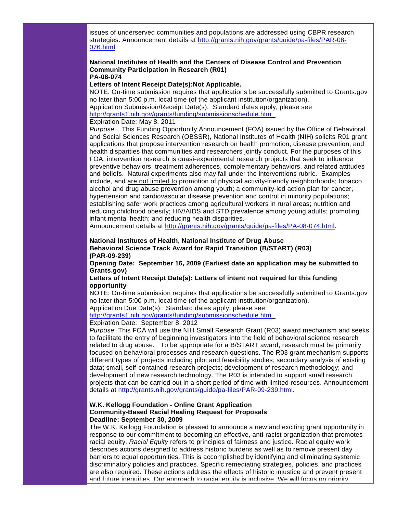issues of underserved communities and populations are addressed using CBPR research strategies. Announcement details at [http://grants.nih.gov/grants/guide/pa-files/PAR-08-](http://rs6.net/tn.jsp?et=1102701864389&s=1&e=001VaffixYFjpLdyFG_c3tur7jUyy-f1p8DgiJOlDXAEXgloFYYCJBgwvtwtW2OTSqYYBQe_HDuh2qkn0zA6oyZ1sBq0L7Sp3FaDwhzSHJjGpZnnwfYG-fkfTexQnG-OkEzPHNNY74-BfjlS_veEeNBE_gfq14NxD6J9mx7nHBnAMA=) [076.html.](http://rs6.net/tn.jsp?et=1102701864389&s=1&e=001VaffixYFjpLdyFG_c3tur7jUyy-f1p8DgiJOlDXAEXgloFYYCJBgwvtwtW2OTSqYYBQe_HDuh2qkn0zA6oyZ1sBq0L7Sp3FaDwhzSHJjGpZnnwfYG-fkfTexQnG-OkEzPHNNY74-BfjlS_veEeNBE_gfq14NxD6J9mx7nHBnAMA=)

#### **National Institutes of Health and the Centers of Disease Control and Prevention Community Participation in Research (R01) PA-08-074**

#### **Letters of Intent Receipt Date(s):Not Applicable.**

NOTE: On-time submission requires that applications be successfully submitted to Grants.gov no later than 5:00 p.m. local time (of the applicant institution/organization). Application Submission/Receipt Date(s): Standard dates apply, please see [http://grants1.nih.gov/grants/funding/submissionschedule.htm](http://rs6.net/tn.jsp?et=1102701864389&s=1&e=001VaffixYFjpK6PbSwOm9p8Phbnrc4aqDIA1VlAJhNNH3HmbJQSZTAve0r-b1XT7pI7PPO-WsrS5sgh1A4GvSteqjJvDnFnH6isFNT01KK5debSpdbnETy99zWmzcXemU8q-MpKtFIRFRHzbrpMxPoy2jrCUg_UQ28) 

#### Expiration Date: May 8, 2011

*Purpose.* This Funding Opportunity Announcement (FOA) issued by the Office of Behavioral and Social Sciences Research (OBSSR), National Institutes of Health (NIH) solicits R01 grant applications that propose intervention research on health promotion, disease prevention, and health disparities that communities and researchers jointly conduct. For the purposes of this FOA, intervention research is quasi-experimental research projects that seek to influence preventive behaviors, treatment adherences, complementary behaviors, and related attitudes and beliefs. Natural experiments also may fall under the interventions rubric. Examples include, and are not limited to promotion of physical activity-friendly neighborhoods; tobacco, alcohol and drug abuse prevention among youth; a community-led action plan for cancer, hypertension and cardiovascular disease prevention and control in minority populations; establishing safer work practices among agricultural workers in rural areas; nutrition and reducing childhood obesity; HIV/AIDS and STD prevalence among young adults; promoting infant mental health; and reducing health disparities.

Announcement details at [http://grants.nih.gov/grants/guide/pa-files/PA-08-074.html.](http://rs6.net/tn.jsp?et=1102701864389&s=1&e=001VaffixYFjpK3Irka_h4F5UOiExO4_buF631gPP7Y5I-57ahzhjXJI30FqoeiWL3QELMh1slATG9JrggOiQ5sv9xGQN38JX2HtnkV63_kiD7zk_NFw_W54jhi2W21kqeBFtgJbmbQBkmyGhtE4UcHBjt8WQg23Nwv)

#### **National Institutes of Health, National Institute of Drug Abuse Behavioral Science Track Award for Rapid Transition (B/START) (R03) (PAR-09-239)**

**Opening Date: September 16, 2009 (Earliest date an application may be submitted to Grants.gov)**

#### **Letters of Intent Receipt Date(s): Letters of intent not required for this funding opportunity**

NOTE: On-time submission requires that applications be successfully submitted to Grants.gov no later than 5:00 p.m. local time (of the applicant institution/organization).

Application Due Date(s): Standard dates apply, please see

[http://grants1.nih.gov/grants/funding/submissionschedule.htm](http://rs6.net/tn.jsp?et=1102701864389&s=1&e=001VaffixYFjpK6PbSwOm9p8Phbnrc4aqDIA1VlAJhNNH3HmbJQSZTAve0r-b1XT7pI7PPO-WsrS5sgh1A4GvSteqjJvDnFnH6isFNT01KK5debSpdbnETy99zWmzcXemU8q-MpKtFIRFRHzbrpMxPoy2jrCUg_UQ28) 

Expiration Date: September 8, 2012

*Purpose.* This FOA will use the NIH Small Research Grant (R03) award mechanism and seeks to facilitate the entry of beginning investigators into the field of behavioral science research related to drug abuse. To be appropriate for a B/START award, research must be primarily focused on behavioral processes and research questions. The R03 grant mechanism supports different types of projects including pilot and feasibility studies; secondary analysis of existing data; small, self-contained research projects; development of research methodology; and development of new research technology. The R03 is intended to support small research projects that can be carried out in a short period of time with limited resources. Announcement details at [http://grants.nih.gov/grants/guide/pa-files/PAR-09-239.html.](http://rs6.net/tn.jsp?et=1102701864389&s=1&e=001VaffixYFjpImcFjJCJlSDriNOUD2iIRVMC-WxURYYsT-YZZe5pSNL7alac2jdSZjJeDvBp4xOlyRJBrEfJS-Nx9gy8rOMshXIc2XMuEdHzvdgmrquQ_pWRFVozqsba2xVrRVzIybXYnIDG0DIDVUcsvUhRkMjreUTDv_uFJyxOA=)

#### **W.K. Kellogg Foundation - Online Grant Application Community-Based Racial Healing Request for Proposals Deadline: September 30, 2009**

The W.K. Kellogg Foundation is pleased to announce a new and exciting grant opportunity in response to our commitment to becoming an effective, anti-racist organization that promotes racial equity. *Racial Equity* refers to principles of fairness and justice. Racial equity work describes actions designed to address historic burdens as well as to remove present day barriers to equal opportunities. This is accomplished by identifying and eliminating systemic discriminatory policies and practices. Specific remediating strategies, policies, and practices are also required. These actions address the effects of historic injustice and prevent present and future inequities. Our approach to racial equity is inclusive. We will focus on priority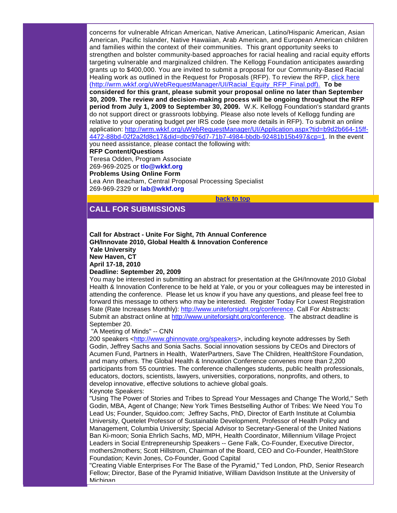concerns for vulnerable African American, Native American, Latino/Hispanic American, Asian American, Pacific Islander, Native Hawaiian, Arab American, and European American children and families within the context of their communities. This grant opportunity seeks to strengthen and bolster community-based approaches for racial healing and racial equity efforts targeting vulnerable and marginalized children. The Kellogg Foundation anticipates awarding grants up to \$400,000. You are invited to submit a proposal for our Community-Based Racial Healing work as outlined in the Request for Proposals (RFP). To review the RFP, [click here](http://ui.constantcontact.com/visualeditor/click%20here%20(http:/wrm.wkkf.org/uWebRequestManager/UI/Racial_Equity_RFP_Final.pdf).)  [\(http://wrm.wkkf.org/uWebRequestManager/UI/Racial\\_Equity\\_RFP\\_Final.pdf\).](http://ui.constantcontact.com/visualeditor/click%20here%20(http:/wrm.wkkf.org/uWebRequestManager/UI/Racial_Equity_RFP_Final.pdf).) **To be considered for this grant, please submit your proposal online no later than September 30, 2009. The review and decision-making process will be ongoing throughout the RFP period from July 1, 2009 to September 30, 2009.** W.K. Kellogg Foundation's standard grants do not support direct or grassroots lobbying. Please also note levels of Kellogg funding are relative to your operating budget per IRS code (see more details in RFP). To submit an online application: [http://wrm.wkkf.org/uWebRequestManager/UI/Application.aspx?tid=b9d2b664-15ff-](http://rs6.net/tn.jsp?et=1102701864389&s=1&e=001VaffixYFjpJDfGWlz-5uHDEwJmR2mwTQQq70NCJhB3POP1dKw9K3KeWR4lvG7TQ3z3ZdMrCiKgVDqkyPGFL3vbd6lEzuEfPyNgD-3ogNG8PoyK5IMTB9hlNnjJQbEPoWToP6rp95Sfr-G0gN4cjZ06Fu5TaiqRlgjlWhcHPBgZ7-2iIMILqdHVhJfYaICVG5wendgIArQtenyrie78OXFC0RiMoFfsFhOuKJAJ75vXfCa73GlNDDg_UHttr9tySLCv2F1GTxXsdRjPohNgPNCCqa9gF_BkswRcogPDKtk9I=)[4472-88bd-02f2a2fd8c17&did=dbc976d7-71b7-4984-bbdb-92481b15b497&cp=1.](http://rs6.net/tn.jsp?et=1102701864389&s=1&e=001VaffixYFjpJDfGWlz-5uHDEwJmR2mwTQQq70NCJhB3POP1dKw9K3KeWR4lvG7TQ3z3ZdMrCiKgVDqkyPGFL3vbd6lEzuEfPyNgD-3ogNG8PoyK5IMTB9hlNnjJQbEPoWToP6rp95Sfr-G0gN4cjZ06Fu5TaiqRlgjlWhcHPBgZ7-2iIMILqdHVhJfYaICVG5wendgIArQtenyrie78OXFC0RiMoFfsFhOuKJAJ75vXfCa73GlNDDg_UHttr9tySLCv2F1GTxXsdRjPohNgPNCCqa9gF_BkswRcogPDKtk9I=) In the event you need assistance, please contact the following with: **RFP Content/Questions**

Teresa Odden, Program Associate 269-969-2025 or **[tlo@wkkf.org](mailto:tlo@wkkf.org) Problems Using Online Form** Lea Ann Beacham, Central Proposal Processing Specialist 269-969-2329 or **[lab@wkkf.org](mailto:lab@wkkf.org)**

**[back to top](#page-0-1)**

# <span id="page-6-0"></span>**CALL FOR SUBMISSIONS**

#### **Call for Abstract - Unite For Sight, 7th Annual Conference GH/Innovate 2010, Global Health & Innovation Conference Yale University New Haven, CT April 17-18, 2010**

#### **Deadline: September 20, 2009**

You may be interested in submitting an abstract for presentation at the GH/Innovate 2010 Global Health & Innovation Conference to be held at Yale, or you or your colleagues may be interested in attending the conference. Please let us know if you have any questions, and please feel free to forward this message to others who may be interested. Register Today For Lowest Registration Rate (Rate Increases Monthly): [http://www.uniteforsight.org/conference.](http://rs6.net/tn.jsp?et=1102701864389&s=1&e=001VaffixYFjpJjLN0dm7T0bRjlwMTuFw38FUliv2qi-Yo_CaWFL4c_NWIA3IoNQpiPL2HrvXlNvkAEDc5NxCx4YHRffbDAbddv1gRHs8KkKVxW1cELKln_3enpwA7jnKY6) Call For Abstracts: Submit an abstract online at [http://www.uniteforsight.org/conference.](http://rs6.net/tn.jsp?et=1102701864389&s=1&e=001VaffixYFjpJjLN0dm7T0bRjlwMTuFw38FUliv2qi-Yo_CaWFL4c_NWIA3IoNQpiPL2HrvXlNvkAEDc5NxCx4YHRffbDAbddv1gRHs8KkKVxW1cELKln_3enpwA7jnKY6) The abstract deadline is September 20.

#### "A Meeting of Minds" -- CNN

200 speakers [<http://www.ghinnovate.org/speakers>](http://rs6.net/tn.jsp?et=1102701864389&s=1&e=001VaffixYFjpKYGQD-8vk2W3blmkSvhVt4QzDAOvIWS4m-1g3pH1gsAyn3_q29YbzMjRGnxX1kYniW9RqKe72IAa__30Q3G-kjNPr8Oy5lElUl8X3JX7w1LVQguIHPuQau), including keynote addresses by Seth Godin, Jeffrey Sachs and Sonia Sachs. Social innovation sessions by CEOs and Directors of Acumen Fund, Partners in Health, WaterPartners, Save The Children, HealthStore Foundation, and many others. The Global Health & Innovation Conference convenes more than 2,200 participants from 55 countries. The conference challenges students, public health professionals, educators, doctors, scientists, lawyers, universities, corporations, nonprofits, and others, to develop innovative, effective solutions to achieve global goals. Keynote Speakers:

"Using The Power of Stories and Tribes to Spread Your Messages and Change The World," Seth Godin, MBA, Agent of Change; New York Times Bestselling Author of Tribes: We Need You To Lead Us; Founder, Squidoo.com; Jeffrey Sachs, PhD, Director of Earth Institute at Columbia University, Quetelet Professor of Sustainable Development, Professor of Health Policy and Management, Columbia University; Special Advisor to Secretary-General of the United Nations Ban Ki-moon; Sonia Ehrlich Sachs, MD, MPH, Health Coordinator, Millennium Village Project Leaders in Social Entrepreneurship Speakers -- Gene Falk, Co-Founder, Executive Director, mothers2mothers; Scott Hillstrom, Chairman of the Board, CEO and Co-Founder, HealthStore Foundation; Kevin Jones, Co-Founder, Good Capital

"Creating Viable Enterprises For The Base of the Pyramid," Ted London, PhD, Senior Research Fellow; Director, Base of the Pyramid Initiative, William Davidson Institute at the University of Michigan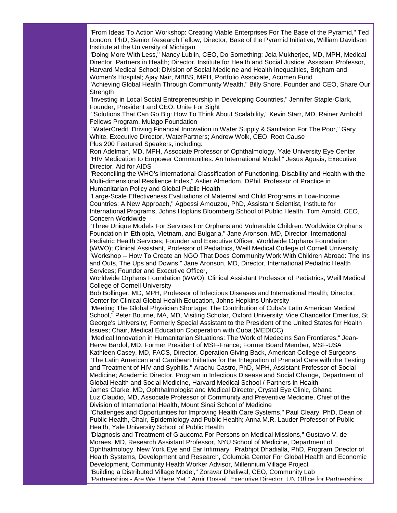"From Ideas To Action Workshop: Creating Viable Enterprises For The Base of the Pyramid," Ted London, PhD, Senior Research Fellow; Director, Base of the Pyramid Initiative, William Davidson Institute at the University of Michigan

"Doing More With Less," Nancy Lublin, CEO, Do Something; Joia Mukherjee, MD, MPH, Medical Director, Partners in Health; Director, Institute for Health and Social Justice; Assistant Professor, Harvard Medical School; Division of Social Medicine and Health Inequalities, Brigham and Women's Hospital; Ajay Nair, MBBS, MPH, Portfolio Associate, Acumen Fund

"Achieving Global Health Through Community Wealth," Billy Shore, Founder and CEO, Share Our Strenath

"Investing in Local Social Entrepreneurship in Developing Countries," Jennifer Staple-Clark, Founder, President and CEO, Unite For Sight

"Solutions That Can Go Big: How To Think About Scalability," Kevin Starr, MD, Rainer Arnhold Fellows Program, Mulago Foundation

"WaterCredit: Driving Financial Innovation in Water Supply & Sanitation For The Poor," Gary White, Executive Director, WaterPartners; Andrew Wolk, CEO, Root Cause Plus 200 Featured Speakers, including:

Ron Adelman, MD, MPH, Associate Professor of Ophthalmology, Yale University Eye Center "HIV Medication to Empower Communities: An International Model," Jesus Aguais, Executive Director, Aid for AIDS

"Reconciling the WHO's International Classification of Functioning, Disability and Health with the Multi-dimensional Resilience Index," Astier Almedom, DPhil, Professor of Practice in Humanitarian Policy and Global Public Health

"Large-Scale Effectiveness Evaluations of Maternal and Child Programs in Low-Income Countries: A New Approach," Agbessi Amouzou, PhD, Assistant Scientist, Institute for International Programs, Johns Hopkins Bloomberg School of Public Health, Tom Arnold, CEO, Concern Worldwide

"Three Unique Models For Services For Orphans and Vulnerable Children: Worldwide Orphans Foundation in Ethiopia, Vietnam, and Bulgaria," Jane Aronson, MD, Director, International Pediatric Health Services; Founder and Executive Officer, Worldwide Orphans Foundation (WWO); Clinical Assistant, Professor of Pediatrics, Weill Medical College of Cornell University "Workshop -- How To Create an NGO That Does Community Work With Children Abroad: The Ins and Outs, The Ups and Downs," Jane Aronson, MD, Director, International Pediatric Health Services; Founder and Executive Officer,

Worldwide Orphans Foundation (WWO); Clinical Assistant Professor of Pediatrics, Weill Medical College of Cornell University

Bob Bollinger, MD, MPH, Professor of Infectious Diseases and International Health; Director, Center for Clinical Global Health Education, Johns Hopkins University

"Meeting The Global Physician Shortage: The Contribution of Cuba's Latin American Medical School," Peter Bourne, MA, MD, Visiting Scholar, Oxford University; Vice Chancellor Emeritus, St. George's University; Formerly Special Assistant to the President of the United States for Health Issues; Chair, Medical Education Cooperation with Cuba (MEDICC)

"Medical Innovation in Humanitarian Situations: The Work of Medecins San Frontieres," Jean-Herve Bardol, MD, Former President of MSF-France; Former Board Member, MSF-USA Kathleen Casey, MD, FACS, Director, Operation Giving Back, American College of Surgeons "The Latin American and Carribean Initiative for the Integration of Prenatal Care with the Testing and Treatment of HIV and Syphilis," Arachu Castro, PhD, MPH, Assistant Professor of Social Medicine; Academic Director, Program in Infectious Disease and Social Change, Department of Global Health and Social Medicine, Harvard Medical School / Partners in Health

James Clarke, MD, Ophthalmologist and Medical Director, Crystal Eye Clinic, Ghana Luz Claudio, MD, Associate Professor of Community and Preventive Medicine, Chief of the Division of International Health, Mount Sinai School of Medicine

"Challenges and Opportunities for Improving Health Care Systems," Paul Cleary, PhD, Dean of Public Health, Chair, Epidemiology and Public Health; Anna M.R. Lauder Professor of Public Health, Yale University School of Public Health

"Diagnosis and Treatment of Glaucoma For Persons on Medical Missions," Gustavo V. de Moraes, MD, Research Assistant Professor, NYU School of Medicine, Department of Ophthalmology, New York Eye and Ear Infirmary; Prabhjot Dhadialla, PhD, Program Director of Health Systems, Development and Research, Columbia Center For Global Health and Economic Development, Community Health Worker Advisor, Millennium Village Project

"Building a Distributed Village Model," Zoravar Dhaliwal, CEO, Community Lab

"Partnerships - Are We There Yet," Amir Dossal, Executive Director, UN Office for Partnerships;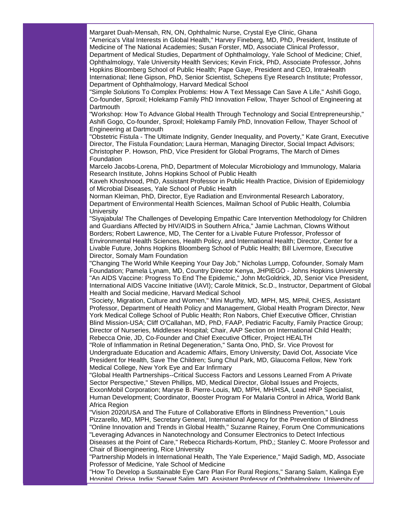Margaret Duah-Mensah, RN, ON, Ophthalmic Nurse, Crystal Eye Clinic, Ghana "America's Vital Interests in Global Health," Harvey Fineberg, MD, PhD, President, Institute of Medicine of The National Academies; Susan Forster, MD, Associate Clinical Professor, Department of Medical Studies, Department of Ophthalmology, Yale School of Medicine; Chief, Ophthalmology, Yale University Health Services; Kevin Frick, PhD, Associate Professor, Johns Hopkins Bloomberg School of Public Health; Pape Gaye, President and CEO, IntraHealth International; Ilene Gipson, PhD, Senior Scientist, Schepens Eye Research Institute; Professor, Department of Ophthalmology, Harvard Medical School

"Simple Solutions To Complex Problems: How A Text Message Can Save A Life," Ashifi Gogo, Co-founder, Sproxil; Holekamp Family PhD Innovation Fellow, Thayer School of Engineering at **Dartmouth** 

"Workshop: How To Advance Global Health Through Technology and Social Entrepreneurship," Ashifi Gogo, Co-founder, Sproxil; Holekamp Family PhD, Innovation Fellow, Thayer School of Engineering at Dartmouth

"Obstetric Fistula - The Ultimate Indignity, Gender Inequality, and Poverty," Kate Grant, Executive Director, The Fistula Foundation; Laura Herman, Managing Director, Social Impact Advisors; Christopher P. Howson, PhD, Vice President for Global Programs, The March of Dimes Foundation

Marcelo Jacobs-Lorena, PhD, Department of Molecular Microbiology and Immunology, Malaria Research Institute, Johns Hopkins School of Public Health

Kaveh Khoshnood, PhD, Assistant Professor in Public Health Practice, Division of Epidemiology of Microbial Diseases, Yale School of Public Health

Norman Kleiman, PhD, Director, Eye Radiation and Environmental Research Laboratory, Department of Environmental Health Sciences, Mailman School of Public Health, Columbia **University** 

"Siyajabula! The Challenges of Developing Empathic Care Intervention Methodology for Children and Guardians Affected by HIV/AIDS in Southern Africa," Jamie Lachman, Clowns Without Borders; Robert Lawrence, MD, The Center for a Livable Future Professor, Professor of Environmental Health Sciences, Health Policy, and International Health; Director, Center for a Livable Future, Johns Hopkins Bloomberg School of Public Health; Bill Livermore, Executive Director, Somaly Mam Foundation

"Changing The World While Keeping Your Day Job," Nicholas Lumpp, Cofounder, Somaly Mam Foundation; Pamela Lynam, MD, Country Director Kenya, JHPIEGO - Johns Hopkins University "An AIDS Vaccine: Progress To End The Epidemic," John McGoldrick, JD, Senior Vice President, International AIDS Vaccine Initiative (IAVI); Carole Mitnick, Sc.D., Instructor, Department of Global Health and Social medicine, Harvard Medical School

"Society, Migration, Culture and Women," Mini Murthy, MD, MPH, MS, MPhil, CHES, Assistant Professor, Department of Health Policy and Management, Global Health Program Director, New York Medical College School of Public Health; Ron Nabors, Chief Executive Officer, Christian Blind Mission-USA; Cliff O'Callahan, MD, PhD, FAAP, Pediatric Faculty, Family Practice Group; Director of Nurseries, Middlesex Hospital; Chair, AAP Section on International Child Health; Rebecca Onie, JD, Co-Founder and Chief Executive Officer, Project HEALTH

"Role of Inflammation in Retinal Degeneration," Santa Ono, PhD, Sr. Vice Provost for Undergraduate Education and Academic Affairs, Emory University; David Oot, Associate Vice President for Health, Save The Children; Sung Chul Park, MD, Glaucoma Fellow, New York Medical College, New York Eye and Ear Infirmary

"Global Health Partnerships--Critical Success Factors and Lessons Learned From A Private Sector Perspective," Steven Phillips, MD, Medical Director, Global Issues and Projects, ExxonMobil Corporation; Maryse B. Pierre-Louis, MD, MPH, MH/HSA, Lead HNP Specialist, Human Development; Coordinator, Booster Program For Malaria Control in Africa, World Bank Africa Region

"Vision 2020/USA and The Future of Collaborative Efforts in Blindness Prevention," Louis Pizzarello, MD, MPH, Secretary General, International Agency for the Prevention of Blindness "Online Innovation and Trends in Global Health," Suzanne Rainey, Forum One Communications "Leveraging Advances in Nanotechnology and Consumer Electronics to Detect Infectious Diseases at the Point of Care," Rebecca Richards-Kortum, PhD,; Stanley C. Moore Professor and Chair of Bioengineering, Rice University

"Partnership Models in International Health, The Yale Experience," Majid Sadigh, MD, Associate Professor of Medicine, Yale School of Medicine

"How To Develop a Sustainable Eye Care Plan For Rural Regions," Sarang Salam, Kalinga Eye Hospital, Orissa, India; Sarwat Salim, MD, Assistant Professor of Ophthalmology, University of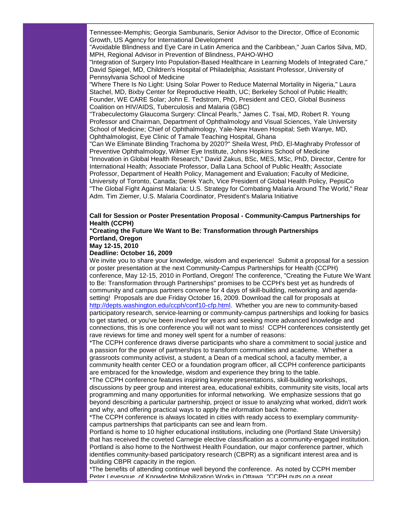Tennessee-Memphis; Georgia Sambunaris, Senior Advisor to the Director, Office of Economic Growth, US Agency for International Development

"Avoidable Blindness and Eye Care in Latin America and the Caribbean," Juan Carlos Silva, MD, MPH, Regional Advisor in Prevention of Blindness, PAHO-WHO

"Integration of Surgery Into Population-Based Healthcare in Learning Models of Integrated Care," David Spiegel, MD, Children's Hospital of Philadelphia; Assistant Professor, University of Pennsylvania School of Medicine

"Where There Is No Light: Using Solar Power to Reduce Maternal Mortality in Nigeria," Laura Stachel, MD, Bixby Center for Reproductive Health, UC; Berkeley School of Public Health; Founder, WE CARE Solar; John E. Tedstrom, PhD, President and CEO, Global Business Coalition on HIV/AIDS, Tuberculosis and Malaria (GBC)

"Trabeculectomy Glaucoma Surgery: Clincal Pearls," James C. Tsai, MD, Robert R. Young Professor and Chairman, Department of Ophthalmology and Visual Sciences, Yale University School of Medicine; Chief of Ophthalmology, Yale-New Haven Hospital; Seth Wanye, MD, Ophthalmologist, Eye Clinic of Tamale Teaching Hospital, Ghana

"Can We Eliminate Blinding Trachoma by 2020?" Sheila West, PhD, El-Maghraby Professor of Preventive Ophthalmology, Wilmer Eye Institute, Johns Hopkins School of Medicine "Innovation in Global Health Research," David Zakus, BSc, MES, MSc, PhD, Director, Centre for International Health; Associate Professor, Dalla Lana School of Public Health; Associate Professor, Department of Health Policy, Management and Evaluation; Faculty of Medicine, University of Toronto, Canada; Derek Yach, Vice President of Global Health Policy, PepsiCo "The Global Fight Against Malaria: U.S. Strategy for Combating Malaria Around The World," Rear Adm. Tim Ziemer, U.S. Malaria Coordinator, President's Malaria Initiative

#### **Call for Session or Poster Presentation Proposal - Community-Campus Partnerships for Health (CCPH)**

# **"Creating the Future We Want to Be: Transformation through Partnerships Portland, Oregon**

**May 12-15, 2010**

#### **Deadline: October 16, 2009**

We invite you to share your knowledge, wisdom and experience! Submit a proposal for a session or poster presentation at the next Community-Campus Partnerships for Health (CCPH) conference, May 12-15, 2010 in Portland, Oregon! The conference, "Creating the Future We Want to Be: Transformation through Partnerships" promises to be CCPH's best yet as hundreds of community and campus partners convene for 4 days of skill-building, networking and agendasetting! Proposals are due Friday October 16, 2009. Download the call for proposals at [http://depts.washington.edu/ccph/conf10-cfp.html.](http://rs6.net/tn.jsp?et=1102701864389&s=1&e=001VaffixYFjpLZRd9Tsc0RPgU7uA3sweFZzF0xy5z1CMPBc1ZGWOH4CQHq3YQ9irnqaFxE68Zg_hI_mkFq494T5UA9UV-H8Kr35I91xfxUMq_r7rLBgEtcgrgDKRIxTZxzzZulFr3ptgJEHHAuPX12Sw==) Whether you are new to community-based participatory research, service-learning or community-campus partnerships and looking for basics to get started, or you've been involved for years and seeking more advanced knowledge and connections, this is one conference you will not want to miss! CCPH conferences consistently get rave reviews for time and money well spent for a number of reasons:

\*The CCPH conference draws diverse participants who share a commitment to social justice and a passion for the power of partnerships to transform communities and academe. Whether a grassroots community activist, a student, a Dean of a medical school, a faculty member, a community health center CEO or a foundation program officer, all CCPH conference participants are embraced for the knowledge, wisdom and experience they bring to the table.

\*The CCPH conference features inspiring keynote presentations, skill-building workshops, discussions by peer group and interest area, educational exhibits, community site visits, local arts programming and many opportunities for informal networking. We emphasize sessions that go beyond describing a particular partnership, project or issue to analyzing what worked, didn't work and why, and offering practical ways to apply the information back home.

\*The CCPH conference is always located in cities with ready access to exemplary communitycampus partnerships that participants can see and learn from.

Portland is home to 10 higher educational institutions, including one (Portland State University) that has received the coveted Carnegie elective classification as a community-engaged institution. Portland is also home to the Northwest Health Foundation, our major conference partner, which identifies community-based participatory research (CBPR) as a significant interest area and is building CBPR capacity in the region.

\*The benefits of attending continue well beyond the conference. As noted by CCPH member Peter Levesque, of Knowledge Mobilization Works in Ottawa, "CCPH puts on a great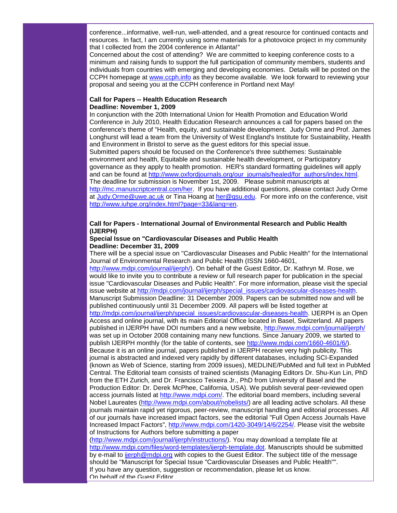conference...informative, well-run, well-attended, and a great resource for continued contacts and resources. In fact, I am currently using some materials for a photovoice project in my community that I collected from the 2004 conference in Atlanta!"

Concerned about the cost of attending? We are committed to keeping conference costs to a minimum and raising funds to support the full participation of community members, students and individuals from countries with emerging and developing economies. Details will be posted on the CCPH homepage at [www.ccph.info](http://rs6.net/tn.jsp?et=1102701864389&s=1&e=001VaffixYFjpIluCN08gPudyGiZGjHZ_In3lKz5Oa2ebkTBIavvLfySoGtzRAoHTKFV9bLp38quiAAYdt8a5vvPpSfwJHCSpwRt-k3lSYtwL0=) as they become available. We look forward to reviewing your proposal and seeing you at the CCPH conference in Portland next May!

#### **Call for Papers -- Health Education Research Deadline: November 1, 2009**

In conjunction with the 20th International Union for Health Promotion and Education World Conference in July 2010, Health Education Research announces a call for papers based on the conference's theme of "Health, equity, and sustainable development. Judy Orme and Prof. James Longhurst will lead a team from the University of West England's Institute for Sustainability, Health and Environment in Bristol to serve as the guest editors for this special issue.

Submitted papers should be focused on the Conference's three subthemes: Sustainable environment and health, Equitable and sustainable health development, or Participatory governance as they apply to health promotion. HER's standard formatting guidelines will apply and can be found at [http://www.oxfordjournals.org/our\\_journals/healed/for\\_authors/index.html.](http://rs6.net/tn.jsp?et=1102701864389&s=1&e=001VaffixYFjpIvoxeSzJugIRwpY0Z_V2WBMWbExgFFOlYFLdHO74iFUAn-z-RK0NvpIm1Nviz_KhKewSb_VzkWQOKPgT1fpi5l6AWnPwKKOHjjKqKHvdy2ws8WapZe5Up4mMI2gYURN7T-hRIIr-lQx1_I9-k5id8YYjnw1M0J0yrbxVQhS48vHw==) The deadline for submission is November 1st, 2009. Please submit manuscripts at [http://mc.manuscriptcentral.com/her.](http://rs6.net/tn.jsp?et=1102701864389&s=1&e=001VaffixYFjpK9cA0EelsWVCAr1d3DOcjLHfEqS6vWG-n4ETOnlgrrs5rhL1IY84WdqzprzgMu5A9w-Kkj1mZvn0NUdDLNsbBqaI4d5V8kyyYgN61OO7TGijx9JOLzQgCw) If you have additional questions, please contact Judy Orme at [Judy.Orme@uwe.ac.uk](mailto:Judy.Orme@uwe.ac.uk) or Tina Hoang at [her@gsu.edu.](mailto:her@gsu.edu) For more info on the conference, visit [http://www.iuhpe.org/index.html?page=33&lang=en.](http://rs6.net/tn.jsp?et=1102701864389&s=1&e=001VaffixYFjpJ0iUOMYDbMoBbcEywawIZ3B38E0OcC3IUEO0hP-fMLR8UVdKjG2iNkSj0z4YX_YR7w14C40vvCN1CrGiTJLA12hpaieOUGZxS-8nPLWD6W8zGU-GFuOg3MtHAnnxC5ovQePqNwG7eM9Q==)

#### **Call for Papers - International Journal of Environmental Research and Public Health (IJERPH)**

#### **Special Issue on "Cardiovascular Diseases and Public Health Deadline: December 31, 2009**

There will be a special issue on "Cardiovascular Diseases and Public Health" for the International Journal of Environmental Research and Public Health (ISSN 1660-4601, [http://www.mdpi.com/journal/ijerph/\)](http://rs6.net/tn.jsp?et=1102701864389&s=1&e=001VaffixYFjpIclmir5qRyNLO07ElQwNwEtqBK5gDSvAmBtS6xw_nBVtQGh6trJdeIbInN6ZSjLYMxyHIv7_r73R1d1C1cnwPxujjsHdYuO2MrYmd3yJTG1aEk8jpIOxAt). On behalf of the Guest Editor, Dr. Kathryn M. Rose, we would like to invite you to contribute a review or full research paper for publication in the special issue "Cardiovascular Diseases and Public Health". For more information, please visit the special issue website at [http://mdpi.com/journal/ijerph/special\\_issues/cardiovascular-diseases-health.](http://rs6.net/tn.jsp?et=1102701864389&s=1&e=001VaffixYFjpK3FCgIa3T72jRdQXJd25e8urpeMlT70NztcV0-EJi4QOeR_DVihkzGLsA9Xw97wqaR2r0SyBby28ZVP4z6SXRAGAe-3hkvKESg4qHACdfJSShF6vmqQGkwVfKVkg0cGnUlZP0toA1-Th4obncwwZHhE7GvC6BDdfz38bLQDEGwl5Gj_auM50Jl) Manuscript Submission Deadline: 31 December 2009. Papers can be submitted now and will be published continuously until 31 December 2009. All papers will be listed together at [http://mdpi.com/journal/ijerph/special\\_issues/cardiovascular-diseases-health.](http://rs6.net/tn.jsp?et=1102701864389&s=1&e=001VaffixYFjpK3FCgIa3T72jRdQXJd25e8urpeMlT70NztcV0-EJi4QOeR_DVihkzGLsA9Xw97wqaR2r0SyBby28ZVP4z6SXRAGAe-3hkvKESg4qHACdfJSShF6vmqQGkwVfKVkg0cGnUlZP0toA1-Th4obncwwZHhE7GvC6BDdfz38bLQDEGwl5Gj_auM50Jl) IJERPH is an Open Access and online journal, with its main Editorial Office located in Basel, Switzerland. All papers published in IJERPH have DOI numbers and a new website, [http://www.mdpi.com/journal/ijerph/](http://rs6.net/tn.jsp?et=1102701864389&s=1&e=001VaffixYFjpIclmir5qRyNLO07ElQwNwEtqBK5gDSvAmBtS6xw_nBVtQGh6trJdeIbInN6ZSjLYMxyHIv7_r73R1d1C1cnwPxujjsHdYuO2MrYmd3yJTG1aEk8jpIOxAt) was set up in October 2008 containing many new functions. Since January 2009, we started to publish IJERPH monthly (for the table of contents, see [http://www.mdpi.com/1660-4601/6/\)](http://rs6.net/tn.jsp?et=1102701864389&s=1&e=001VaffixYFjpJ--_Ogrx_gHmLV_evZjTCKvOJqKi7gTC54De7KEdFwj7iGMB7uifIyEYMY5qyH5IPs3W084IBp6mX2iVnIDnFj9JUioyGUq3L3Ry0bLsXunY1_rLBVUmSl). Because it is an online journal, papers published in IJERPH receive very high publicity. This journal is abstracted and indexed very rapidly by different databases, including SCI-Expanded (known as Web of Science, starting from 2009 issues), MEDLINE/PubMed and full text in PubMed Central. The Editorial team consists of trained scientists (Managing Editors Dr. Shu-Kun Lin, PhD from the ETH Zurich, and Dr. Francisco Teixeira Jr., PhD from University of Basel and the Production Editor: Dr. Derek McPhee, California, USA). We publish several peer-reviewed open access journals listed at [http://www.mdpi.com/.](http://rs6.net/tn.jsp?et=1102701864389&s=1&e=001VaffixYFjpI6OFEUnpAIwVQ56fjNsIi8tThIS1_4-qMDXVvga1xNbMszJkiqpw5rxDnjd2z4DPoVeEb3x1snaB2kWwc3YjraO1JXW5WzR5I=) The editorial board members, including several Nobel Laureates [\(http://www.mdpi.com/about/nobelists/\)](http://rs6.net/tn.jsp?et=1102701864389&s=1&e=001VaffixYFjpJ-TNEt9VZYpTrZDGqCa3QoRgsoLixS6-Od3Q5yz-qrgZm1ORIN7f_jF-522FSCB_UsvBWvaRm26w5hdiV2MqNZNr7dS9Ivz0fhT7935ba3BUJOXLdobMhg) are all leading active scholars. All these journals maintain rapid yet rigorous, peer-review, manuscript handling and editorial processes. All of our journals have increased impact factors, see the editorial "Full Open Access Journals Have Increased Impact Factors", [http://www.mdpi.com/1420-3049/14/6/2254/.](http://rs6.net/tn.jsp?et=1102701864389&s=1&e=001VaffixYFjpLw9VYh5fHxFwn1d4AjOPJ5Q-X8cFxDkUlocZaGvuXYL5Cucbixg758CWK53RatKWmdTXnWtQuyjw_zPyTRT5c0nphHGoaiuhK2AmYLzqWizr21GuOm_75U5ahwWuLX8UU=) Please visit the website of Instructions for Authors before submitting a paper

[\(http://www.mdpi.com/journal/ijerph/instructions/\)](http://rs6.net/tn.jsp?et=1102701864389&s=1&e=001VaffixYFjpJUyMZKrqu5fj1dDQoLjIUGOQhSaN2OsNgsTPyNcU0aiEgwg4d8SSrXoIrCxAn-reUGtPsX4JMR8GwaWCttRlNmx5CYXQ8pOE5lcuQGdEkvXmhhAkG2f18A9NQgCGDz_XJEKXDhDJQDmA==). You may download a template file at [http://www.mdpi.com/files/word-templates/ijerph-template.dot.](http://rs6.net/tn.jsp?et=1102701864389&s=1&e=001VaffixYFjpLBdjsVnzsHXkn9L5ypMxp0LiCUOUY5ejfpE_1jMTa9R9keC7pVs3AAH0N__kb-cKmEjqlSOhA1lhaKLl9ooQPtkT2CFQDSpBbgz9xinm1uGeBK5b1thInuelW3Cd4s598MVUc9_EY5_6kxZ1dfIJyR) Manuscripts should be submitted by e-mail to [ijerph@mdpi.org](mailto:ijerph@mdpi.org) with copies to the Guest Editor. The subject title of the message should be "Manuscript for Special Issue "Cardiovascular Diseases and Public Health"". If you have any question, suggestion or recommendation, please let us know. On behalf of the Guest Editor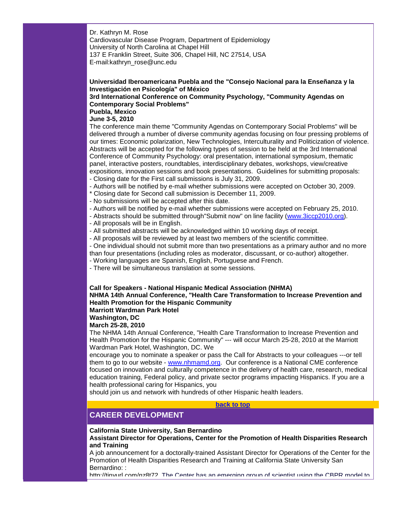Dr. Kathryn M. Rose Cardiovascular Disease Program, Department of Epidemiology University of North Carolina at Chapel Hill 137 E Franklin Street, Suite 306, Chapel Hill, NC 27514, USA E-mail:kathryn\_rose@unc.edu

#### **Universidad Iberoamericana Puebla and the "Consejo Nacional para la Enseñanza y la Investigación en Psicología" of México**

## **3rd International Conference on Community Psychology, "Community Agendas on Contemporary Social Problems"**

# **Puebla, Mexico**

# **June 3-5, 2010**

The conference main theme "Community Agendas on Contemporary Social Problems" will be delivered through a number of diverse community agendas focusing on four pressing problems of our times: Economic polarization, New Technologies, Interculturality and Politicization of violence. Abstracts will be accepted for the following types of session to be held at the 3rd International Conference of Community Psychology: oral presentation, international symposium, thematic panel, interactive posters, roundtables, interdisciplinary debates, workshops, view/creative expositions, innovation sessions and book presentations. Guidelines for submitting proposals:

- Closing date for the First call submissions is July 31, 2009.
- Authors will be notified by e-mail whether submissions were accepted on October 30, 2009.
- \* Closing date for Second call submission is December 11, 2009.
- No submissions will be accepted after this date.
- Authors will be notified by e-mail whether submissions were accepted on February 25, 2010.
- Abstracts should be submitted through"Submit now" on line facility [\(www.3iccp2010.org\)](http://rs6.net/tn.jsp?et=1102701864389&s=1&e=001VaffixYFjpKOam-EBqu6OAfXtGR06KyHUrWb-WZ-zrYHs0IWPRUC91oTCwV0S6QYZ0-XnczoIqEthuCBVmRSr7BSmlkhyNExZVBTYbQad5gJaBKyLqSJeg==).
- All proposals will be in English.
- All submitted abstracts will be acknowledged within 10 working days of receipt.
- All proposals will be reviewed by at least two members of the scientific committee.

- One individual should not submit more than two presentations as a primary author and no more than four presentations (including roles as moderator, discussant, or co-author) altogether.

- Working languages are Spanish, English, Portuguese and French.
- There will be simultaneous translation at some sessions.

# **Call for Speakers - National Hispanic Medical Association (NHMA)**

**NHMA 14th Annual Conference, "Health Care Transformation to Increase Prevention and Health Promotion for the Hispanic Community**

#### **Marriott Wardman Park Hotel**

**Washington, DC**

#### **March 25-28, 2010**

The NHMA 14th Annual Conference, "Health Care Transformation to Increase Prevention and Health Promotion for the Hispanic Community" --- will occur March 25-28, 2010 at the Marriott Wardman Park Hotel, Washington, DC. We

encourage you to nominate a speaker or pass the Call for Abstracts to your colleagues ---or tell them to go to our website - [www.nhmamd.org.](http://rs6.net/tn.jsp?et=1102701864389&s=1&e=001VaffixYFjpIuZQpkqXQa26aJmU5kaToxQDgYWU6yzaIG1TLhrCxclIKrA4ROwhI71kYuaBJwjUyDymPMKf3xtz-chs1hIHo3i80Iy1H6bsA=) Our conference is a National CME conference focused on innovation and culturally competence in the delivery of health care, research, medical education training, Federal policy, and private sector programs impacting Hispanics. If you are a health professional caring for Hispanics, you

should join us and network with hundreds of other Hispanic health leaders.

#### **[back to top](#page-0-1)**

# <span id="page-11-0"></span>**CAREER DEVELOPMENT**

**California State University, San Bernardino**

**Assistant Director for Operations, Center for the Promotion of Health Disparities Research and Training**

A job announcement for a doctorally-trained Assistant Director for Operations of the Center for the Promotion of Health Disparities Research and Training at California State University San Bernardino: :

[http://tinyurl.com/nz8t72.](http://rs6.net/tn.jsp?et=1102701864389&s=1&e=001VaffixYFjpIAYTxHTzKlfFMiyQLByGISLz24GHRTlF2sSYkaAf0vRge5xX0TmYFm7bnW9VzcFD8niyjddB2XBvzm8K36IKTlyUnpF6zDG83RXsiERo8hyrhwI4vBOwj26U2Wl--PsamXYoNBPjTIY3X5EVoZcI61zIqaAvDqFq5fnoGQK43mFQ==) The Center has an emerging group of scientist using the CBPR model to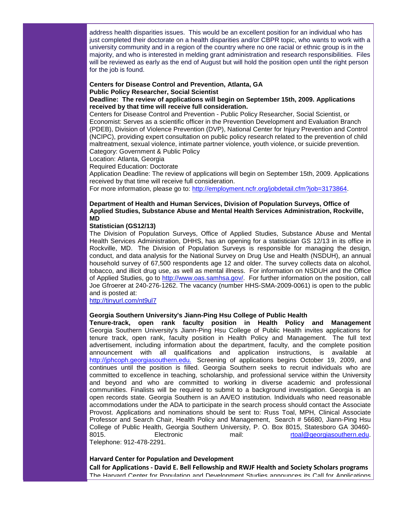address health disparities issues. This would be an excellent position for an individual who has just completed their doctorate on a health disparities and/or CBPR topic, who wants to work with a university community and in a region of the country where no one racial or ethnic group is in the majority, and who is interested in melding grant administration and research responsibilities. Files will be reviewed as early as the end of August but will hold the position open until the right person for the job is found.

#### **Centers for Disease Control and Prevention, Atlanta, GA Public Policy Researcher, Social Scientist**

**Deadline: The review of applications will begin on September 15th, 2009. Applications received by that time will receive full consideration.**

Centers for Disease Control and Prevention - Public Policy Researcher, Social Scientist, or Economist: Serves as a scientific officer in the Prevention Development and Evaluation Branch (PDEB), Division of Violence Prevention (DVP), National Center for Injury Prevention and Control (NCIPC), providing expert consultation on public policy research related to the prevention of child maltreatment, sexual violence, intimate partner violence, youth violence, or suicide prevention. Category: Government & Public Policy

Location: Atlanta, Georgia

Required Education: Doctorate

Application Deadline: The review of applications will begin on September 15th, 2009. Applications received by that time will receive full consideration.

For more information, please go to: [http://employment.ncfr.org/jobdetail.cfm?job=3173864.](http://rs6.net/tn.jsp?et=1102701864389&s=1&e=001VaffixYFjpKj77MJ5UfnDeWn78_ikoaqQV7rBPcXbEQrPZuYb7QKvvCxN4VjYaZeHJaYS7mQVeuurpAU7X23X-dEG8TwXw-YqFtJ_XJPlBNOTvP74qNZmeii0HAD4nLlQ0TNvIDfIIYGol4myyzWvg==)

#### **Department of Health and Human Services, Division of Population Surveys, Office of Applied Studies, Substance Abuse and Mental Health Services Administration, Rockville, MD**

#### **Statistician (GS12/13)**

The Division of Population Surveys, Office of Applied Studies, Substance Abuse and Mental Health Services Administration, DHHS, has an opening for a statistician GS 12/13 in its office in Rockville, MD. The Division of Population Surveys is responsible for managing the design, conduct, and data analysis for the National Survey on Drug Use and Health (NSDUH), an annual household survey of 67,500 respondents age 12 and older. The survey collects data on alcohol, tobacco, and illicit drug use, as well as mental illness. For information on NSDUH and the Office of Applied Studies, go to [http://www.oas.samhsa.gov/.](http://rs6.net/tn.jsp?et=1102701864389&s=1&e=001VaffixYFjpKwi3dr_xOqslC5qYyYM7OhBmAaps_wm4T3-mJjvufWaaS8FnaFe2dsZy4jrmMrcyj6C2YuBte81EO-PGfmO6FQKPv--rjs-Hg25Qh56qXlhQ==) For further information on the position, call Joe Gfroerer at 240-276-1262. The vacancy (number HHS-SMA-2009-0061) is open to the public and is posted at:

[http://tinyurl.com/nt9ul7](http://rs6.net/tn.jsp?et=1102701864389&s=1&e=001VaffixYFjpK6W29ZzuTisa8GcNlyiNL3iPk69ZhYBsk_pzul7ryo_NM5ieBVfC7IocVcqx-Bp81Ki3XVRfGxr8YWY1_jPZuJ86Gky_EGh5qvb5uNLwPn5LkU2n4GUquir1hQi5IGslsVx8H3ZtJPuV3aCKB0yHRjw7wZbm-4HeCBfLRgvaxU-GIr7aKrlpK8MbsNWouPvkYZkO1mIdylmgMGhYVr7FgTSeMyY_4Z2JRm-Mu48thnaZkWPnKxr3oU4FD4Iy6l-xdPVMk1qlhNXn24BsSxUiRVAYRgUNL7jXrw7hRhQwjaaPbtBJa__zTTHScHtrrm2LRpG2qmGVtpJISJ9O3qmBUqKBXDZfSf8yQ=)

#### **Georgia Southern University's Jiann-Ping Hsu College of Public Health**

**Tenure-track, open rank faculty position in Health Policy and Management** Georgia Southern University's Jiann-Ping Hsu College of Public Health invites applications for tenure track, open rank, faculty position in Health Policy and Management. The full text advertisement, including information about the department, faculty, and the complete position announcement with all qualifications and application instructions, is available at [http://jphcoph.georgiasouthern.edu.](http://rs6.net/tn.jsp?et=1102701864389&s=1&e=001VaffixYFjpI7b1ncjxvds8YM7t4WGkHpYFFXqGuAvYitFuGI2LUyGQ3v9Lm850XqHS7PpAsG2DItreRHsVqU3E6iq-X119TNoQBveqO9UcrK5i79dY5oQVun3lYhvCxB) Screening of applications begins October 19, 2009, and continues until the position is filled. Georgia Southern seeks to recruit individuals who are committed to excellence in teaching, scholarship, and professional service within the University and beyond and who are committed to working in diverse academic and professional communities. Finalists will be required to submit to a background investigation. Georgia is an open records state. Georgia Southern is an AA/EO institution. Individuals who need reasonable accommodations under the ADA to participate in the search process should contact the Associate Provost. Applications and nominations should be sent to: Russ Toal, MPH, Clinical Associate Professor and Search Chair, Health Policy and Management, Search # 56680, Jiann-Ping Hsu College of Public Health, Georgia Southern University, P. O. Box 8015, Statesboro GA 30460-<br>Bottonic mail: mail: rtoal@georgiasouthern.edu. [rtoal@georgiasouthern.edu.](mailto:rtoal@georgiasouthern.edu) Telephone: 912-478-2291.

#### **Harvard Center for Population and Development**

**Call for Applications - David E. Bell Fellowship and RWJF Health and Society Scholars programs** The Harvard Center for Population and Development Studies announces its Call for Applications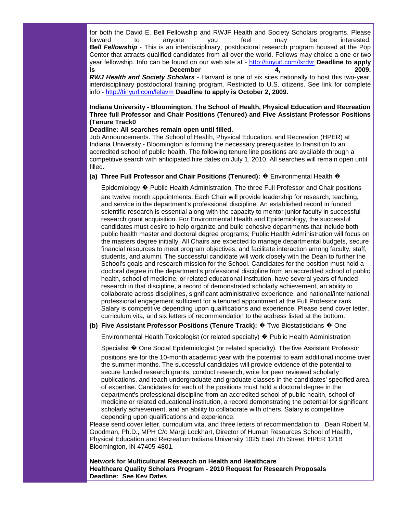for both the David E. Bell Fellowship and RWJF Health and Society Scholars programs. Please forward to anyone you feel may be interested. **Bell Fellowship** - This is an interdisciplinary, postdoctoral research program housed at the Pop Center that attracts qualified candidates from all over the world. Fellows may choice a one or two year fellowship. Info can be found on our web site at - [http://tinyurl.com/lxrdvr](http://rs6.net/tn.jsp?et=1102701864389&s=1&e=001VaffixYFjpIFLbFpLUg70yRfhq1eSRMyNjNqNpFkKm8v02i_Gr1LeRBzdqLnMJYAb-QhPWzReZyoixGBTWRwDmiJL6GVdeW209rL3P4YB8h1PXjy_YRYNQ==) **Deadline to apply is December 4, 2009.** *RWJ Health and Society Scholars* - Harvard is one of six sites nationally to host this two-year, interdisciplinary postdoctoral training program. Restricted to U.S. citizens. See link for complete info - [http://tinyurl.com/lelavm](http://rs6.net/tn.jsp?et=1102701864389&s=1&e=001VaffixYFjpIibIM5GagljnNxr4LuOLUMe3lGZTgXstxz8u20FHtH7KTKnjsMKRv3glUw2eOzyMXEWJ8ZypqDVblTRAH7ZUvVvBKPyuT2WyhInjVSF2RDDg==) **Deadline to apply is October 2, 2009.**

### **Indiana University - Bloomington, The School of Health, Physical Education and Recreation Three full Professor and Chair Positions (Tenured) and Five Assistant Professor Positions (Tenure Track0**

#### **Deadline: All searches remain open until filled.**

Job Announcements. The School of Health, Physical Education, and Recreation (HPER) at Indiana University - Bloomington is forming the necessary prerequisites to transition to an accredited school of public health. The following tenure line positions are available through a competitive search with anticipated hire dates on July 1, 2010. All searches will remain open until filled.

#### **(a) Three Full Professor and Chair Positions (Tenured):** � Environmental Health �

Epidemiology � Public Health Administration. The three Full Professor and Chair positions

are twelve month appointments. Each Chair will provide leadership for research, teaching, and service in the department's professional discipline. An established record in funded scientific research is essential along with the capacity to mentor junior faculty in successful research grant acquisition. For Environmental Health and Epidemiology, the successful candidates must desire to help organize and build cohesive departments that include both public health master and doctoral degree programs; Public Health Administration will focus on the masters degree initially. All Chairs are expected to manage departmental budgets, secure financial resources to meet program objectives; and facilitate interaction among faculty, staff, students, and alumni. The successful candidate will work closely with the Dean to further the School's goals and research mission for the School. Candidates for the position must hold a doctoral degree in the department's professional discipline from an accredited school of public health, school of medicine, or related educational institution, have several years of funded research in that discipline, a record of demonstrated scholarly achievement, an ability to collaborate across disciplines, significant administrative experience, and national/international professional engagement sufficient for a tenured appointment at the Full Professor rank. Salary is competitive depending upon qualifications and experience. Please send cover letter, curriculum vita, and six letters of recommendation to the address listed at the bottom.

#### **(b) Five Assistant Professor Positions (Tenure Track):** � Two Biostatisticians � One

Environmental Health Toxicologist (or related specialty) � Public Health Administration

Specialist � One Social Epidemiologist (or related specialty). The five Assistant Professor

positions are for the 10-month academic year with the potential to earn additional income over the summer months. The successful candidates will provide evidence of the potential to secure funded research grants, conduct research, write for peer reviewed scholarly publications, and teach undergraduate and graduate classes in the candidates' specified area of expertise. Candidates for each of the positions must hold a doctoral degree in the department's professional discipline from an accredited school of public health, school of medicine or related educational institution, a record demonstrating the potential for significant scholarly achievement, and an ability to collaborate with others. Salary is competitive depending upon qualifications and experience.

Please send cover letter, curriculum vita, and three letters of recommendation to: Dean Robert M. Goodman, Ph.D., MPH C/o Margi Lockhart, Director of Human Resources School of Health, Physical Education and Recreation Indiana University 1025 East 7th Street, HPER 121B Bloomington, IN 47405-4801.

**Network for Multicultural Research on Health and Healthcare Healthcare Quality Scholars Program - 2010 Request for Research Proposals Deadline: See Key Dates**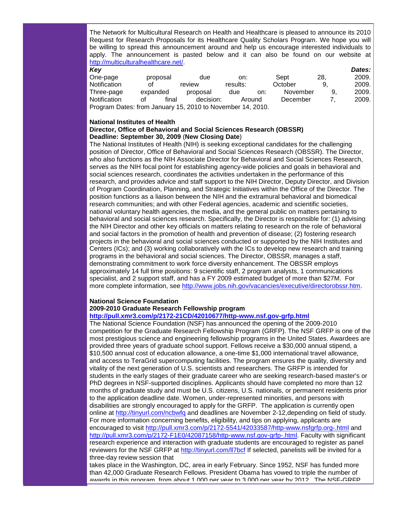The Network for Multicultural Research on Health and Healthcare is pleased to announce its 2010 Request for Research Proposals for its Healthcare Quality Scholars Program. We hope you will be willing to spread this announcement around and help us encourage interested individuals to apply. The announcement is pasted below and it can also be found on our website at [http://multiculturalhealthcare.net/.](http://rs6.net/tn.jsp?et=1102701864389&s=1&e=001VaffixYFjpI4PPGGjcvGRi-OBhuW68dwxkm54syuK2HcITUdr_8SGf8L3cPzU4n51Pj5_gKT89_VOZs70AK8L8kQCYf_UCYxavZ3ZtxO2kTlxcV2DV-ricvZmWMAypvw)

| Key                                                        |          |       |           |          |     |          |     | Dates: |
|------------------------------------------------------------|----------|-------|-----------|----------|-----|----------|-----|--------|
| One-page                                                   | proposal |       | due       | on:      |     | Sept     | 28. | 2009.  |
| Notification                                               | Ωt       |       | review    | results: |     | October  | 9   | 2009.  |
| Three-page                                                 | expanded |       | proposal  | due      | on: | November | 9   | 2009.  |
| Notification                                               | Ωt       | final | decision: | Around   |     | December |     | 2009.  |
| Program Dates: from January 15, 2010 to November 14, 2010. |          |       |           |          |     |          |     |        |

#### **National Institutes of Health**

#### **Director, Office of Behavioral and Social Sciences Research (OBSSR) Deadline: September 30, 2009** (**New Closing Date**)

The National Institutes of Health (NIH) is seeking exceptional candidates for the challenging position of Director, Office of Behavioral and Social Sciences Research (OBSSR). The Director, who also functions as the NIH Associate Director for Behavioral and Social Sciences Research, serves as the NIH focal point for establishing agency-wide policies and goals in behavioral and social sciences research, coordinates the activities undertaken in the performance of this research, and provides advice and staff support to the NIH Director, Deputy Director, and Division of Program Coordination, Planning, and Strategic Initiatives within the Office of the Director. The position functions as a liaison between the NIH and the extramural behavioral and biomedical research communities; and with other Federal agencies, academic and scientific societies, national voluntary health agencies, the media, and the general public on matters pertaining to behavioral and social sciences research. Specifically, the Director is responsible for: (1) advising the NIH Director and other key officials on matters relating to research on the role of behavioral and social factors in the promotion of health and prevention of disease; (2) fostering research projects in the behavioral and social sciences conducted or supported by the NIH Institutes and Centers (ICs); and (3) working collaboratively with the ICs to develop new research and training programs in the behavioral and social sciences. The Director, OBSSR, manages a staff, demonstrating commitment to work force diversity enhancement. The OBSSR employs approximately 14 full time positions: 9 scientific staff, 2 program analysts, 1 communications specialist, and 2 support staff, and has a FY 2009 estimated budget of more than \$27M. For more complete information, see [http://www.jobs.nih.gov/vacancies/executive/directorobssr.htm.](http://rs6.net/tn.jsp?et=1102701864389&s=1&e=001VaffixYFjpIKW1GDdUt2msD3JeW-_YT87MZC5OrwRF1adVw-dw1QERTimHuInoRXMlhWBkzZfoJwylDGDUjnus2uzooEBNGa2iQayeiw5KrEk1elD_kdoKEMXPc8EsZvIMcjjc2R3VqvvC3kkjgpfqdWA4-PRAqLhRG4xhLdRWU=)

#### **National Science Foundation**

# **2009-2010 Graduate Research Fellowship program**

#### **[http://pull.xmr3.com/p/2172-21CD/42010677/http-www.nsf.gov-grfp.html](http://rs6.net/tn.jsp?et=1102701864389&s=1&e=001VaffixYFjpLDElFFTU9D9MjfgeCrEUbGvMi7VmHc79pWd15zVrYt7SIsWLkvzcu4scZ1A3qyNdGkcvJQz1iHuHeVzQPH-56urmI2gB9VbTiaSGTNPO3VGkBvEyj93MzPRFjv7ObdXyoHVUJnzoqjMSFenRmjFd-p--o3XtNueRsSuMxdC_biTg==)**

The National Science Foundation (NSF) has announced the opening of the 2009-2010 competition for the Graduate Research Fellowship Program (GRFP). The NSF GRFP is one of the most prestigious science and engineering fellowship programs in the United States. Awardees are provided three years of graduate school support. Fellows receive a \$30,000 annual stipend, a \$10,500 annual cost of education allowance, a one-time \$1,000 international travel allowance, and access to TeraGrid supercomputing facilities. The program ensures the quality, diversity and vitality of the next generation of U.S. scientists and researchers. The GRFP is intended for students in the early stages of their graduate career who are seeking research-based master's or PhD degrees in NSF-supported disciplines. Applicants should have completed no more than 12 months of graduate study and must be U.S. citizens, U.S. nationals, or permanent residents prior to the application deadline date. Women, under-represented minorities, and persons with disabilities are strongly encouraged to apply for the GRFP. The application is currently open online at [http://tinyurl.com/ncbwfq](http://rs6.net/tn.jsp?et=1102701864389&s=1&e=001VaffixYFjpK_D4gqcnHZ4bjp2_uPZvDA_j7Tz4yMwGJx6XtxFflM5j_QyUjzLi6uRGoeRM96knhOpq0QaHk8jypMLzeBLOe3fNtuPzTsfM-VkGIC5Y9tFA==) and deadlines are November 2-12,depending on field of study. For more information concerning benefits, eligibility, and tips on applying, applicants are encouraged to visit [http://pull.xmr3.com/p/2172-5541/42033587/http-www.nsfgrfp.org-.html](http://rs6.net/tn.jsp?et=1102701864389&s=1&e=001VaffixYFjpJ2jgtJzPdOig8osr3pJuwuEb7Vf5upitXM_TuKS7lAW1qXOG8ITBVFPs4s9li6r7vTPhRsxG56FcHAX5OhMSe6YEo-7j69i7eSWXxQhqjZPXmrX-4RV24f6aa9UR553uKWUMT1tC7mJWU8wO7X87btKVMat6zTMmeFUhJqteyflw==) and [http://pull.xmr3.com/p/2172-F1E0/42087158/http-www.nsf.gov-grfp-.html.](http://rs6.net/tn.jsp?et=1102701864389&s=1&e=001VaffixYFjpLt3JiWpCSs11uXHN92pKFPUrGiJzB3rKEu9fE8xmjYhapOglad22CRYIZ2ew1PEUfs7fXT-6rT390lJl9JoMr8I4Dj7-Ww8mGiDmcQUhHJeovjeYASlQBfDC71U2IaQZV0bX_1JJbsSsWj6rN_VBACtw3hQdSb9igWvY-5VMThLw==) Faculty with significant research experience and interaction with graduate students are encouraged to register as panel reviewers for the NSF GRFP at [http://tinyurl.com/ll7bcf](http://rs6.net/tn.jsp?et=1102701864389&s=1&e=001VaffixYFjpKZfmQadXuC2S4djLxcyH7CLXPdGpbDb_-Nh2c6Zv8st8h84vWX72gFnpIzFFLTCUoUjMJ0DK1HBj-PJ_0ssR9i1qnMowj-pvhg4_Yv3ovYuw==) If selected, panelists will be invited for a three-day review session that

takes place in the Washington, DC, area in early February. Since 1952, NSF has funded more than 42,000 Graduate Research Fellows. President Obama has vowed to triple the number of awards in this program, from about 1,000 per year to 3,000 per year by 2012. The NSF-GRFP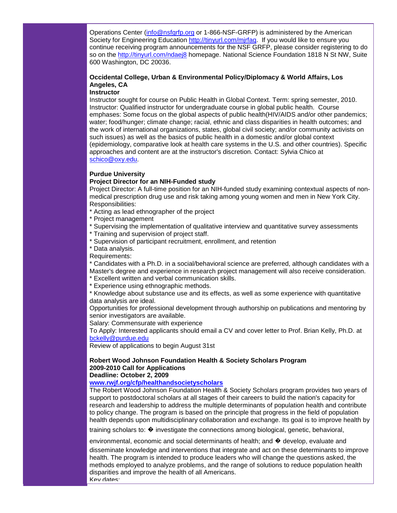Operations Center [\(info@nsfgrfp.org](mailto:info@nsfgrfp.org) or 1-866-NSF-GRFP) is administered by the American Society for Engineering Education [http://tinyurl.com/mjrfaq.](http://rs6.net/tn.jsp?et=1102701864389&s=1&e=001VaffixYFjpLUcwz2X_V0e-jAVzrMWFWUzDPOzYjJuZ6JuUp-qkVodL7ybL_2WTV4PiZTpTKMu42Dw3EsYRPwDupEDe3UcY3I1TLvsses6wZW2B8-snKhdg==) If you would like to ensure you continue receiving program announcements for the NSF GRFP, please consider registering to do so on the [http://tinyurl.com/ndaej8](http://rs6.net/tn.jsp?et=1102701864389&s=1&e=001VaffixYFjpLtLWI6Pg5OgvG7vgDHEbHZIiP2NHkHwnV802UHZHHLAt865B6b8-MHsb3TyffIYNs2adZKGRWvm0Wg6edvsW69x1c8TPH5Oa-apxNOJXvsZQ==) homepage. National Science Foundation 1818 N St NW, Suite 600 Washington, DC 20036.

## **Occidental College, Urban & Environmental Policy/Diplomacy & World Affairs, Los Angeles, CA**

#### **Instructor**

Instructor sought for course on Public Health in Global Context. Term: spring semester, 2010. Instructor: Qualified instructor for undergraduate course in global public health. Course emphases: Some focus on the global aspects of public health(HIV/AIDS and/or other pandemics; water; food/hunger; climate change; racial, ethnic and class disparities in health outcomes; and the work of international organizations, states, global civil society; and/or community activists on such issues) as well as the basics of public health in a domestic and/or global context (epidemiology, comparative look at health care systems in the U.S. and other countries). Specific approaches and content are at the instructor's discretion. Contact: Sylvia Chico at [schico@oxy.edu.](mailto:schico@oxy.edu)

#### **Purdue University**

#### **Project Director for an NIH-Funded study**

Project Director: A full-time position for an NIH-funded study examining contextual aspects of nonmedical prescription drug use and risk taking among young women and men in New York City. Responsibilities:

- \* Acting as lead ethnographer of the project
- \* Project management
- \* Supervising the implementation of qualitative interview and quantitative survey assessments
- \* Training and supervision of project staff.
- \* Supervision of participant recruitment, enrollment, and retention
- \* Data analysis.

Requirements:

\* Candidates with a Ph.D. in a social/behavioral science are preferred, although candidates with a Master's degree and experience in research project management will also receive consideration.

- \* Excellent written and verbal communication skills.
- \* Experience using ethnographic methods.

\* Knowledge about substance use and its effects, as well as some experience with quantitative data analysis are ideal.

Opportunities for professional development through authorship on publications and mentoring by senior investigators are available.

Salary: Commensurate with experience

To Apply: Interested applicants should email a CV and cover letter to Prof. Brian Kelly, Ph.D. at [bckelly@purdue.edu](mailto:bckelly@purdue.edu)

Review of applications to begin August 31st

#### **Robert Wood Johnson Foundation Health & Society Scholars Program 2009-2010 Call for Applications Deadline: October 2, 2009**

#### **[www.rwjf.org/cfp/healthandsocietyscholars](http://rs6.net/tn.jsp?et=1102701864389&s=1&e=001VaffixYFjpK-AkzvSRpKL3nqlOslh4VzBvxTuIcJDy7WMkSGt8-WvPYYUV4kWuQXn0CPwZb2xAUwg8XmPTd4z14C0uzTYxsDI9F-7QN-kJxljzEXVMC3YuFT-oauxgHw-J51vkTg4Gfu1XqGwyRHmQ==)**

The Robert Wood Johnson Foundation Health & Society Scholars program provides two years of support to postdoctoral scholars at all stages of their careers to build the nation's capacity for research and leadership to address the multiple determinants of population health and contribute to policy change. The program is based on the principle that progress in the field of population health depends upon multidisciplinary collaboration and exchange. Its goal is to improve health by

training scholars to: � investigate the connections among biological, genetic, behavioral,

environmental, economic and social determinants of health; and  $\bullet$  develop, evaluate and

disseminate knowledge and interventions that integrate and act on these determinants to improve health. The program is intended to produce leaders who will change the questions asked, the methods employed to analyze problems, and the range of solutions to reduce population health disparities and improve the health of all Americans. Key dates: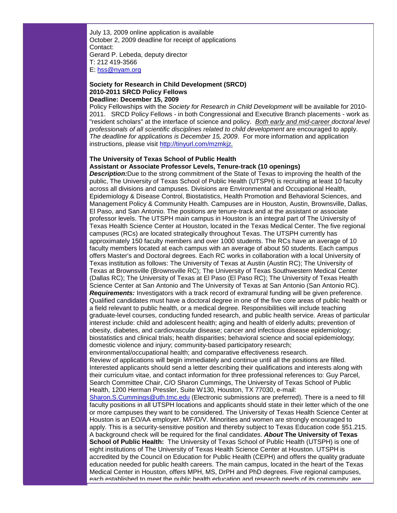July 13, 2009 online application is available October 2, 2009 deadline for receipt of applications Contact: Gerard P. Lebeda, deputy director T: 212 419-3566 E: [hss@nyam.org](mailto:hss@nyam.org)

#### **Society for Research in Child Development (SRCD) 2010-2011 SRCD Policy Fellows Deadline: December 15, 2009**

Policy Fellowships with the *Society for Research in Child Development* will be available for 2010- 2011. SRCD Policy Fellows - in both Congressional and Executive Branch placements - work as "resident scholars" at the interface of science and policy. *Both early and mid-career doctoral level professionals of all scientific disciplines related to child development* are encouraged to apply. *The deadline for applications is December 15, 2009*. For more information and application instructions, please visit [http://tinyurl.com/mzmkjz.](http://rs6.net/tn.jsp?et=1102701864389&s=1&e=001VaffixYFjpIdA-UdiDkQOPgu1uXBuUSQgZTiIPZAFDjN6QXl-mTYDSdx100EeG20Sev8-1sDdUPWhYnUUxqezKL82SP8OcvO4Mu0fy9VUsgO2HbMRIBFcg==)

#### **The University of Texas School of Public Health Assistant or Associate Professor Levels, Tenure-track (10 openings)**

*Description:*Due to the strong commitment of the State of Texas to improving the health of the public, The University of Texas School of Public Health (UTSPH) is recruiting at least 10 faculty across all divisions and campuses. Divisions are Environmental and Occupational Health, Epidemiology & Disease Control, Biostatistics, Health Promotion and Behavioral Sciences, and Management Policy & Community Health. Campuses are in Houston, Austin, Brownsville, Dallas, El Paso, and San Antonio. The positions are tenure-track and at the assistant or associate professor levels. The UTSPH main campus in Houston is an integral part of The University of Texas Health Science Center at Houston, located in the Texas Medical Center. The five regional campuses (RCs) are located strategically throughout Texas. The UTSPH currently has approximately 150 faculty members and over 1000 students. The RCs have an average of 10 faculty members located at each campus with an average of about 50 students. Each campus offers Master's and Doctoral degrees. Each RC works in collaboration with a local University of Texas institution as follows: The University of Texas at Austin (Austin RC); The University of Texas at Brownsville (Brownsville RC); The University of Texas Southwestern Medical Center (Dallas RC); The University of Texas at El Paso (El Paso RC); The University of Texas Health Science Center at San Antonio and The University of Texas at San Antonio (San Antonio RC). *Requirements:* Investigators with a track record of extramural funding will be given preference. Qualified candidates must have a doctoral degree in one of the five core areas of public health or a field relevant to public health, or a medical degree. Responsibilities will include teaching graduate-level courses, conducting funded research, and public health service. Areas of particular interest include: child and adolescent health; aging and health of elderly adults; prevention of obesity, diabetes, and cardiovascular disease; cancer and infectious disease epidemiology; biostatistics and clinical trials; health disparities; behavioral science and social epidemiology; domestic violence and injury; community-based participatory research;

environmental/occupational health; and comparative effectiveness research. Review of applications will begin immediately and continue until all the positions are filled. Interested applicants should send a letter describing their qualifications and interests along with their curriculum vitae, and contact information for three professional references to: Guy Parcel, Search Committee Chair, C/O Sharon Cummings, The University of Texas School of Public Health, 1200 Herman Pressler, Suite W130, Houston, TX 77030, e-mail:

[Sharon.S.Cummings@uth.tmc.edu](mailto:Sharon.S.Cummings@uth.tmc.edu) (Electronic submissions are preferred). There is a need to fill faculty positions in all UTSPH locations and applicants should state in their letter which of the one or more campuses they want to be considered. The University of Texas Health Science Center at Houston is an EO/AA employer. M/F/D/V. Minorities and women are strongly encouraged to apply. This is a security-sensitive position and thereby subject to Texas Education code §51.215. A background check will be required for the final candidates. *About* **The University of Texas School of Public Health:** The University of Texas School of Public Health (UTSPH) is one of eight institutions of The University of Texas Health Science Center at Houston. UTSPH is accredited by the Council on Education for Public Health (CEPH) and offers the quality graduate education needed for public health careers. The main campus, located in the heart of the Texas Medical Center in Houston, offers MPH, MS, DrPH and PhD degrees. Five regional campuses, each established to meet the public health education and research needs of its community, are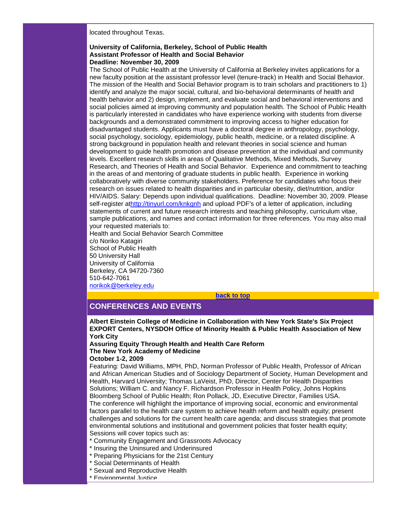located throughout Texas.

#### **University of California, Berkeley, School of Public Health Assistant Professor of Health and Social Behavior Deadline: November 30, 2009**

The School of Public Health at the University of California at Berkeley invites applications for a new faculty position at the assistant professor level (tenure-track) in Health and Social Behavior. The mission of the Health and Social Behavior program is to train scholars and practitioners to 1) identify and analyze the major social, cultural, and bio-behavioral determinants of health and health behavior and 2) design, implement, and evaluate social and behavioral interventions and social policies aimed at improving community and population health. The School of Public Health is particularly interested in candidates who have experience working with students from diverse backgrounds and a demonstrated commitment to improving access to higher education for disadvantaged students. Applicants must have a doctoral degree in anthropology, psychology, social psychology, sociology, epidemiology, public health, medicine, or a related discipline. A strong background in population health and relevant theories in social science and human development to guide health promotion and disease prevention at the individual and community levels. Excellent research skills in areas of Qualitative Methods, Mixed Methods, Survey Research, and Theories of Health and Social Behavior. Experience and commitment to teaching in the areas of and mentoring of graduate students in public health. Experience in working collaboratively with diverse community stakeholders. Preference for candidates who focus their research on issues related to health disparities and in particular obesity, diet/nutrition, and/or HIV/AIDS. Salary: Depends upon individual qualifications. Deadline: November 30, 2009. Please self-register a[thttp://tinyurl.com/knkgnh](http://rs6.net/tn.jsp?et=1102701864389&s=1&e=001VaffixYFjpJG4GCW0WQH_Oi74gxo5_85Chb_gSbMWbOiDES2OoIxIH0EACx8PXppq21xSzKaBV4ZNDxFTJW4B7GYSZ1mCPMG4UTqcBEcDAWUOcJEBXdm-Q==) and upload PDF's of a letter of application, including statements of current and future research interests and teaching philosophy, curriculum vitae, sample publications, and names and contact information for three references. You may also mail your requested materials to:

Health and Social Behavior Search Committee c/o Noriko Katagiri School of Public Health 50 University Hall University of California Berkeley, CA 94720-7360 510-642-7061 [norikok@berkeley.edu](mailto:norikok@berkeley.edu)

**[back to top](#page-0-1)**

# <span id="page-17-0"></span>**CONFERENCES AND EVENTS**

**Albert Einstein College of Medicine in Collaboration with New York State's Six Project EXPORT Centers, NYSDOH Office of Minority Health & Public Health Association of New York City**

**Assuring Equity Through Health and Health Care Reform The New York Academy of Medicine October 1-2, 2009**

Featuring: David Williams, MPH, PhD, Norman Professor of Public Health, Professor of African and African American Studies and of Sociology Department of Society, Human Development and Health, Harvard University; Thomas LaVeist, PhD, Director, Center for Health Disparities Solutions; William C. and Nancy F. Richardson Professor in Health Policy, Johns Hopkins Bloomberg School of Public Health; Ron Pollack, JD, Executive Director, Families USA. The conference will highlight the importance of improving social, economic and environmental factors parallel to the health care system to achieve health reform and health equity; present challenges and solutions for the current health care agenda; and discuss strategies that promote environmental solutions and institutional and government policies that foster health equity; Sessions will cover topics such as:

- \* Community Engagement and Grassroots Advocacy
- \* Insuring the Uninsured and Underinsured
- \* Preparing Physicians for the 21st Century
- \* Social Determinants of Health
- \* Sexual and Reproductive Health
- \* Environmental Justice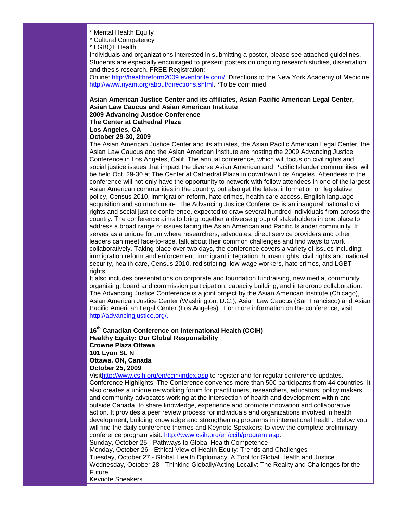\* Mental Health Equity

\* Cultural Competency

\* LGBQT Health

Individuals and organizations interested in submitting a poster, please see attached guidelines. Students are especially encouraged to present posters on ongoing research studies, dissertation, and thesis research. FREE Registration:

Online: [http://healthreform2009.eventbrite.com/.](http://rs6.net/tn.jsp?et=1102701864389&s=1&e=001VaffixYFjpJ_iJah1niCXvKrqggnZiCdbxB6_khRrwF60c4JyHly9FTgxDTLGhfuLzWuqL5NSephE2Hw6QEJDdoGtA40nfuPy_j5UR1MZYEfHek9RvbgeM7oLNNgEZnv) Directions to the New York Academy of Medicine: [http://www.nyam.org/about/directions.shtml.](http://rs6.net/tn.jsp?et=1102701864389&s=1&e=001VaffixYFjpKBdEE3emZiqo0LWW_V1Bxz1sz07hHJOa1Cw63wuAQ2bpE0PshEJENs9XUcdmFV51dEjcPL_Ym-iLzwDGrk82FaJXD-xuXLh83FQF_cJoVU64u7VSeqZPZdblfnh93srOc=) \*To be confirmed

#### **Asian American Justice Center and its affiliates, Asian Pacific American Legal Center, Asian Law Caucus and Asian American Institute 2009 Advancing Justice Conference The Center at Cathedral Plaza**

#### **Los Angeles, CA October 29-30, 2009**

The Asian American Justice Center and its affiliates, the Asian Pacific American Legal Center, the Asian Law Caucus and the Asian American Institute are hosting the 2009 Advancing Justice Conference in Los Angeles, Calif. The annual conference, which will focus on civil rights and social justice issues that impact the diverse Asian American and Pacific Islander communities, will be held Oct. 29-30 at The Center at Cathedral Plaza in downtown Los Angeles. Attendees to the conference will not only have the opportunity to network with fellow attendees in one of the largest Asian American communities in the country, but also get the latest information on legislative policy, Census 2010, immigration reform, hate crimes, health care access, English language acquisition and so much more. The Advancing Justice Conference is an inaugural national civil rights and social justice conference, expected to draw several hundred individuals from across the country. The conference aims to bring together a diverse group of stakeholders in one place to address a broad range of issues facing the Asian American and Pacific Islander community. It serves as a unique forum where researchers, advocates, direct service providers and other leaders can meet face-to-face, talk about their common challenges and find ways to work collaboratively. Taking place over two days, the conference covers a variety of issues including: immigration reform and enforcement, immigrant integration, human rights, civil rights and national security, health care, Census 2010, redistricting, low-wage workers, hate crimes, and LGBT rights.

It also includes presentations on corporate and foundation fundraising, new media, community organizing, board and commission participation, capacity building, and intergroup collaboration. The Advancing Justice Conference is a joint project by the Asian American Institute (Chicago), Asian American Justice Center (Washington, D.C.), Asian Law Caucus (San Francisco) and Asian Pacific American Legal Center (Los Angeles). For more information on the conference, visit [http://advancingjustice.org/.](http://rs6.net/tn.jsp?et=1102701864389&s=1&e=001VaffixYFjpLw9Uue-syzIxmkvQscxajJNLTVrXk10prXIG6Jy7PtLhrKTudnsGRgN8jECWSrl4Y7qAYPEdOXQOk0xFInuhwvMBqG8ib85wai22NsxPuu9Q==)

#### **16th Canadian Conference on International Health (CCIH) Healthy Equity: Our Global Responsibility Crowne Plaza Ottawa 101 Lyon St. N Ottawa, ON, Canada October 25, 2009**

Visi[thttp://www.csih.org/en/ccih/index.asp](http://rs6.net/tn.jsp?et=1102701864389&s=1&e=001VaffixYFjpLtZsxaVBxTH9fZMomMIYr7nj81UWqTccQw8aiiExWFsyXOZTm5HgdW7yWq3JpNu9CON-ajgMaDJPodhv7oi5pZT7VgLDJV8MwfrF6vBl9tZ9ul-inLVQ05EtToZwg_PcY=) to register and for regular conference updates. Conference Highlights: The Conference convenes more than 500 participants from 44 countries. It also creates a unique networking forum for practitioners, researchers, educators, policy makers and community advocates working at the intersection of health and development within and outside Canada, to share knowledge, experience and promote innovation and collaborative action. It provides a peer review process for individuals and organizations involved in health development, building knowledge and strengthening programs in international health. Below you will find the daily conference themes and Keynote Speakers; to view the complete preliminary conference program visit: [http://www.csih.org/en/ccih/program.asp.](http://rs6.net/tn.jsp?et=1102701864389&s=1&e=001VaffixYFjpLmIw0kU-waYyjrp5FtnI8I-i-93PmIydTmUo3Sf1KdigavdFVFvxUFFLjTK5IDzj9ksABayDHHUDNYQum_CLOoGdY6-YiPfiC506a1qIy19iIl6wRhcC3ZlMBesXmcKRw=)

Sunday, October 25 - Pathways to Global Health Competence

Monday, October 26 - Ethical View of Health Equity: Trends and Challenges Tuesday, October 27 - Global Health Diplomacy: A Tool for Global Health and Justice Wednesday, October 28 - Thinking Globally/Acting Locally: The Reality and Challenges for the Future

Keynote Speakers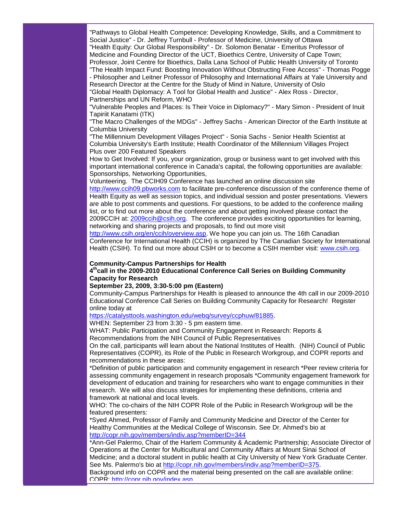"Pathways to Global Health Competence: Developing Knowledge, Skills, and a Commitment to Social Justice" - Dr. Jeffrey Turnbull - Professor of Medicine, University of Ottawa "Health Equity: Our Global Responsibility" - Dr. Solomon Benatar - Emeritus Professor of Medicine and Founding Director of the UCT, Bioethics Centre, University of Cape Town; Professor, Joint Centre for Bioethics, Dalla Lana School of Public Health University of Toronto "The Health Impact Fund: Boosting Innovation Without Obstructing Free Access" - Thomas Pogge - Philosopher and Leitner Professor of Philosophy and International Affairs at Yale University and Research Director at the Centre for the Study of Mind in Nature, University of Oslo

"Global Health Diplomacy: A Tool for Global Health and Justice" - Alex Ross - Director, Partnerships and UN Reform, WHO

"Vulnerable Peoples and Places: Is Their Voice in Diplomacy?" - Mary Simon - President of Inuit Tapiriit Kanatami (ITK)

"The Macro Challenges of the MDGs" - Jeffrey Sachs - American Director of the Earth Institute at Columbia University

"The Millennium Development Villages Project" - Sonia Sachs - Senior Health Scientist at Columbia University's Earth Institute; Health Coordinator of the Millennium Villages Project Plus over 200 Featured Speakers

How to Get Involved: If you, your organization, group or business want to get involved with this important international conference in Canada's capital, the following opportunities are available: Sponsorships, Networking Opportunities,

Volunteering. The CCIH09 Conference has launched an online discussion site [http://www.ccih09.pbworks.com](http://rs6.net/tn.jsp?et=1102701864389&s=1&e=001VaffixYFjpIHCORIksk6vjZGm7Rt7kOwpOWRxkpfrY1FitpmSVYya6IrE3l2LCGnYOk7CLasN8JNtsQuSgTwm0bDcppPctHd2OyLfseEEGEiZ2e1O1E9nw==) to facilitate pre-conference discussion of the conference theme of Health Equity as well as session topics, and individual session and poster presentations. Viewers are able to post comments and questions. For questions, to be added to the conference mailing list, or to find out more about the conference and about getting involved please contact the 2009CCIH at: [2009ccih@csih.org.](mailto:2009ccih@csih.org) The conference provides exciting opportunities for learning, networking and sharing projects and proposals, to find out more visit

[http://www.csih.org/en/ccih/overview.asp.](http://rs6.net/tn.jsp?et=1102701864389&s=1&e=001VaffixYFjpINuo3tqWgc1wJ3IbTFIs08T-qlzEuKYVfzvF0uZADEWulv34O-dmiFtJjsLBI04izhFu8xu2EaJPINP9T9xRdpwsGySLefI9v8bJ6Ug5F4hziMVbj29uAX9lOZR8g_hcw=) We hope you can join us. The 16th Canadian Conference for International Health (CCIH) is organized by The Canadian Society for International Health (CSIH). To find out more about CSIH or to become a CSIH member visit: [www.csih.org.](http://rs6.net/tn.jsp?et=1102701864389&s=1&e=001VaffixYFjpK1G7dl2XpjzFOI9iCWyADSM_bAz58v6JNMiYm6UgdcxSEWi8KryD87z6_LaYHYF0UbkBX3m5feiJ3hpjoKFTYBbogHHUJW9VM=)

#### **Community-Campus Partnerships for Health**

#### **4thcall in the 2009-2010 Educational Conference Call Series on Building Community Capacity for Research**

#### **September 23, 2009, 3:30-5:00 pm (Eastern)**

Community-Campus Partnerships for Health is pleased to announce the 4th call in our 2009-2010 Educational Conference Call Series on Building Community Capacity for Research! Register online today at

#### [https://catalysttools.washington.edu/webq/survey/ccphuw/81885.](http://rs6.net/tn.jsp?et=1102701864389&s=1&e=001VaffixYFjpIRSr1RaNuEjfiKZ4TDRUo1ZLV6g4EWGD-Mz4ml9RAZ3-ymDQHgiDcK9bqjEDWV3A_33u2EV_e_B2QUVntEJA4_EHcfW2z5cC5uaSUeIrxFzmB6YvlxSz2yE6Bvs2fQw4g8Tcx0VFdMAA3aFx-PZ81g78trRECSWAY=)

WHEN: September 23 from 3:30 - 5 pm eastern time.

WHAT: Public Participation and Community Engagement in Research: Reports & Recommendations from the NIH Council of Public Representatives

On the call, participants will learn about the National Institutes of Health. (NIH) Council of Public Representatives (COPR), its Role of the Public in Research Workgroup, and COPR reports and recommendations in these areas:

\*Definition of public participation and community engagement in research \*Peer review criteria for assessing community engagement in research proposals \*Community engagement framework for development of education and training for researchers who want to engage communities in their research. We will also discuss strategies for implementing these definitions, criteria and framework at national and local levels.

WHO: The co-chairs of the NIH COPR Role of the Public in Research Workgroup will be the featured presenters:

\*Syed Ahmed, Professor of Family and Community Medicine and Director of the Center for Healthy Communities at the Medical College of Wisconsin. See Dr. Ahmed's bio at [http://copr.nih.gov/members/indiv.asp?memberID=344](http://rs6.net/tn.jsp?et=1102701864389&s=1&e=001VaffixYFjpLSPVZu7PuWG8LHFnNeF3aHFk3ULTBptAKkP0MDEZkp840Rh-tpx-UBYjucoEfAvReioL5nGiVZqYbUtGgL0NhEwb1Jid_SzeoGqhLI-wKZ__zHQnFWh8PDQoXdJs6cHD1Gaqmwwq1zHw==)

\*Ann-Gel Palermo, Chair of the Harlem Community & Academic Partnership; Associate Director of Operations at the Center for Multicultural and Community Affairs at Mount Sinai School of Medicine; and a doctoral student in public health at City University of New York Graduate Center. See Ms. Palermo's bio at [http://copr.nih.gov/members/indiv.asp?memberID=375.](http://rs6.net/tn.jsp?et=1102701864389&s=1&e=001VaffixYFjpK5Ta9yI8k8gMLly2X-_i9trsvI-Qq9oIXAaz9k4jhFDV7PHK2gHXdt0EM-IKtRladzAOkoPtdK0nwQ86xV8Gybgt6GZFOwIajGL07RhNJHdtwZPufioDeJ_c1NwB80--lPFCaLmTGIIg==)

Background info on COPR and the material being presented on the call are available online: COPR: [http://copr.nih.gov/index.asp.](http://rs6.net/tn.jsp?et=1102701864389&s=1&e=001VaffixYFjpLV5fBLkGbv7fzgsHQtl_2NM4Ao2RtHu3ZMuezlMVbWUrYaZJfySzEdkcyFxWO0Wvn7XY_Pc9n7EwKB0OxENsj53L0onyMCZOx4c_BmKgTZ_Q==)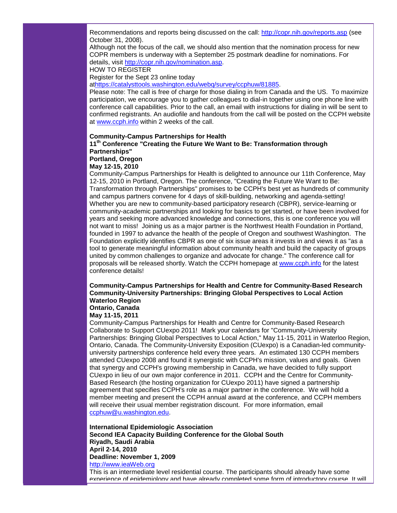Recommendations and reports being discussed on the call: [http://copr.nih.gov/reports.asp](http://rs6.net/tn.jsp?et=1102701864389&s=1&e=001VaffixYFjpLHzoSq5JE4nW0qYEuZK7LO6_FROUQht1VSDFPg_nK2i01Clk8rdttaoVdQm5uPGF2R0fqFiKiy4jPZqyQrz6pqApgcpU0_XvQI5ag83ptdtw==) (see October 31, 2008).

Although not the focus of the call, we should also mention that the nomination process for new COPR members is underway with a September 25 postmark deadline for nominations. For details, visit [http://copr.nih.gov/nomination.asp.](http://rs6.net/tn.jsp?et=1102701864389&s=1&e=001VaffixYFjpJ6ds4-qNY2F6wv8knl26uEmmUxYW-ws50VWzx1yAmD-h9UigH0N07E9DuqwUBdEDpB07DhUjoRI9noOb2v9NdC6ueuGFPfHkdTtMfWzz1smIQ5YGaFcjT0)

HOW TO REGISTER

Register for the Sept 23 online today

a[thttps://catalysttools.washington.edu/webq/survey/ccphuw/81885.](http://rs6.net/tn.jsp?et=1102701864389&s=1&e=001VaffixYFjpIRSr1RaNuEjfiKZ4TDRUo1ZLV6g4EWGD-Mz4ml9RAZ3-ymDQHgiDcK9bqjEDWV3A_33u2EV_e_B2QUVntEJA4_EHcfW2z5cC5uaSUeIrxFzmB6YvlxSz2yE6Bvs2fQw4g8Tcx0VFdMAA3aFx-PZ81g78trRECSWAY=)

Please note: The call is free of charge for those dialing in from Canada and the US. To maximize participation, we encourage you to gather colleagues to dial-in together using one phone line with conference call capabilities. Prior to the call, an email with instructions for dialing in will be sent to confirmed registrants. An audiofile and handouts from the call will be posted on the CCPH website at [www.ccph.info](http://rs6.net/tn.jsp?et=1102701864389&s=1&e=001VaffixYFjpIluCN08gPudyGiZGjHZ_In3lKz5Oa2ebkTBIavvLfySoGtzRAoHTKFV9bLp38quiAAYdt8a5vvPpSfwJHCSpwRt-k3lSYtwL0=) within 2 weeks of the call.

#### **Community-Campus Partnerships for Health**

**11th Conference "Creating the Future We Want to Be: Transformation through Partnerships"**

#### **Portland, Oregon May 12-15, 2010**

Community-Campus Partnerships for Health is delighted to announce our 11th Conference, May 12-15, 2010 in Portland, Oregon. The conference, "Creating the Future We Want to Be: Transformation through Partnerships" promises to be CCPH's best yet as hundreds of community and campus partners convene for 4 days of skill-building, networking and agenda-setting! Whether you are new to community-based participatory research (CBPR), service-learning or community-academic partnerships and looking for basics to get started, or have been involved for years and seeking more advanced knowledge and connections, this is one conference you will not want to miss! Joining us as a major partner is the Northwest Health Foundation in Portland, founded in 1997 to advance the health of the people of Oregon and southwest Washington. The Foundation explicitly identifies CBPR as one of six issue areas it invests in and views it as "as a tool to generate meaningful information about community health and build the capacity of groups united by common challenges to organize and advocate for change." The conference call for proposals will be released shortly. Watch the CCPH homepage at [www.ccph.info](http://rs6.net/tn.jsp?et=1102701864389&s=1&e=001VaffixYFjpIluCN08gPudyGiZGjHZ_In3lKz5Oa2ebkTBIavvLfySoGtzRAoHTKFV9bLp38quiAAYdt8a5vvPpSfwJHCSpwRt-k3lSYtwL0=) for the latest conference details!

#### **Community-Campus Partnerships for Health and Centre for Community-Based Research Community-University Partnerships: Bringing Global Perspectives to Local Action Waterloo Region Ontario, Canada**

**May 11-15, 2011**

Community-Campus Partnerships for Health and Centre for Community-Based Research Collaborate to Support CUexpo 2011! Mark your calendars for "Community-University Partnerships: Bringing Global Perspectives to Local Action," May 11-15, 2011 in Waterloo Region, Ontario, Canada. The Community-University Exposition (CUexpo) is a Canadian-led communityuniversity partnerships conference held every three years. An estimated 130 CCPH members attended CUexpo 2008 and found it synergistic with CCPH's mission, values and goals. Given that synergy and CCPH's growing membership in Canada, we have decided to fully support CUexpo in lieu of our own major conference in 2011. CCPH and the Centre for Community-Based Research (the hosting organization for CUexpo 2011) have signed a partnership agreement that specifies CCPH's role as a major partner in the conference. We will hold a member meeting and present the CCPH annual award at the conference, and CCPH members will receive their usual member registration discount. For more information, email [ccphuw@u.washington.edu.](mailto:ccphuw@u.washington.edu)

**International Epidemiologic Association Second IEA Capacity Building Conference for the Global South Riyadh, Saudi Arabia April 2-14, 2010 Deadline: November 1, 2009** [http://www.ieaWeb.org](http://rs6.net/tn.jsp?et=1102701864389&s=1&e=001VaffixYFjpIL6zHaAKSLYZvqvOZ_jIUbcWbNbeJINlpAPUPdRpC95oAmydc1_pT07YRv1kWHIEsihxJziOnFHjS4gdtB1jefTcLN0HBKR2A=)

This is an intermediate level residential course. The participants should already have some experience of epidemiology and have already completed some form of introductory course. It will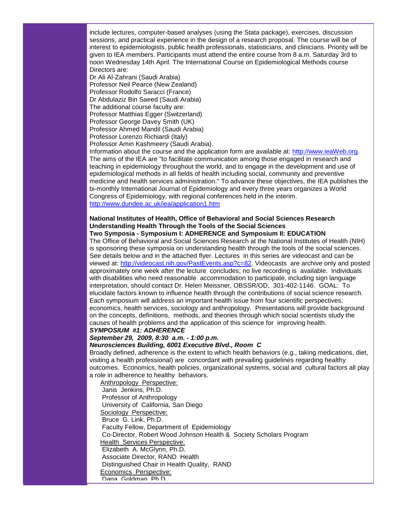include lectures, computer-based analyses (using the Stata package), exercises, discussion sessions, and practical experience in the design of a research proposal. The course will be of interest to epidemiologists, public health professionals, statisticians, and clinicians. Priority will be given to IEA members. Participants must attend the entire course from 8 a.m. Saturday 3rd to noon Wednesday 14th April. The International Course on Epidemiological Methods course Directors are:

Dr Ali Al-Zahrani (Saudi Arabia) Professor Neil Pearce (New Zealand) Professor Rodolfo Saracci (France) Dr Abdulaziz Bin Saeed (Saudi Arabia) The additional course faculty are: Professor Matthias Egger (Switzerland) Professor George Davey Smith (UK) Professor Ahmed Mandil (Saudi Arabia)

Professor Lorenzo Richiardi (Italy)

Professor Amin Kashmeery (Saudi Arabia).

Information about the course and the application form are available at: [http://www.ieaWeb.org.](http://rs6.net/tn.jsp?et=1102701864389&s=1&e=001VaffixYFjpIL6zHaAKSLYZvqvOZ_jIUbcWbNbeJINlpAPUPdRpC95oAmydc1_pT07YRv1kWHIEsihxJziOnFHjS4gdtB1jefTcLN0HBKR2A=) The aims of the IEA are "to facilitate communication among those engaged in research and teaching in epidemiology throughout the world, and to engage in the development and use of epidemiological methods in all fields of health including social, community and preventive medicine and health services administration." To advance these objectives, the IEA publishes the bi-monthly International Journal of Epidemiology and every three years organizes a World Congress of Epidemiology, with regional conferences held in the interim. [http://www.dundee.ac.uk/iea/application1.htm](http://rs6.net/tn.jsp?et=1102701864389&s=1&e=001VaffixYFjpKZR4o1bMo5MubyN-Nx00-X2mOj07ssgW_Y2DIUhy3S0-Hph6_ptuZMquFX6CI37-oaqb-z2zIUpppa_ViWkApBlx3LoJY5xbH4Kd76T56GbNbC2tvMkpcGEODCyaUZPBY=)

# **National Institutes of Health, Office of Behavioral and Social Sciences Research Understanding Health Through the Tools of the Social Sciences**

#### **Two Symposia - Symposium I: ADHERENCE and Symposium II: EDUCATION**

The Office of Behavioral and Social Sciences Research at the National Institutes of Health (NIH) is sponsoring these symposia on understanding health through the tools of the social sciences. See details below and in the attached flyer. Lectures in this series are videocast and can be viewed at: [http://videocast.nih.gov/PastEvents.asp?c=82.](http://rs6.net/tn.jsp?et=1102701864389&s=1&e=001VaffixYFjpI8V1jn5ccEAoWyHcjGeqdtv05TS4h6pE0erEST4MF1TH90Wm3__mjyFyBXEHZByyHYhG2LQeNisXjBraBFroQs55ac0ylXcuZeoCnFiXf2proL7u6qFI75FT_WkgUIYpU=) Videocasts are archive only and posted approximately one week after the lecture concludes; no live recording is available. Individuals with disabilities who need reasonable accommodation to participate, including sign language interpretation, should contact Dr. Helen Meissner, OBSSR/OD, 301-402-1146. GOAL: To elucidate factors known to influence health through the contributions of social science research. Each symposium will address an important health issue from four scientific perspectives: economics, health services, sociology and anthropology. Presentations will provide background on the concepts, definitions, methods, and theories through which social scientists study the causes of health problems and the application of this science for improving health.

#### *SYMPOSIUM #1: ADHERENCE*

# *September 29, 2009, 8:30 a.m. - 1:00 p.m.*

#### *Neurosciences Building, 6001 Executive Blvd., Room C*

Broadly defined, adherence is the extent to which health behaviors (e.g., taking medications, diet, visiting a health professional) are concordant with prevailing guidelines regarding healthy outcomes. Economics, health policies, organizational systems, social and cultural factors all play a role in adherence to healthy behaviors.

 Anthropology Perspective: Janis Jenkins, Ph.D. Professor of Anthropology University of California, San Diego Sociology Perspective: Bruce G. Link, Ph.D. Faculty Fellow, Department of Epidemiology Co-Director, Robert Wood Johnson Health & Society Scholars Program Health Services Perspective: Elizabeth A. McGlynn, Ph.D. Associate Director, RAND Health Distinguished Chair in Health Quality, RAND Economics Perspective: Dana Goldman, Ph.D.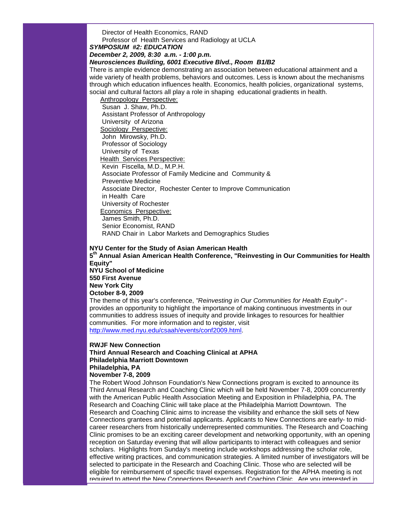Director of Health Economics, RAND Professor of Health Services and Radiology at UCLA

*SYMPOSIUM #2: EDUCATION*

*December 2, 2009, 8:30 a.m. - 1:00 p.m.*

*Neurosciences Building, 6001 Executive Blvd., Room B1/B2*

There is ample evidence demonstrating an association between educational attainment and a wide variety of health problems, behaviors and outcomes. Less is known about the mechanisms through which education influences health. Economics, health policies, organizational systems, social and cultural factors all play a role in shaping educational gradients in health.

 Anthropology Perspective: Susan J. Shaw, Ph.D. Assistant Professor of Anthropology University of Arizona Sociology Perspective: John Mirowsky, Ph.D. Professor of Sociology University of Texas Health Services Perspective: Kevin Fiscella, M.D., M.P.H. Associate Professor of Family Medicine and Community & Preventive Medicine Associate Director, Rochester Center to Improve Communication in Health Care University of Rochester Economics Perspective: James Smith, Ph.D. Senior Economist, RAND RAND Chair in Labor Markets and Demographics Studies

**NYU Center for the Study of Asian American Health 5th Annual Asian American Health Conference, "Reinvesting in Our Communities for Health Equity"**

**NYU School of Medicine 550 First Avenue New York City October 8-9, 2009**

The theme of this year's conference, *"Reinvesting in Our Communities for Health Equity"* provides an opportunity to highlight the importance of making continuous investments in our communities to address issues of inequity and provide linkages to resources for healthier communities. For more information and to register, visit [http://www.med.nyu.edu/csaah/events/conf2009.html.](http://rs6.net/tn.jsp?et=1102701864389&s=1&e=001VaffixYFjpJS5aoBbZyhDS7zzGFvOA6tVRAhGHJZsjhd28JUknvUeXEvYtKJ4PqEnJqEkAuS6lErYkdNLkbqQdUA4iJp5vuON6bMIWylDuf1uZr8rNndPTSoJopa3ojABnSpK7Prcx9MwEUjyEOYUQ==)

#### **RWJF New Connection**

**Third Annual Research and Coaching Clinical at APHA Philadelphia Marriott Downtown Philadelphia, PA**

#### **November 7-8, 2009**

The Robert Wood Johnson Foundation's New Connections program is excited to announce its Third Annual Research and Coaching Clinic which will be held November 7-8, 2009 concurrently with the American Public Health Association Meeting and Exposition in Philadelphia, PA. The Research and Coaching Clinic will take place at the Philadelphia Marriott Downtown. The Research and Coaching Clinic aims to increase the visibility and enhance the skill sets of New Connections grantees and potential applicants. Applicants to New Connections are early- to midcareer researchers from historically underrepresented communities. The Research and Coaching Clinic promises to be an exciting career development and networking opportunity, with an opening reception on Saturday evening that will allow participants to interact with colleagues and senior scholars. Highlights from Sunday's meeting include workshops addressing the scholar role, effective writing practices, and communication strategies. A limited number of investigators will be selected to participate in the Research and Coaching Clinic. Those who are selected will be eligible for reimbursement of specific travel expenses. Registration for the APHA meeting is not required to attend the New Connections Research and Coaching Clinic. Are you interested in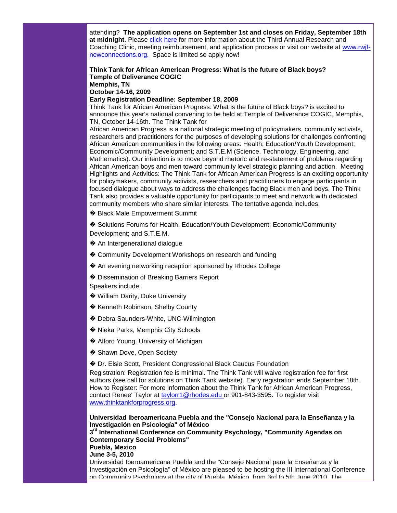attending? **The application opens on September 1st and closes on Friday, September 18th at midnight**. Please click [here f](http://rs6.net/tn.jsp?et=1102689108531&s=437&e=001AqVEtG3QbTagbKUVBtCwG25LGX92B71adQ7mrtFxZwcji4CYv_Q7_P-ZCoZYhuV1sFnLOz5xco3TXetSqwTB2QADmn1dY2un2V1yU_doC74A-Z2TiXP3xKSyL5tfQrb6sf8ATUaZWW_EQ7_s_MEhDkGPOemRjkdQlje8qtyfRoM=)or more information about the Third Annual Research and Coaching Clinic, meeting reimbursement, and application process or visit our website at [www.rwjf](http://rs6.net/tn.jsp?et=1102689108531&s=437&e=001AqVEtG3QbTYJ-Sl4e6EY3yNgiFRdBi7-lPgO_JCJpdrZTsNO5Nncag812WyOO3eBjc_wo_GyHCykgz8hMqXvDNiT_NOVWM47Go_9_r4gRPwgjRwbAUeIgxvWhEBaNh4F)[newconnections.org.](http://rs6.net/tn.jsp?et=1102689108531&s=437&e=001AqVEtG3QbTYJ-Sl4e6EY3yNgiFRdBi7-lPgO_JCJpdrZTsNO5Nncag812WyOO3eBjc_wo_GyHCykgz8hMqXvDNiT_NOVWM47Go_9_r4gRPwgjRwbAUeIgxvWhEBaNh4F) Space is limited so apply now!

#### **Think Tank for African American Progress: What is the future of Black boys? Temple of Deliverance COGIC Memphis, TN October 14-16, 2009**

**Early Registration Deadline: September 18, 2009**

Think Tank for African American Progress: What is the future of Black boys? is excited to announce this year's national convening to be held at Temple of Deliverance COGIC, Memphis, TN, October 14-16th. The Think Tank for

African American Progress is a national strategic meeting of policymakers, community activists, researchers and practitioners for the purposes of developing solutions for challenges confronting African American communities in the following areas: Health; Education/Youth Development; Economic/Community Development; and S.T.E.M (Science, Technology, Engineering, and Mathematics). Our intention is to move beyond rhetoric and re-statement of problems regarding African American boys and men toward community level strategic planning and action. Meeting Highlights and Activities: The Think Tank for African American Progress is an exciting opportunity for policymakers, community activists, researchers and practitioners to engage participants in focused dialogue about ways to address the challenges facing Black men and boys. The Think Tank also provides a valuable opportunity for participants to meet and network with dedicated community members who share similar interests. The tentative agenda includes:

� Black Male Empowerment Summit

� Solutions Forums for Health; Education/Youth Development; Economic/Community Development; and S.T.E.M.

- ◆ An Intergenerational dialogue
- ♦ Community Development Workshops on research and funding
- ◆ An evening networking reception sponsored by Rhodes College
- � Dissemination of Breaking Barriers Report

Speakers include:

- � William Darity, Duke University
- ♦ Kenneth Robinson, Shelby County
- � Debra Saunders-White, UNC-Wilmington
- ◆ Nieka Parks, Memphis City Schools
- ◆ Alford Young, University of Michigan
- ◆ Shawn Dove, Open Society
- � Dr. Elsie Scott, President Congressional Black Caucus Foundation

Registration: Registration fee is minimal. The Think Tank will waive registration fee for first authors (see call for solutions on Think Tank website). Early registration ends September 18th. How to Register: For more information about the Think Tank for African American Progress, contact Renee' Taylor at [taylorr1@rhodes.edu o](mailto:taylorr1@rhodes.edu)r 901-843-3595. To register visit [www.thinktankforprogress.org.](http://rs6.net/tn.jsp?t=fojoc4cab.0.kl4fd4cab.5gytkqcab.1&ts=S0413&p=http%3A%2F%2Fwww.thinktankforprogress.org%2F)

**Universidad Iberoamericana Puebla and the "Consejo Nacional para la Enseñanza y la Investigación en Psicología" of México 3rd International Conference on Community Psychology, "Community Agendas on Contemporary Social Problems" Puebla, Mexico June 3-5, 2010** Universidad Iberoamericana Puebla and the "Consejo Nacional para la Enseñanza y la Investigación en Psicología" of México are pleased to be hosting the III International Conference on Community Psychology at the city of Puebla, México, from 3rd to 5th June 2010. The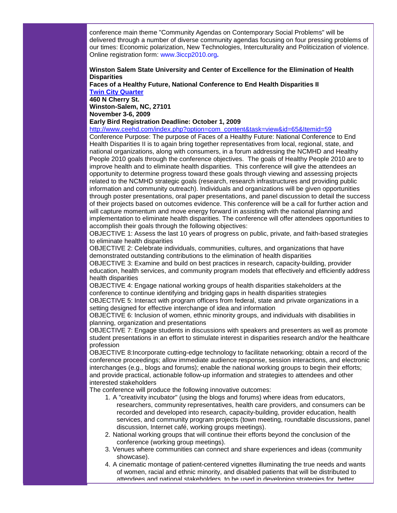conference main theme "Community Agendas on Contemporary Social Problems" will be delivered through a number of diverse community agendas focusing on four pressing problems of our times: Economic polarization, New Technologies, Interculturality and Politicization of violence. Online registration form: www.3iccp2010.org**.**

#### **Winston Salem State University and Center of Excellence for the Elimination of Health Disparities**

**Faces of a Healthy Future, National Conference to End Health Disparities II [Twin City Quarter](http://rs6.net/tn.jsp?t=fojoc4cab.0.ll4fd4cab.5gytkqcab.1&ts=S0413&p=http%3A%2F%2Fwww.twincityquarter.com%2F)**

**460 N Cherry St. Winston-Salem, NC, 27101**

**November 3-6, 2009**

#### **Early Bird Registration Deadline: October 1, 2009**

[http://www.ceehd.com/index.php?option=com\\_content&task=view&id=65&Itemid=59](http://rs6.net/tn.jsp?t=fojoc4cab.0.ml4fd4cab.5gytkqcab.1&ts=S0413&p=http%3A%2F%2Fwww.ceehd.com%2Findex.php%3Foption%3Dcom_content%26task%3Dview%26id%3D65%26Itemid%3D59)

Conference Purpose: The purpose of Faces of a Healthy Future: National Conference to End Health Disparities II is to again bring together representatives from local, regional, state, and national organizations, along with consumers, in a forum addressing the NCMHD and Healthy People 2010 goals through the conference objectives. The goals of Healthy People 2010 are to improve health and to eliminate health disparities. This conference will give the attendees an opportunity to determine progress toward these goals through viewing and assessing projects related to the NCMHD strategic goals (research, research infrastructures and providing public information and community outreach). Individuals and organizations will be given opportunities through poster presentations, oral paper presentations, and panel discussion to detail the success of their projects based on outcomes evidence. This conference will be a call for further action and will capture momentum and move energy forward in assisting with the national planning and implementation to eliminate health disparities. The conference will offer attendees opportunities to accomplish their goals through the following objectives:

OBJECTIVE 1: Assess the last 10 years of progress on public, private, and faith-based strategies to eliminate health disparities

OBJECTIVE 2: Celebrate individuals, communities, cultures, and organizations that have demonstrated outstanding contributions to the elimination of health disparities

OBJECTIVE 3: Examine and build on best practices in research, capacity-building, provider education, health services, and community program models that effectively and efficiently address health disparities

OBJECTIVE 4: Engage national working groups of health disparities stakeholders at the conference to continue identifying and bridging gaps in health disparities strategies

OBJECTIVE 5: Interact with program officers from federal, state and private organizations in a setting designed for effective interchange of idea and information

OBJECTIVE 6: Inclusion of women, ethnic minority groups, and individuals with disabilities in planning, organization and presentations

OBJECTIVE 7: Engage students in discussions with speakers and presenters as well as promote student presentations in an effort to stimulate interest in disparities research and/or the healthcare profession

OBJECTIVE 8:Incorporate cutting-edge technology to facilitate networking; obtain a record of the conference proceedings; allow immediate audience response, session interactions, and electronic interchanges (e.g., blogs and forums); enable the national working groups to begin their efforts; and provide practical, actionable follow-up information and strategies to attendees and other interested stakeholders

The conference will produce the following innovative outcomes:

- 1. A "creativity incubator" (using the blogs and forums) where ideas from educators, researchers, community representatives, health care providers, and consumers can be recorded and developed into research, capacity-building, provider education, health services, and community program projects (town meeting, roundtable discussions, panel discussion, Internet café, working groups meetings).
- 2. National working groups that will continue their efforts beyond the conclusion of the conference (working group meetings).
- 3. Venues where communities can connect and share experiences and ideas (community showcase).
- 4. A cinematic montage of patient-centered vignettes illuminating the true needs and wants of women, racial and ethnic minority, and disabled patients that will be distributed to attendees and national stakeholders, to be used in developing strategies for better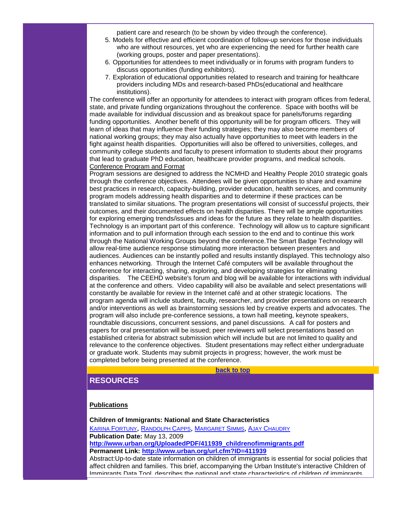patient care and research (to be shown by video through the conference).

- 5. Models for effective and efficient coordination of follow-up services for those individuals who are without resources, yet who are experiencing the need for further health care (working groups, poster and paper presentations).
- 6. Opportunities for attendees to meet individually or in forums with program funders to discuss opportunities (funding exhibitors).
- 7. Exploration of educational opportunities related to research and training for healthcare providers including MDs and research-based PhDs(educational and healthcare institutions).

The conference will offer an opportunity for attendees to interact with program offices from federal, state, and private funding organizations throughout the conference. Space with booths will be made available for individual discussion and as breakout space for panels/forums regarding funding opportunities. Another benefit of this opportunity will be for program officers. They will learn of ideas that may influence their funding strategies; they may also become members of national working groups; they may also actually have opportunities to meet with leaders in the fight against health disparities. Opportunities will also be offered to universities, colleges, and community college students and faculty to present information to students about their programs that lead to graduate PhD education, healthcare provider programs, and medical schools. Conference Program and Format

Program sessions are designed to address the NCMHD and Healthy People 2010 strategic goals through the conference objectives. Attendees will be given opportunities to share and examine best practices in research, capacity-building, provider education, health services, and community program models addressing health disparities and to determine if these practices can be translated to similar situations. The program presentations will consist of successful projects, their outcomes, and their documented effects on health disparities. There will be ample opportunities for exploring emerging trends/issues and ideas for the future as they relate to health disparities. Technology is an important part of this conference. Technology will allow us to capture significant information and to pull information through each session to the end and to continue this work through the National Working Groups beyond the conference.The Smart Badge Technology will allow real-time audience response stimulating more interaction between presenters and audiences. Audiences can be instantly polled and results instantly displayed. This technology also enhances networking. Through the Internet Café computers will be available throughout the conference for interacting, sharing, exploring, and developing strategies for eliminating disparities. The CEEHD website's forum and blog will be available for interactions with individual at the conference and others. Video capability will also be available and select presentations will constantly be available for review in the Internet café and at other strategic locations. The program agenda will include student, faculty, researcher, and provider presentations on research and/or interventions as well as brainstorming sessions led by creative experts and advocates. The program will also include pre-conference sessions, a town hall meeting, keynote speakers, roundtable discussions, concurrent sessions, and panel discussions. A call for posters and papers for oral presentation will be issued; peer reviewers will select presentations based on established criteria for abstract submission which will include but are not limited to quality and relevance to the conference objectives. Student presentations may reflect either undergraduate or graduate work. Students may submit projects in progress; however, the work must be completed before being presented at the conference.

**[back to top](#page-0-1)**

# <span id="page-25-0"></span>**RESOURCES**

### **Publications**

**Children of Immigrants: National and State Characteristics** [KARINA FORTUNY](http://rs6.net/tn.jsp?t=fojoc4cab.0.nl4fd4cab.5gytkqcab.1&ts=S0413&p=http%3A%2F%2Fwww.urban.org%2FKarinaFortuny), [RANDOLPH CAPPS](http://rs6.net/tn.jsp?t=fojoc4cab.0.ol4fd4cab.5gytkqcab.1&ts=S0413&p=http%3A%2F%2Fwww.urban.org%2FRandolphCapps), [MARGARET SIMMS](http://rs6.net/tn.jsp?t=fojoc4cab.0.pl4fd4cab.5gytkqcab.1&ts=S0413&p=http%3A%2F%2Fwww.urban.org%2FMargaretSimms), [AJAY CHAUDRY](http://rs6.net/tn.jsp?t=fojoc4cab.0.ql4fd4cab.5gytkqcab.1&ts=S0413&p=http%3A%2F%2Fwww.urban.org%2FAjayChaudry) **Publication Date:** May 13, 2009 **[http://www.urban.org/UploadedPDF/411939\\_childrenofimmigrants.pdf](http://rs6.net/tn.jsp?t=fojoc4cab.0.rl4fd4cab.5gytkqcab.1&ts=S0413&p=http%3A%2F%2Fwww.urban.org%2FUploadedPDF%2F411939_childrenofimmigrants.pdf) Permanent Link: [http://www.urban.org/url.cfm?ID=411939](http://rs6.net/tn.jsp?t=fojoc4cab.0.sl4fd4cab.5gytkqcab.1&ts=S0413&p=http%3A%2F%2Fwww.urban.org%2Furl.cfm%3FID%3D411939)** Abstract:Up-to-date state information on children of immigrants is essential for social policies that affect children and families. This brief, accompanying the Urban Institute's interactive Children of

Immigrants Data Tool, describes the national and state characteristics of children of immigrants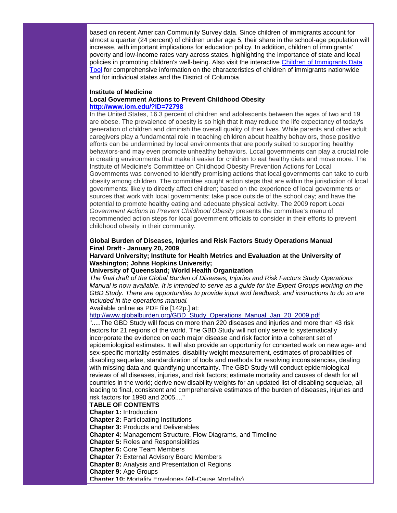based on recent American Community Survey data. Since children of immigrants account for almost a quarter (24 percent) of children under age 5, their share in the school-age population will increase, with important implications for education policy. In addition, children of immigrants' poverty and low-income rates vary across states, highlighting the importance of state and local policies in promoting children's well-being. Also visit the interactive [Children of Immigrants Data](http://rs6.net/tn.jsp?t=fojoc4cab.0.tl4fd4cab.5gytkqcab.1&ts=S0413&p=http%3A%2F%2Fdatatool.urban.org%2Fcharts%2Fdatatool%2Fpages.cfm)  [Tool](http://rs6.net/tn.jsp?t=fojoc4cab.0.tl4fd4cab.5gytkqcab.1&ts=S0413&p=http%3A%2F%2Fdatatool.urban.org%2Fcharts%2Fdatatool%2Fpages.cfm) for comprehensive information on the characteristics of children of immigrants nationwide and for individual states and the District of Columbia.

#### **Institute of Medicine Local Government Actions to Prevent Childhood Obesity [http://www.iom.edu/?ID=72798](http://rs6.net/tn.jsp?t=fojoc4cab.0.ul4fd4cab.5gytkqcab.1&ts=S0413&p=http%3A%2F%2Fwww.iom.edu%2F%3FID%3D72798)**

In the United States, 16.3 percent of children and adolescents between the ages of two and 19 are obese. The prevalence of obesity is so high that it may reduce the life expectancy of today's generation of children and diminish the overall quality of their lives. While parents and other adult caregivers play a fundamental role in teaching children about healthy behaviors, those positive efforts can be undermined by local environments that are poorly suited to supporting healthy behaviors-and may even promote unhealthy behaviors. Local governments can play a crucial role in creating environments that make it easier for children to eat healthy diets and move more. The Institute of Medicine's Committee on Childhood Obesity Prevention Actions for Local Governments was convened to identify promising actions that local governments can take to curb obesity among children. The committee sought action steps that are within the jurisdiction of local governments; likely to directly affect children; based on the experience of local governments or sources that work with local governments; take place outside of the school day; and have the potential to promote healthy eating and adequate physical activity. The 2009 report *Local Government Actions to Prevent Childhood Obesity* presents the committee's menu of recommended action steps for local government officials to consider in their efforts to prevent childhood obesity in their community.

# **Global Burden of Diseases, Injuries and Risk Factors Study Operations Manual Final Draft - January 20, 2009**

#### **Harvard University; Institute for Health Metrics and Evaluation at the University of Washington; Johns Hopkins University;**

#### **University of Queensland; World Health Organization**

*The final draft of the Global Burden of Diseases, Injuries and Risk Factors Study Operations Manual is now available. It is intended to serve as a guide for the Expert Groups working on the GBD Study. There are opportunities to provide input and feedback, and instructions to do so are included in the operations manual.* 

Available online as PDF file [142p.] at:

#### [http://www.globalburden.org/GBD\\_Study\\_Operations\\_Manual\\_Jan\\_20\\_2009.pdf](http://rs6.net/tn.jsp?t=fojoc4cab.0.vl4fd4cab.5gytkqcab.1&ts=S0413&p=http%3A%2F%2Fwww.globalburden.org%2FGBD_Study_Operations_Manual_Jan_20_2009.pdf)

".....The GBD Study will focus on more than 220 diseases and injuries and more than 43 risk factors for 21 regions of the world. The GBD Study will not only serve to systematically incorporate the evidence on each major disease and risk factor into a coherent set of epidemiological estimates. It will also provide an opportunity for concerted work on new age- and sex-specific mortality estimates, disability weight measurement, estimates of probabilities of disabling sequelae, standardization of tools and methods for resolving inconsistencies, dealing with missing data and quantifying uncertainty. The GBD Study will conduct epidemiological reviews of all diseases, injuries, and risk factors; estimate mortality and causes of death for all countries in the world; derive new disability weights for an updated list of disabling sequelae, all leading to final, consistent and comprehensive estimates of the burden of diseases, injuries and risk factors for 1990 and 2005...."

#### **TABLE OF CONTENTS**

**Chapter 1:** Introduction

- **Chapter 2:** Participating Institutions
- **Chapter 3:** Products and Deliverables
- **Chapter 4:** Management Structure, Flow Diagrams, and Timeline
- **Chapter 5:** Roles and Responsibilities
- **Chapter 6:** Core Team Members
- **Chapter 7:** External Advisory Board Members
- **Chapter 8:** Analysis and Presentation of Regions
- **Chapter 9:** Age Groups
- **Chapter 10:** Mortality Envelopes (All-Cause Mortality)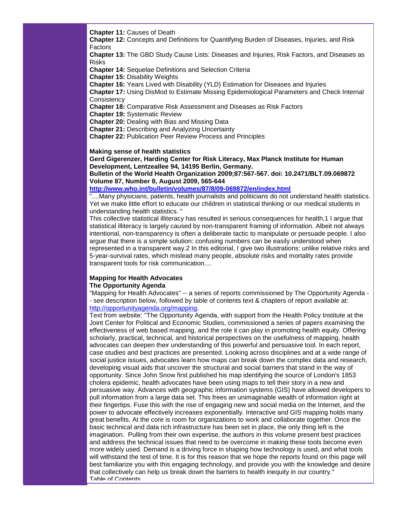**Chapter 11:** Causes of Death

**Chapter 12:** Concepts and Definitions for Quantifying Burden of Diseases, Injuries, and Risk Factors

**Chapter 13:** The GBD Study Cause Lists: Diseases and Injuries, Risk Factors, and Diseases as Risks

**Chapter 14:** Sequelae Definitions and Selection Criteria

**Chapter 15:** Disability Weights

**Chapter 16:** Years Lived with Disability (YLD) Estimation for Diseases and Injuries

**Chapter 17:** Using DisMod to Estimate Missing Epidemiological Parameters and Check Internal **Consistency** 

**Chapter 18:** Comparative Risk Assessment and Diseases as Risk Factors

**Chapter 19:** Systematic Review

**Chapter 20:** Dealing with Bias and Missing Data

**Chapter 21:** Describing and Analyzing Uncertainty

**Chapter 22:** Publication Peer Review Process and Principles

#### **Making sense of health statistics**

**Gerd Gigerenzer, Harding Center for Risk Literacy, Max Planck Institute for Human Development, Lentzeallee 94, 14195 Berlin, Germany.**

**Bulletin of the World Health Organization 2009;87:567-567. doi: 10.2471/BLT.09.069872 Volume 87, Number 8, August 2009, 565-644** 

**[http://www.who.int/bulletin/volumes/87/8/09-069872/en/index.html](http://rs6.net/tn.jsp?t=fojoc4cab.0.wl4fd4cab.5gytkqcab.1&ts=S0413&p=http%3A%2F%2Fwww.who.int%2Fbulletin%2Fvolumes%2F87%2F8%2F09-069872%2Fen%2Findex.html)**

"....Many physicians, patients, health journalists and politicians do not understand health statistics. Yet we make little effort to educate our children in statistical thinking or our medical students in understanding health statistics. "

This collective statistical illiteracy has resulted in serious consequences for health.1 I argue that statistical illiteracy is largely caused by non-transparent framing of information. Albeit not always intentional, non-transparency is often a deliberate tactic to manipulate or persuade people. I also argue that there is a simple solution: confusing numbers can be easily understood when represented in a transparent way.2 In this editorial, I give two illustrations: unlike relative risks and 5-year-survival rates, which mislead many people, absolute risks and mortality rates provide transparent tools for risk communication....

#### **Mapping for Health Advocates The Opportunity Agenda**

"Mapping for Health Advocates" -- a series of reports commissioned by The Opportunity Agenda - - see description below, followed by table of contents text & chapters of report available at: [http://opportunityagenda.org/mapping.](http://rs6.net/tn.jsp?t=fojoc4cab.0.xl4fd4cab.5gytkqcab.1&ts=S0413&p=http%3A%2F%2Fopportunityagenda.org%2Fmapping)

Text from website: "The Opportunity Agenda, with support from the Health Policy Institute at the Joint Center for Political and Economic Studies, commissioned a series of papers examining the effectiveness of web based mapping, and the role it can play in promoting health equity. Offering scholarly, practical, technical, and historical perspectives on the usefulness of mapping, health advocates can deepen their understanding of this powerful and persuasive tool. In each report, case studies and best practices are presented. Looking across disciplines and at a wide range of social justice issues, advocates learn how maps can break down the complex data and research, developing visual aids that uncover the structural and social barriers that stand in the way of opportunity. Since John Snow first published his map identifying the source of London's 1853 cholera epidemic, health advocates have been using maps to tell their story in a new and persuasive way. Advances with geographic information systems (GIS) have allowed developers to pull information from a large data set. This frees an unimaginable wealth of information right at their fingertips. Fuse this with the rise of engaging new and social media on the Internet, and the power to advocate effectively increases exponentially. Interactive and GIS mapping holds many great benefits. At the core is room for organizations to work and collaborate together. Once the basic technical and data rich infrastructure has been set in place, the only thing left is the imagination. Pulling from their own expertise, the authors in this volume present best practices and address the technical issues that need to be overcome in making these tools become even more widely used. Demand is a driving force in shaping how technology is used, and what tools will withstand the test of time. It is for this reason that we hope the reports found on this page will best familiarize you with this engaging technology, and provide you with the knowledge and desire that collectively can help us break down the barriers to health inequity in our country." Table of Contents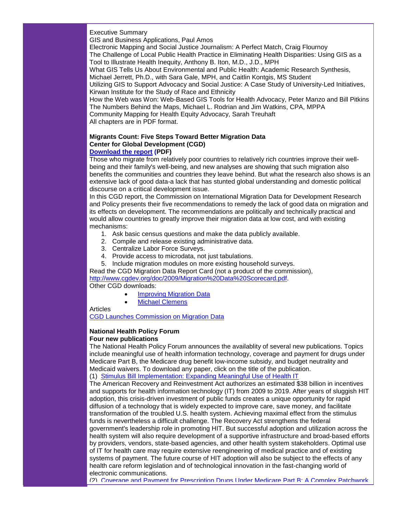Executive Summary

GIS and Business Applications, Paul Amos

Electronic Mapping and Social Justice Journalism: A Perfect Match, Craig Flournoy

The Challenge of Local Public Health Practice in Eliminating Health Disparities: Using GIS as a Tool to Illustrate Health Inequity, Anthony B. Iton, M.D., J.D., MPH

What GIS Tells Us About Environmental and Public Health: Academic Research Synthesis,

Michael Jerrett, Ph.D., with Sara Gale, MPH, and Caitlin Kontgis, MS Student

Utilizing GIS to Support Advocacy and Social Justice: A Case Study of University-Led Initiatives, Kirwan Institute for the Study of Race and Ethnicity

How the Web was Won: Web-Based GIS Tools for Health Advocacy, Peter Manzo and Bill Pitkins The Numbers Behind the Maps, Michael L. Rodrian and Jim Watkins, CPA, MPPA Community Mapping for Health Equity Advocacy, Sarah Treuhaft All chapters are in PDF format.

# **Migrants Count: Five Steps Toward Better Migration Data Center for Global Development (CGD)**

# **[Download the report](http://rs6.net/tn.jsp?t=fojoc4cab.0.yl4fd4cab.5gytkqcab.1&ts=S0413&p=http%3A%2F%2Fwww.cgdev.org%2Ffiles%2F1422146_file_CGD_migration_FINAL_web.pdf) (PDF)**

Those who migrate from relatively poor countries to relatively rich countries improve their wellbeing and their family's well-being, and new analyses are showing that such migration also benefits the communities and countries they leave behind. But what the research also shows is an extensive lack of good data-a lack that has stunted global understanding and domestic political discourse on a critical development issue.

In this CGD report, the Commission on International Migration Data for Development Research and Policy presents their five recommendations to remedy the lack of good data on migration and its effects on development. The recommendations are politically and technically practical and would allow countries to greatly improve their migration data at low cost, and with existing mechanisms:

- 1. Ask basic census questions and make the data publicly available.
- 2. Compile and release existing administrative data.
- 3. Centralize Labor Force Surveys.
- 4. Provide access to microdata, not just tabulations.
- 5. Include migration modules on more existing household surveys.

Read the CGD Migration Data Report Card (not a product of the commission), [http://www.cgdev.org/doc/2009/Migration%20Data%20Scorecard.pdf.](http://rs6.net/tn.jsp?t=fojoc4cab.0.zl4fd4cab.5gytkqcab.1&ts=S0413&p=http%3A%2F%2Fwww.cgdev.org%2Fdoc%2F2009%2FMigration%2520Data%2520Scorecard.pdf) Other CGD downloads:

- [Improving Migration Data](http://rs6.net/tn.jsp?t=fojoc4cab.0.9l4fd4cab.5gytkqcab.1&ts=S0413&p=http%3A%2F%2Fwww.cgdev.org%2Fsection%2Finitiatives%2F_active%2Fmigration_data_commission)
- **[Michael Clemens](http://rs6.net/tn.jsp?t=fojoc4cab.0.8l4fd4cab.5gytkqcab.1&ts=S0413&p=http%3A%2F%2Fwww.cgdev.org%2Fcontent%2Fexpert%2Fdetail%2F2570%2F)**

Articles

[CGD Launches Commission on Migration Data](http://rs6.net/tn.jsp?t=fojoc4cab.0.7l4fd4cab.5gytkqcab.1&ts=S0413&p=http%3A%2F%2Fblogs.cgdev.org%2Fglobaldevelopment%2F2008%2F05%2Flets_do_the_numbers_cgd_launch.php)

#### **National Health Policy Forum Four new publications**

The National Health Policy Forum announces the availablity of several new publications. Topics include meaningful use of health information technology, coverage and payment for drugs under Medicare Part B, the Medicare drug benefit low-income subsidy, and budget neutrality and Medicaid waivers. To download any paper, click on the title of the publication.

(1) [Stimulus Bill Implementation: Expanding Meaningful Use of Health IT](http://rs6.net/tn.jsp?t=fojoc4cab.0.6l4fd4cab.5gytkqcab.1&ts=S0413&p=http%3A%2F%2Fwww.nhpf.org%2Flibrary%2Fdetails.cfm%2F2753)

The American Recovery and Reinvestment Act authorizes an estimated \$38 billion in incentives and supports for health information technology (IT) from 2009 to 2019. After years of sluggish HIT adoption, this crisis-driven investment of public funds creates a unique opportunity for rapid diffusion of a technology that is widely expected to improve care, save money, and facilitate transformation of the troubled U.S. health system. Achieving maximal effect from the stimulus funds is nevertheless a difficult challenge. The Recovery Act strengthens the federal government's leadership role in promoting HIT. But successful adoption and utilization across the health system will also require development of a supportive infrastructure and broad-based efforts by providers, vendors, state-based agencies, and other health system stakeholders. Optimal use of IT for health care may require extensive reengineering of medical practice and of existing systems of payment. The future course of HIT adoption will also be subject to the effects of any health care reform legislation and of technological innovation in the fast-changing world of electronic communications.

(2) [Coverage and Payment for Prescription Drugs Under Medicare Part B: A Complex Patchwork](http://rs6.net/tn.jsp?t=fojoc4cab.0.5l4fd4cab.5gytkqcab.1&ts=S0413&p=http%3A%2F%2Fwww.nhpf.org%2Flibrary%2Fdetails.cfm%2F2755)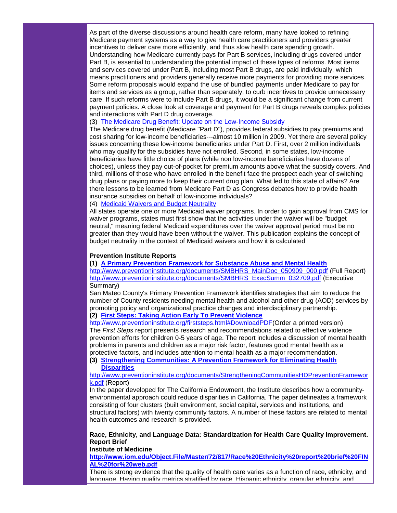As part of the diverse discussions around health care reform, many have looked to refining Medicare payment systems as a way to give health care practitioners and providers greater incentives to deliver care more efficiently, and thus slow health care spending growth. Understanding how Medicare currently pays for Part B services, including drugs covered under Part B, is essential to understanding the potential impact of these types of reforms. Most items and services covered under Part B, including most Part B drugs, are paid individually, which means practitioners and providers generally receive more payments for providing more services. Some reform proposals would expand the use of bundled payments under Medicare to pay for items and services as a group, rather than separately, to curb incentives to provide unnecessary care. If such reforms were to include Part B drugs, it would be a significant change from current payment policies. A close look at coverage and payment for Part B drugs reveals complex policies and interactions with Part D drug coverage.

#### (3) [The Medicare Drug Benefit: Update on the Low-Income Subsidy](http://rs6.net/tn.jsp?t=fojoc4cab.0.4l4fd4cab.5gytkqcab.1&ts=S0413&p=http%3A%2F%2Fwww.nhpf.org%2Flibrary%2Fdetails.cfm%2F2752)

The Medicare drug benefit (Medicare "Part D"), provides federal subsidies to pay premiums and cost sharing for low-income beneficiaries---almost 10 million in 2009. Yet there are several policy issues concerning these low-income beneficiaries under Part D. First, over 2 million individuals who may qualify for the subsidies have not enrolled. Second, in some states, low-income beneficiaries have little choice of plans (while non low-income beneficiaries have dozens of choices), unless they pay out-of-pocket for premium amounts above what the subsidy covers. And third, millions of those who have enrolled in the benefit face the prospect each year of switching drug plans or paying more to keep their current drug plan. What led to this state of affairs? Are there lessons to be learned from Medicare Part D as Congress debates how to provide health insurance subsidies on behalf of low-income individuals?

#### (4) [Medicaid Waivers and Budget Neutrality](http://rs6.net/tn.jsp?t=fojoc4cab.0.nmkhd4cab.5gytkqcab.1&ts=S0413&p=http%3A%2F%2Fwww.nhpf.org%2Flibrary%2Fdetails.cfm%2F2754)

All states operate one or more Medicaid waiver programs. In order to gain approval from CMS for waiver programs, states must first show that the activities under the waiver will be "budget neutral," meaning federal Medicaid expenditures over the waiver approval period must be no greater than they would have been without the waiver. This publication explains the concept of budget neutrality in the context of Medicaid waivers and how it is calculated

#### **Prevention Institute Reports**

**(1) [A Primary Prevention Framework for Substance Abuse and Mental Health](http://rs6.net/tn.jsp?t=fojoc4cab.0.omkhd4cab.5gytkqcab.1&ts=S0413&p=http%3A%2F%2Fwww.preventioninstitute.org%2Fdocuments%2FSMBHRS_MainDoc_050909_000.pdf)**

[http://www.preventioninstitute.org/documents/SMBHRS\\_MainDoc\\_050909\\_000.pdf](http://rs6.net/tn.jsp?t=fojoc4cab.0.omkhd4cab.5gytkqcab.1&ts=S0413&p=http%3A%2F%2Fwww.preventioninstitute.org%2Fdocuments%2FSMBHRS_MainDoc_050909_000.pdf) (Full Report) [http://www.preventioninstitute.org/documents/SMBHRS\\_ExecSumm\\_032709.pdf](http://rs6.net/tn.jsp?t=fojoc4cab.0.pmkhd4cab.5gytkqcab.1&ts=S0413&p=http%3A%2F%2Fwww.preventioninstitute.org%2Fdocuments%2FSMBHRS_ExecSumm_032709.pdf) (Executive Summary)

San Mateo County's Primary Prevention Framework identifies strategies that aim to reduce the number of County residents needing mental health and alcohol and other drug (AOD) services by promoting policy and organizational practice changes and interdisciplinary partnership. **(2) [First Steps: Taking Action Early To Prevent Violence](http://rs6.net/tn.jsp?t=fojoc4cab.0.qmkhd4cab.5gytkqcab.1&ts=S0413&p=http%3A%2F%2Fwww.preventioninstitute.org%2Ffirststeps.html)**

[http://www.preventioninstitute.org/firststeps.html#DownloadPDF\(](http://rs6.net/tn.jsp?t=fojoc4cab.0.smkhd4cab.5gytkqcab.1&ts=S0413&p=http%3A%2F%2Fwww.preventioninstitute.org%2Ffirststeps.html%23DownloadPDF)Order a printed version) The *First Steps* report presents research and recommendations related to effective violence prevention efforts for children 0-5 years of age. The report includes a discussion of mental health problems in parents and children as a major risk factor, features good mental health as a protective factors, and includes attention to mental health as a major recommendation.

**(3) [Strengthening Communities: A Prevention Framework for Eliminating Health](http://rs6.net/tn.jsp?t=fojoc4cab.0.tmkhd4cab.5gytkqcab.1&ts=S0413&p=http%3A%2F%2Fwww.preventioninstitute.org%2Fdocuments%2FStrengtheningCommunitiesHDPreventionFramework.pdf)  [Disparities](http://rs6.net/tn.jsp?t=fojoc4cab.0.tmkhd4cab.5gytkqcab.1&ts=S0413&p=http%3A%2F%2Fwww.preventioninstitute.org%2Fdocuments%2FStrengtheningCommunitiesHDPreventionFramework.pdf)**

[http://www.preventioninstitute.org/documents/StrengtheningCommunitiesHDPreventionFramewor](http://rs6.net/tn.jsp?t=fojoc4cab.0.tmkhd4cab.5gytkqcab.1&ts=S0413&p=http%3A%2F%2Fwww.preventioninstitute.org%2Fdocuments%2FStrengtheningCommunitiesHDPreventionFramework.pdf) [k.pdf](http://rs6.net/tn.jsp?t=fojoc4cab.0.tmkhd4cab.5gytkqcab.1&ts=S0413&p=http%3A%2F%2Fwww.preventioninstitute.org%2Fdocuments%2FStrengtheningCommunitiesHDPreventionFramework.pdf) (Report)

In the paper developed for The California Endowment, the Institute describes how a communityenvironmental approach could reduce disparities in California. The paper delineates a framework consisting of four clusters (built environment, social capital, services and institutions, and structural factors) with twenty community factors. A number of these factors are related to mental health outcomes and research is provided.

#### **Race, Ethnicity, and Language Data: Standardization for Health Care Quality Improvement. Report Brief**

#### **Institute of Medicine**

**[http://www.iom.edu/Object.File/Master/72/817/Race%20Ethnicity%20report%20brief%20FIN](http://rs6.net/tn.jsp?t=fojoc4cab.0.umkhd4cab.5gytkqcab.1&ts=S0413&p=http%3A%2F%2Fwww.iom.edu%2FObject.File%2FMaster%2F72%2F817%2FRace%2520Ethnicity%2520report%2520brief%2520FINAL%2520for%2520web.pdf) [AL%20for%20web.pdf](http://rs6.net/tn.jsp?t=fojoc4cab.0.umkhd4cab.5gytkqcab.1&ts=S0413&p=http%3A%2F%2Fwww.iom.edu%2FObject.File%2FMaster%2F72%2F817%2FRace%2520Ethnicity%2520report%2520brief%2520FINAL%2520for%2520web.pdf)**

There is strong evidence that the quality of health care varies as a function of race, ethnicity, and language. Having quality metrics stratified by race, Hispanic ethnicity, granular ethnicity, and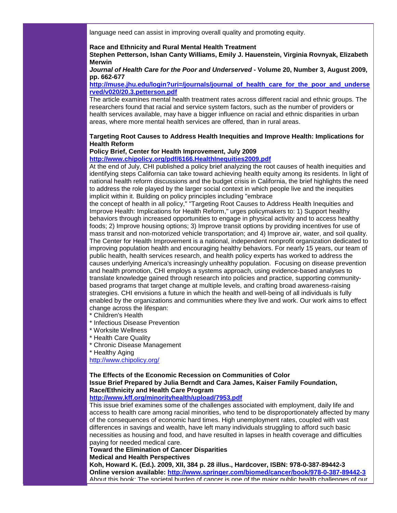language need can assist in improving overall quality and promoting equity.

#### **Race and Ethnicity and Rural Mental Health Treatment**

**Stephen Petterson, Ishan Canty Williams, Emily J. Hauenstein, Virginia Rovnyak, Elizabeth Merwin**

*Journal of Health Care for the Poor and Underserved* **- Volume 20, Number 3, August 2009, pp. 662-677**

#### **[http://muse.jhu.edu/login?uri=/journals/journal\\_of\\_health\\_care\\_for\\_the\\_poor\\_and\\_underse](http://rs6.net/tn.jsp?t=fojoc4cab.0.vmkhd4cab.5gytkqcab.1&ts=S0413&p=http%3A%2F%2Fmuse.jhu.edu%2Flogin%3Furi%3D%2Fjournals%2Fjournal_of_health_care_for_the_poor_and_underserved%2Fv020%2F20.3.petterson.pdf) [rved/v020/20.3.petterson.pdf](http://rs6.net/tn.jsp?t=fojoc4cab.0.vmkhd4cab.5gytkqcab.1&ts=S0413&p=http%3A%2F%2Fmuse.jhu.edu%2Flogin%3Furi%3D%2Fjournals%2Fjournal_of_health_care_for_the_poor_and_underserved%2Fv020%2F20.3.petterson.pdf)**

The article examines mental health treatment rates across different racial and ethnic groups. The researchers found that racial and service system factors, such as the number of providers or health services available, may have a bigger influence on racial and ethnic disparities in urban areas, where more mental health services are offered, than in rural areas.

#### **Targeting Root Causes to Address Health Inequities and Improve Health: Implications for Health Reform**

#### **Policy Brief, Center for Health Improvement, July 2009**

#### **[http://www.chipolicy.org/pdf/6166.HealthInequities2009.pdf](http://rs6.net/tn.jsp?t=fojoc4cab.0.wmkhd4cab.5gytkqcab.1&ts=S0413&p=http%3A%2F%2Fwww.chipolicy.org%2Fpdf%2F6166.HealthInequities2009.pdf)**

At the end of July, CHI published a policy brief analyzing the root causes of health inequities and identifying steps California can take toward achieving health equity among its residents. In light of national health reform discussions and the budget crisis in California, the brief highlights the need to address the role played by the larger social context in which people live and the inequities implicit within it. Building on policy principles including "embrace

the concept of health in all policy," "Targeting Root Causes to Address Health Inequities and Improve Health: Implications for Health Reform," urges policymakers to: 1) Support healthy behaviors through increased opportunities to engage in physical activity and to access healthy foods; 2) Improve housing options; 3) Improve transit options by providing incentives for use of mass transit and non-motorized vehicle transportation; and 4) Improve air, water, and soil quality. The Center for Health Improvement is a national, independent nonprofit organization dedicated to improving population health and encouraging healthy behaviors. For nearly 15 years, our team of public health, health services research, and health policy experts has worked to address the causes underlying America's increasingly unhealthy population. Focusing on disease prevention and health promotion, CHI employs a systems approach, using evidence-based analyses to translate knowledge gained through research into policies and practice, supporting communitybased programs that target change at multiple levels, and crafting broad awareness-raising strategies. CHI envisions a future in which the health and well-being of all individuals is fully enabled by the organizations and communities where they live and work. Our work aims to effect change across the lifespan:

- \* Children's Health
- \* Infectious Disease Prevention
- \* Worksite Wellness
- \* Health Care Quality
- \* Chronic Disease Management
- \* Healthy Aging

[http://www.chipolicy.org/](http://rs6.net/tn.jsp?t=fojoc4cab.0.xmkhd4cab.5gytkqcab.1&ts=S0413&p=http%3A%2F%2Fwww.chipolicy.org%2F)

# **The Effects of the Economic Recession on Communities of Color Issue Brief Prepared by Julia Berndt and Cara James, Kaiser Family Foundation, Race/Ethnicity and Health Care Program**

# **[http://www.kff.org/minorityhealth/upload/7953.pdf](http://rs6.net/tn.jsp?t=fojoc4cab.0.ymkhd4cab.5gytkqcab.1&ts=S0413&p=http%3A%2F%2Fwww.kff.org%2Fminorityhealth%2Fupload%2F7953.pdf)**

This issue brief examines some of the challenges associated with employment, daily life and access to health care among racial minorities, who tend to be disproportionately affected by many of the consequences of economic hard times. High unemployment rates, coupled with vast differences in savings and wealth, have left many individuals struggling to afford such basic necessities as housing and food, and have resulted in lapses in health coverage and difficulties paying for needed medical care.

#### **Toward the Elimination of Cancer Disparities Medical and Health Perspectives**

**Koh, Howard K. (Ed.). 2009, XII, 384 p. 28 illus., Hardcover, ISBN: 978-0-387-89442-3 Online version available: [http://www.springer.com/biomed/cancer/book/978-0-387-89442-3](http://rs6.net/tn.jsp?t=fojoc4cab.0.zmkhd4cab.5gytkqcab.1&ts=S0413&p=http%3A%2F%2Fwww.springer.com%2Fbiomed%2Fcancer%2Fbook%2F978-0-387-89442-3)** About this book: The societal burden of cancer is one of the major public health challenges of our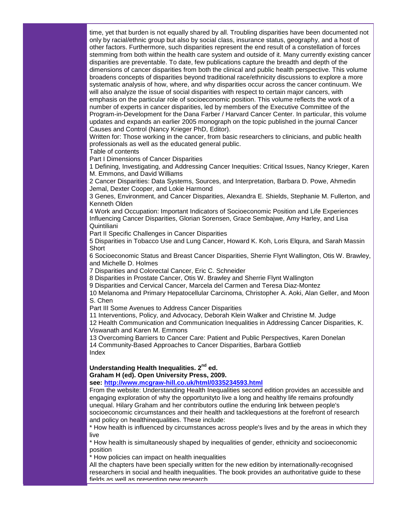time, yet that burden is not equally shared by all. Troubling disparities have been documented not only by racial/ethnic group but also by social class, insurance status, geography, and a host of other factors. Furthermore, such disparities represent the end result of a constellation of forces stemming from both within the health care system and outside of it. Many currently existing cancer disparities are preventable. To date, few publications capture the breadth and depth of the dimensions of cancer disparities from both the clinical and public health perspective. This volume broadens concepts of disparities beyond traditional race/ethnicity discussions to explore a more systematic analysis of how, where, and why disparities occur across the cancer continuum. We will also analyze the issue of social disparities with respect to certain major cancers, with emphasis on the particular role of socioeconomic position. This volume reflects the work of a number of experts in cancer disparities, led by members of the Executive Committee of the Program-in-Development for the Dana Farber / Harvard Cancer Center. In particular, this volume updates and expands an earlier 2005 monograph on the topic published in the journal Cancer Causes and Control (Nancy Krieger PhD, Editor).

Written for: Those working in the cancer, from basic researchers to clinicians, and public health professionals as well as the educated general public.

Table of contents

Part I Dimensions of Cancer Disparities

1 Defining, Investigating, and Addressing Cancer Inequities: Critical Issues, Nancy Krieger, Karen M. Emmons, and David Williams

2 Cancer Disparities: Data Systems, Sources, and Interpretation, Barbara D. Powe, Ahmedin Jemal, Dexter Cooper, and Lokie Harmond

3 Genes, Environment, and Cancer Disparities, Alexandra E. Shields, Stephanie M. Fullerton, and Kenneth Olden

4 Work and Occupation: Important Indicators of Socioeconomic Position and Life Experiences Influencing Cancer Disparities, Glorian Sorensen, Grace Sembajwe, Amy Harley, and Lisa Quintiliani

Part II Specific Challenges in Cancer Disparities

5 Disparities in Tobacco Use and Lung Cancer, Howard K. Koh, Loris Elqura, and Sarah Massin **Short** 

6 Socioeconomic Status and Breast Cancer Disparities, Sherrie Flynt Wallington, Otis W. Brawley, and Michelle D. Holmes

7 Disparities and Colorectal Cancer, Eric C. Schneider

8 Disparities in Prostate Cancer, Otis W. Brawley and Sherrie Flynt Wallington

9 Disparities and Cervical Cancer, Marcela del Carmen and Teresa Diaz-Montez

10 Melanoma and Primary Hepatocellular Carcinoma, Christopher A. Aoki, Alan Geller, and Moon S. Chen

Part III Some Avenues to Address Cancer Disparities

11 Interventions, Policy, and Advocacy, Deborah Klein Walker and Christine M. Judge

12 Health Communication and Communication Inequalities in Addressing Cancer Disparities, K. Viswanath and Karen M. Emmons

13 Overcoming Barriers to Cancer Care: Patient and Public Perspectives, Karen Donelan 14 Community-Based Approaches to Cancer Disparities, Barbara Gottlieb Index

#### **Understanding Health Inequalities. 2nd ed.**

**Graham H (ed). Open University Press, 2009.**

**see: [http://www.mcgraw-hill.co.uk/html/0335234593.html](http://rs6.net/tn.jsp?t=fojoc4cab.0.9mkhd4cab.5gytkqcab.1&ts=S0413&p=http%3A%2F%2Fwww.mcgraw-hill.co.uk%2Fhtml%2F0335234593.html)**

From the website: Understanding Health Inequalities second edition provides an accessible and engaging exploration of why the opportunityto live a long and healthy life remains profoundly unequal. Hilary Graham and her contributors outline the enduring link between people's socioeconomic circumstances and their health and tacklequestions at the forefront of research and policy on healthinequalities. These include:

\* How health is influenced by circumstances across people's lives and by the areas in which they live

\* How health is simultaneously shaped by inequalities of gender, ethnicity and socioeconomic position

\* How policies can impact on health inequalities

All the chapters have been specially written for the new edition by internationally-recognised researchers in social and health inequalities. The book provides an authoritative guide to these fields as well as presenting new research.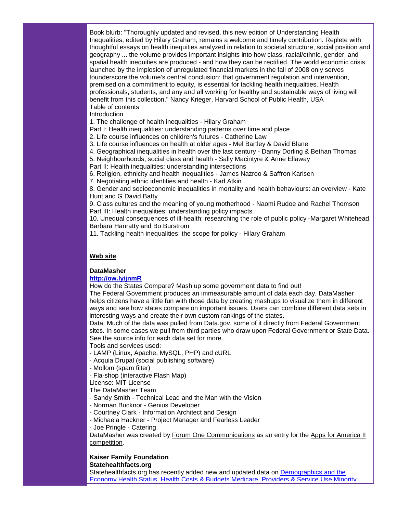Book blurb: "Thoroughly updated and revised, this new edition of Understanding Health Inequalities, edited by Hilary Graham, remains a welcome and timely contribution. Replete with thoughtful essays on health inequities analyzed in relation to societal structure, social position and geography ... the volume provides important insights into how class, racial/ethnic, gender, and spatial health inequities are produced - and how they can be rectified. The world economic crisis launched by the implosion of unregulated financial markets in the fall of 2008 only serves tounderscore the volume's central conclusion: that government regulation and intervention, premised on a commitment to equity, is essential for tackling health inequalities. Health professionals, students, and any and all working for healthy and sustainable ways of living will benefit from this collection." Nancy Krieger, Harvard School of Public Health, USA Table of contents

**Introduction** 

1. The challenge of health inequalities - Hilary Graham

Part I: Health inequalities: understanding patterns over time and place

2. Life course influences on children's futures - Catherine Law

3. Life course influences on health at older ages - Mel Bartley & David Blane

4. Geographical inequalities in health over the last century - Danny Dorling & Bethan Thomas

5. Neighbourhoods, social class and health - Sally Macintyre & Anne Ellaway

Part II: Health inequalities: understanding intersections

6. Religion, ethnicity and health inequalities - James Nazroo & Saffron Karlsen

7. Negotiating ethnic identities and health - Karl Atkin

8. Gender and socioeconomic inequalities in mortality and health behaviours: an overview - Kate Hunt and G David Batty

9. Class cultures and the meaning of young motherhood - Naomi Rudoe and Rachel Thomson Part III: Health inequalities: understanding policy impacts

10. Unequal consequences of ill-health: researching the role of public policy -Margaret Whitehead, Barbara Hanratty and Bo Burstrom

11. Tackling health inequalities: the scope for policy - Hilary Graham

#### **Web site**

#### **DataMasher**

#### **[http://ow.ly/jnmR](http://rs6.net/tn.jsp?t=fojoc4cab.0.8mkhd4cab.5gytkqcab.1&ts=S0413&p=http%3A%2F%2Fow.ly%2FjnmR)**

How do the States Compare? Mash up some government data to find out!

The Federal Government produces an immeasurable amount of data each day. DataMasher helps citizens have a little fun with those data by creating mashups to visualize them in different ways and see how states compare on important issues. Users can combine different data sets in interesting ways and create their own custom rankings of the states.

Data: Much of the data was pulled from Data.gov, some of it directly from Federal Government sites. In some cases we pull from third parties who draw upon Federal Government or State Data. See the source info for each data set for more.

Tools and services used:

- LAMP (Linux, Apache, MySQL, PHP) and cURL
- Acquia Drupal (social publishing software)
- Mollom (spam filter)
- Fla-shop (interactive Flash Map)

License: MIT License

The DataMasher Team

- Sandy Smith Technical Lead and the Man with the Vision
- Norman Bucknor Genius Developer
- Courtney Clark Information Architect and Design
- Michaela Hackner Project Manager and Fearless Leader
- Joe Pringle Catering

DataMasher was created by [Forum One Communications](http://rs6.net/tn.jsp?t=fojoc4cab.0.7mkhd4cab.5gytkqcab.1&ts=S0413&p=http%3A%2F%2Fwww.forumone.com%2F) as an entry for the Apps for America II [competition.](http://rs6.net/tn.jsp?t=fojoc4cab.0.6mkhd4cab.5gytkqcab.1&ts=S0413&p=http%3A%2F%2Fwww.sunlightlabs.com%2Fcontests%2Fappsforamerica2%2F%2522)

#### **Kaiser Family Foundation Statehealthfacts.org**

Statehealthfacts.org has recently added new and updated data on [Demographics and the](http://rs6.net/tn.jsp?t=fojoc4cab.0.5mkhd4cab.5gytkqcab.1&ts=S0413&p=http%3A%2F%2Fsmtp01.kff.org%2Ft%2F2454%2F390862%2F1781%2F0%2F)  [Economy](http://rs6.net/tn.jsp?t=fojoc4cab.0.5mkhd4cab.5gytkqcab.1&ts=S0413&p=http%3A%2F%2Fsmtp01.kff.org%2Ft%2F2454%2F390862%2F1781%2F0%2F)[,Health Status,](http://rs6.net/tn.jsp?t=fojoc4cab.0.4mkhd4cab.5gytkqcab.1&ts=S0413&p=http%3A%2F%2Fsmtp01.kff.org%2Ft%2F2454%2F390862%2F1782%2F0%2F) [Health Costs & Budgets,](http://rs6.net/tn.jsp?t=fojoc4cab.0.ankhd4cab.5gytkqcab.1&ts=S0413&p=http%3A%2F%2Fsmtp01.kff.org%2Ft%2F2454%2F390862%2F1783%2F0%2F)[Medicare,](http://rs6.net/tn.jsp?t=fojoc4cab.0.bnkhd4cab.5gytkqcab.1&ts=S0413&p=http%3A%2F%2Fsmtp01.kff.org%2Ft%2F2454%2F390862%2F1784%2F0%2F) [Providers & Service Use](http://rs6.net/tn.jsp?t=fojoc4cab.0.cnkhd4cab.5gytkqcab.1&ts=S0413&p=http%3A%2F%2Fsmtp01.kff.org%2Ft%2F2454%2F390862%2F1785%2F0%2F)[,Minority](http://rs6.net/tn.jsp?t=fojoc4cab.0.dnkhd4cab.5gytkqcab.1&ts=S0413&p=http%3A%2F%2Fsmtp01.kff.org%2Ft%2F2454%2F390862%2F1786%2F0%2F)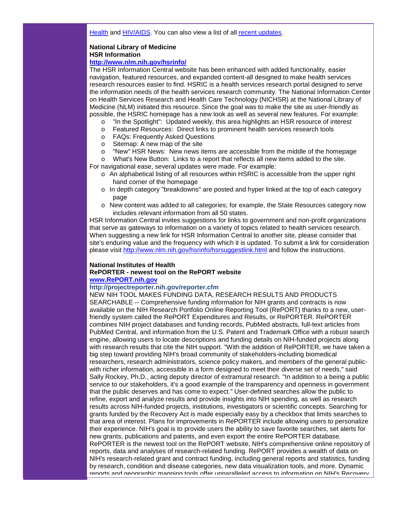Health and [HIV/AIDS.](http://rs6.net/tn.jsp?t=fojoc4cab.0.enkhd4cab.5gytkqcab.1&ts=S0413&p=http%3A%2F%2Fsmtp01.kff.org%2Ft%2F2454%2F390862%2F1787%2F0%2F) You can also view a list of all [recent updates.](http://rs6.net/tn.jsp?t=fojoc4cab.0.fnkhd4cab.5gytkqcab.1&ts=S0413&p=http%3A%2F%2Fsmtp01.kff.org%2Ft%2F2454%2F390862%2F1788%2F0%2F)

# **National Library of Medicine HSR Information**

### **[http://www.nlm.nih.gov/hsrinfo/](http://rs6.net/tn.jsp?t=fojoc4cab.0.gnkhd4cab.5gytkqcab.1&ts=S0413&p=http%3A%2F%2Fwww.nlm.nih.gov%2Fhsrinfo%2F)**

The HSR Information Central website has been enhanced with added functionality, easier navigation, featured resources, and expanded content-all designed to make health services research resources easier to find. HSRIC is a health services research portal designed to serve the information needs of the health services research community. The National Information Center on Health Services Research and Health Care Technology (NICHSR) at the National Library of Medicine (NLM) initiated this resource. Since the goal was to make the site as user-friendly as possible, the HSRIC homepage has a new look as well as several new features. For example:

- o "In the Spotlight": Updated weekly, this area highlights an HSR resource of interest
- o Featured Resources: Direct links to prominent health services research tools
- o FAQs: Frequently Asked Questions
- o Sitemap: A new map of the site
- o "New" HSR News: New news items are accessible from the middle of the homepage

o What's New Button: Links to a report that reflects all new items added to the site.

For navigational ease, several updates were made. For example:

- o An alphabetical listing of all resources within HSRIC is accessible from the upper right hand corner of the homepage
- o In depth category "breakdowns" are posted and hyper linked at the top of each category page
- o New content was added to all categories; for example, the State Resources category now includes relevant information from all 50 states.

HSR Information Central invites suggestions for links to government and non-profit organizations that serve as gateways to information on a variety of topics related to health services research. When suggesting a new link for HSR Information Central to another site, please consider that site's enduring value and the frequency with which it is updated. To submit a link for consideration please visit [http://www.nlm.nih.gov/hsrinfo/hsrsuggestlink.html](http://rs6.net/tn.jsp?t=fojoc4cab.0.hnkhd4cab.5gytkqcab.1&ts=S0413&p=http%3A%2F%2Fwww.nlm.nih.gov%2Fhsrinfo%2Fhsrsuggestlink.html) and follow the instructions.

#### **National Institutes of Health**

#### **RePORTER - newest tool on the RePORT website**

#### **[www.RePORT.nih.gov](http://rs6.net/tn.jsp?t=fojoc4cab.0.inkhd4cab.5gytkqcab.1&ts=S0413&p=http%3A%2F%2Fwww.report.nih.gov%2F)**

#### **http://projectreporter.nih.gov/reporter.cfm**

NEW NIH TOOL MAKES FUNDING DATA, RESEARCH RESULTS AND PRODUCTS SEARCHABLE -- Comprehensive funding information for NIH grants and contracts is now available on the NIH Research Portfolio Online Reporting Tool (RePORT) thanks to a new, userfriendly system called the RePORT Expenditures and Results, or RePORTER. RePORTER combines NIH project databases and funding records, PubMed abstracts, full-text articles from PubMed Central, and information from the U.S. Patent and Trademark Office with a robust search engine, allowing users to locate descriptions and funding details on NIH-funded projects along with research results that cite the NIH support. "With the addition of RePORTER, we have taken a big step toward providing NIH's broad community of stakeholders-including biomedical researchers, research administrators, science policy makers, and members of the general publicwith richer information, accessible in a form designed to meet their diverse set of needs," said Sally Rockey, Ph.D., acting deputy director of extramural research. "In addition to a being a public service to our stakeholders, it's a good example of the transparency and openness in government that the public deserves and has come to expect." User-defined searches allow the public to refine, export and analyze results and provide insights into NIH spending, as well as research results across NIH-funded projects, institutions, investigators or scientific concepts. Searching for grants funded by the Recovery Act is made especially easy by a checkbox that limits searches to that area of interest. Plans for improvements in RePORTER include allowing users to personalize their experience. NIH's goal is to provide users the ability to save favorite searches, set alerts for new grants, publications and patents, and even export the entire RePORTER database. RePORTER is the newest tool on the RePORT website, NIH's comprehensive online repository of reports, data and analyses of research-related funding. RePORT provides a wealth of data on NIH's research-related grant and contract funding, including general reports and statistics, funding by research, condition and disease categories, new data visualization tools, and more. Dynamic reports and geographic mapping tools offer unparalleled access to information on NIH's Recovery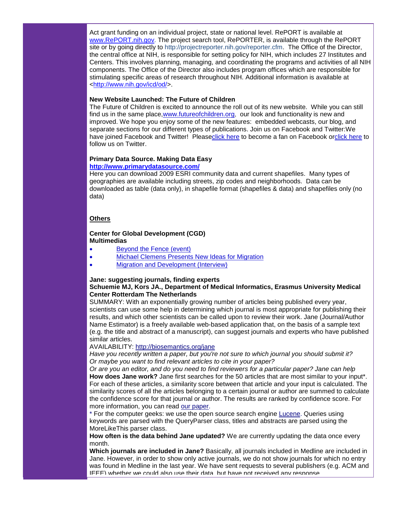Act grant funding on an individual project, state or national level. RePORT is available at [www.RePORT.nih.gov.](http://rs6.net/tn.jsp?t=fojoc4cab.0.inkhd4cab.5gytkqcab.1&ts=S0413&p=http%3A%2F%2Fwww.report.nih.gov%2F) The project search tool, RePORTER, is available through the RePORT site or by going directly to http://projectreporter.nih.gov/reporter.cfm. The Office of the Director, the central office at NIH, is responsible for setting policy for NIH, which includes 27 Institutes and Centers. This involves planning, managing, and coordinating the programs and activities of all NIH components. The Office of the Director also includes program offices which are responsible for stimulating specific areas of research throughout NIH. Additional information is available at [<http://www.nih.gov/icd/od/>](http://rs6.net/tn.jsp?t=fojoc4cab.0.pp5zyxcab.5gytkqcab.1&ts=S0413&p=http%3A%2F%2Fwww.nih.gov%2Ficd%2Fod%2F).

#### **New Website Launched: The Future of Children**

The Future of Children is excited to announce the roll out of its new website. While you can still find us in the same place[,www.futureofchildren.org,](http://rs6.net/tn.jsp?t=fojoc4cab.0.jnkhd4cab.5gytkqcab.1&ts=S0413&p=http%3A%2F%2Fwww.futureofchildren.org%2F) our look and functionality is new and improved. We hope you enjoy some of the new features: embedded webcasts, our blog, and separate sections for our different types of publications. Join us on Facebook and Twitter:We have joined Facebook and Twitter! Pleas[eclick here](http://rs6.net/tn.jsp?t=fojoc4cab.0.knkhd4cab.5gytkqcab.1&ts=S0413&p=http%3A%2F%2Fwww.facebook.com%2Fpages%2FPrinceton-NJ%2FThe-Future-of-Children%2F101780318789) to become a fan on Facebook o[rclick here](http://rs6.net/tn.jsp?t=fojoc4cab.0.lnkhd4cab.5gytkqcab.1&ts=S0413&p=http%3A%2F%2Fwww.twitter.com%2Ffuturechildren) to follow us on Twitter.

#### **Primary Data Source. Making Data Easy [http://www.primarydatasource.com/](http://rs6.net/tn.jsp?t=fojoc4cab.0.mnkhd4cab.5gytkqcab.1&ts=S0413&p=http%3A%2F%2Fwww.primarydatasource.com%2F)**

Here you can download 2009 ESRI community data and current shapefiles. Many types of geographies are available including streets, zip codes and neighborhoods. Data can be downloaded as table (data only), in shapefile format (shapefiles & data) and shapefiles only (no data)

#### **Others**

#### **Center for Global Development (CGD) Multimedias**

- [Beyond the Fence \(event\)](http://rs6.net/tn.jsp?t=fojoc4cab.0.nnkhd4cab.5gytkqcab.1&ts=S0413&p=http%3A%2F%2Fwww.cgdev.org%2Fcontent%2Fmultimedia%2Fdetail%2F1422591%2F)
- [Michael Clemens Presents New Ideas for Migration](http://rs6.net/tn.jsp?t=fojoc4cab.0.onkhd4cab.5gytkqcab.1&ts=S0413&p=http%3A%2F%2Fwww.cgdev.org%2Fcontent%2Fmultimedia%2Fdetail%2F1422002%2F)
- [Migration and Development \(Interview\)](http://rs6.net/tn.jsp?t=fojoc4cab.0.pnkhd4cab.5gytkqcab.1&ts=S0413&p=http%3A%2F%2Fwww.cgdev.org%2Fcontent%2Fmultimedia%2Fdetail%2F16777%2F)

#### **Jane: suggesting journals, finding experts Schuemie MJ, Kors JA., Department of Medical Informatics, Erasmus University Medical Center Rotterdam The Netherlands**

SUMMARY: With an exponentially growing number of articles being published every year, scientists can use some help in determining which journal is most appropriate for publishing their results, and which other scientists can be called upon to review their work. Jane (Journal/Author Name Estimator) is a freely available web-based application that, on the basis of a sample text (e.g. the title and abstract of a manuscript), can suggest journals and experts who have published similar articles.

AVAILABILITY: [http://biosemantics.org/jane](http://rs6.net/tn.jsp?t=fojoc4cab.0.qnkhd4cab.5gytkqcab.1&ts=S0413&p=http%3A%2F%2Fbiosemantics.org%2Fjane)

*Have you recently written a paper, but you're not sure to which journal you should submit it? Or maybe you want to find relevant articles to cite in your paper?* 

*Or are you an editor, and do you need to find reviewers for a particular paper? Jane can help* **How does Jane work?** Jane first searches for the 50 articles that are most similar to your input\*. For each of these articles, a similarity score between that article and your input is calculated. The similarity scores of all the articles belonging to a certain journal or author are summed to calculate the confidence score for that journal or author. The results are ranked by confidence score. For more information, you can read [our paper.](http://rs6.net/tn.jsp?t=fojoc4cab.0.rnkhd4cab.5gytkqcab.1&ts=S0413&p=http%3A%2F%2Fwww.ncbi.nlm.nih.gov%2Fpubmed%2F18227119%3Fordinalpos%3D2%26itool%3DEntrezSystem2.PEntrez.Pubmed.Pubmed_ResultsPanel.Pubmed_RVDocSum)

\* For the computer geeks: we use the open source search engine [Lucene.](http://rs6.net/tn.jsp?t=fojoc4cab.0.snkhd4cab.5gytkqcab.1&ts=S0413&p=http%3A%2F%2Flucene.apache.org%2F) Queries using keywords are parsed with the QueryParser class, titles and abstracts are parsed using the MoreLikeThis parser class.

**How often is the data behind Jane updated?** We are currently updating the data once every month.

**Which journals are included in Jane?** Basically, all journals included in Medline are included in Jane. However, in order to show only active journals, we do not show journals for which no entry was found in Medline in the last year. We have sent requests to several publishers (e.g. ACM and IEEE) whether we could also use their data, but have not received any response.